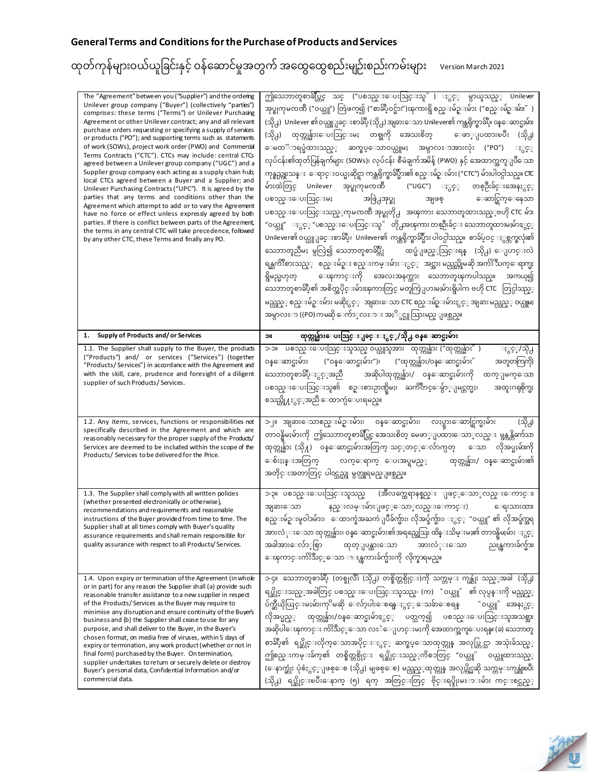| The "Agreement" between you ("Supplier") and the ordering<br>Unilever group company ("Buyer") (collectively "parties")<br>comprises: these terms ("Terms") or Unilever Purchasing<br>Agreement or other Unilever contract; any and all relevant<br>purchase orders requesting or specifying a supply of services<br>or products ("PO"); and supporting terms such as statements<br>of work (SOWs), project work order (PWO) and Commercial<br>Terms Contracts ("CTC"). CTCs may include: central CTCs<br>agreed between a Unilever group company ("UGC") and a<br>Supplier group company each acting as a supply chain hub;<br>local CTCs agreed between a Buyer and a Supplier; and<br>Unilever Purchasing Contracts ("UPC"). It is agreed by the<br>parties that any terms and conditions other than the<br>Agreement which attempt to add or to vary the Agreement<br>have no force or effect unless expressly agreed by both<br>parties. If there is conflict between parts of the Agreement,<br>the terms in any central CTC will take precedence, followed<br>by any other CTC, these Terms and finally any PO. | ဤသေဘာတူစာခ်ပ္တြင္ သင္ ("ပစၥည္းေပးသြင္းသူ" ) ႏွင့္ မွာယူသည္္ Unilever<br>အုပ္စုကုမၸဏီ ("ဝယ္သူ") တြဲဖက္၍ ("စာခ်ဳပ္ဝင္မ်ား")ၾကားရွိ စည္းမ်ဥ္းမ်ား ("စည္းမ်ဥ္းမ်ား" )<br>(သို႕)  Unilever ၏ဝယ္ယူျခင္းစာခ်ဳပ္ (သို႕) အျခားေသာ Unilever၏ ကန္ထရိုက္စာခ်ဳပ္၊ ဝန္ေဆာင္မႈမ်ား<br>(သို႕) ထုတ္ကုန္မ်ားေပးသြင္းမႈ တစ္ခုကို အေသးစိတ္ ေဖာ္ျပထားၿပီး (သို႕)<br>ေမတၱာရပ္ခံထားသည္္ ဆက္စပ္ေသာ၀ယ္ယူမႈ အမွာလႊာအားလုံး ("PO")<br>ႏွင့္<br>လုပ်ငန်း၏ထုတ်ပြန်ချက်များ (SOWs)၊ လုပ်ငန်း စီမံချက်အမိန့် (PWO) နှင့် အေထာက္အကူျပဳေသာ<br>ကုန္စည္ကူးသန္း ေရာင္းဝယ္မႈဆိုင္ရာ ကန္ထရိုက္စာခ်ဳပ္မ်ား၏ စည္းမ်ဥ္းမ်ား ("CTC") မ်ားပါဝင္ပါသည္။ CTC<br>မ်ားထဲတြင္ Unilever အုပ္စုကုမၸဏီ   ("UGC") ႏွင့္ တစ္ဦးခ်င္းအေနႏွင့္<br>အဖြဲ႕အုပ္စု<br>ပစၥည္းေပးသြင္းမႈ<br>ေဆာင္ရြက္ေနေသာ<br>အျဖစ္<br>ပစၥည္းေပးသြင္းသည္္ဂကုမၸဏီ အုပ္စုတို႕ <sup>-</sup> အၾကား သေဘာတူထားသည္္ၿဗဟို CTC မ်ား<br>"ဝယ္သူ" ႏွင္္ "ပစၥည္းေပးသြင္းသူ" တို႕အၾကား တစ္ဦးခ်င္း သေဘာတူထားမႈမ်ားႏွင္္<br>Unilever၏ ဝယ္ယူျခင္းစာခ်ဳပ္၊  Unilever၏ ကန္ထရိုက္စာခ်ဳပ္မ်ား ပါဝင္ပါသည္။  စာခ်ဴပ္ဝင္ ႏွစ္ဘက္စလုံး၏<br>သေဘာတူညီမႈ မွလြဲ၍ သေဘာတူစာခ်ဳပ္ကို       ထပ္မံျဖည္္ဩင္းရန္   (သို႕) ေျပာင္းလဲ<br>ရန္ႀကိဳးစားသည့္  စည္းမ်ဥ္း စည္းကမ္းမ်ား ႏွင့္  အင္အား မည္သည္ကိုမဆို အက်ဴိး သက္ေရာက္မႈ<br>ရွိမည္မဟုတ္ ေၾကာင္းကို အေလးအနက္ထား သေဘာတူၾကပါသည္။ အကယ္၍<br>သေဘာတူစာခ်ဳပ္၏ အစိတ္အပိုင္းမ်ားၾကားတြင္ မတူကြဲျပားမႈမ်ားရွိပါက ဗဟို CTC  တြင္ပါသည့္<br>မည္သည္္ စည္းမ်ဥ္းမ်ား မဆိုႏွင့္  အျခားေသာ CTC စည္းမ်ဥ္းမ်ားႏွင့္ အျခား မည္သည္္ ဝယ္ယူမႈ<br>အမွာလႊာ ((PO) ကမဆို ေက်ာ္လႊာ <b>း အႏိ</b> ုင္ယူသြားမည္ ျဖစ္သည္။ |
|-----------------------------------------------------------------------------------------------------------------------------------------------------------------------------------------------------------------------------------------------------------------------------------------------------------------------------------------------------------------------------------------------------------------------------------------------------------------------------------------------------------------------------------------------------------------------------------------------------------------------------------------------------------------------------------------------------------------------------------------------------------------------------------------------------------------------------------------------------------------------------------------------------------------------------------------------------------------------------------------------------------------------------------------------------------------------------------------------------------------------|-------------------------------------------------------------------------------------------------------------------------------------------------------------------------------------------------------------------------------------------------------------------------------------------------------------------------------------------------------------------------------------------------------------------------------------------------------------------------------------------------------------------------------------------------------------------------------------------------------------------------------------------------------------------------------------------------------------------------------------------------------------------------------------------------------------------------------------------------------------------------------------------------------------------------------------------------------------------------------------------------------------------------------------------------------------------------------------------------------------------------------------------------------------------------------------------------------------------------------------------------------------------------------------------------------------------------------------------------------------------------------------------------------------------------------------------------------------------------------------------------------------------------|
| Supply of Products and/or Services<br>1.                                                                                                                                                                                                                                                                                                                                                                                                                                                                                                                                                                                                                                                                                                                                                                                                                                                                                                                                                                                                                                                                              | ထုတ္ကုန္မ်ားေပးသြင္းျခင္းႏွင့္/သို႕ ၀န္ေဆာင္မႈမ်ား<br>ПC                                                                                                                                                                                                                                                                                                                                                                                                                                                                                                                                                                                                                                                                                                                                                                                                                                                                                                                                                                                                                                                                                                                                                                                                                                                                                                                                                                                                                                                                |
| 1.1. The Supplier shall supply to the Buyer, the products<br>("Products") and/ or services ("Services") (together<br>"Products/Services") in accordance with the Agreement and<br>with the skill, care, prudence and foresight of a diligent<br>supplier of such Products/Services.                                                                                                                                                                                                                                                                                                                                                                                                                                                                                                                                                                                                                                                                                                                                                                                                                                   | ၁-၁။ ပစၥည္းေပးသြင္းသူသည္ ဝယ္ယူသူအား ထုတ္ကုန္မ်ား ("ထုတ္ကုန္မ်ား" )<br>ႏွင့္/သို႕<br>("ဝန္ေဆာင္မႈမ်ား")၊ ("ထုတ္ကုန္မ်ား/ဝန္ေဆာင္မႈမ်ား"<br>ဝန္ေဆာင္မႈမ်ား<br>အတူတကြကို)<br>သေဘာတူစာခ်ဳပ္ႏွင့္အညီ အဆိုပါထုတ္ကုန္မ်ား/ ၀န္ေဆာင္မႈမ်ားကို<br>ထက္ျမက္ေသာ<br>ပစၥည္းေပးသြင္းသူ၏ စဥ္းစားဉာဏ္ရိမႈ၊ ႀကိဳတင္ေမွ်ာ္ျမင္တတ္မႈ၊<br>အထူးဂရုစိုက္မႈ<br>စသည္တို႔ႏွင့္အညီ ေထာက္ပံေပးရမည္။                                                                                                                                                                                                                                                                                                                                                                                                                                                                                                                                                                                                                                                                                                                                                                                                                                                                                                                                                                                                                                                                                                                                                 |
| 1.2. Any items, services, functions or responsibilities not<br>specifically described in the Agreement and which are<br>reasonably necessary for the proper supply of the Products/<br>Services are deemed to be included within the scope of the<br>Products/Services to be delivered for the Price.                                                                                                                                                                                                                                                                                                                                                                                                                                                                                                                                                                                                                                                                                                                                                                                                                 | ၁-၂။ အျခားေသာစည္းမ်ဥ္းမ်ား၊ ဝန္ေဆာင္မႈမ်ား၊ လႈပ္ရွားေဆာင္ရြက္မႈမ်ား<br>(သို႕)<br>တာ၀န္ရွိမႈမ်ားကို ဤသေဘာတူစာခ်ဳပ္တြင္ အေသးစိတ္ မေဖာ္ျပထားေသာ္လည္း မွန္ကန္တိက်သာ<br>ထုတ္ကုန္မ်ား (သို႔) ဝန္ေဆာင္မႈမ်ားအတြက္ သင့္ဝာင့္ေလ်ာက္ပတ္   ေသာ   လိုအပ္မႈမ်ားကို<br>ေစ်းႏႈန္းအတြက္ လက္ေရာက္ ေပးအပ္ရမည့္  ထုတ္ကုန္မ်ား/ ၀န္ေဆာင္မႈမ်ား၏<br>အတိုင္းအတာတြင္ ပါဝင္သည္ဟု မွတ္ယူရမည္ျဖစ္သည္။                                                                                                                                                                                                                                                                                                                                                                                                                                                                                                                                                                                                                                                                                                                                                                                                                                                                                                                                                                                                                                                                                                                                             |
| 1.3. The Supplier shall comply with all written policies<br>(whether presented electronically or otherwise),<br>recommendations and requirements and reasonable<br>instructions of the Buyer provided from time to time. The<br>Supplier shall at all times comply with Buyer's quality<br>assurance requirements and shall remain responsible for<br>quality assurance with respect to all Products/Services.                                                                                                                                                                                                                                                                                                                                                                                                                                                                                                                                                                                                                                                                                                        | ၁-၃။ ပစၥည္းေပးသြင္းသူသည္   (အီလက္ထေရာနစ္နည္း ျဖင့္ေသာ္လည္းေကာင္း၊<br>နည္းလမ္းမ်ားျဖင့္ေသာ္လည္းေကာင္း)<br>ေရးသားထား<br>အျခားေသာ<br>စည္းမ်ဥ္းမူဝါဒမ်ား၊  ေထာက္ခံအႀကံျပဳခ်က္မ်ား၊ လိုအပ္ခ်က္မ်ား၊ ႏွင့္ "ဝယ္သူ" ၏ လိုအပ္ခ်က္အရ<br>အားလံုးေသာ ထုတ္ကုန္မ်ား၊ ဝန္ေဆာင္မႈမ်ား၏အရည္အေသြး ထိန္းသိမ္းမႈ၏ တာဝန္ရွိမႈမ်ား ႏွင့္<br>အခါအားေလ်ာ္စြာ<br>ထုတ္ျပန္ထားေသာ<br>အားလံုးေသာ<br>ညႊန္ၾကားခ်က္မ်ား၊<br>ေၾကာင္းက်ဴိးသင့္ေသာ ၫႜၗ္ၾကားခ်က္မ်ားကို လိုက္နာရမည္။                                                                                                                                                                                                                                                                                                                                                                                                                                                                                                                                                                                                                                                                                                                                                                                                                                                                                                                                                                                                                                                                      |
| 1.4. Upon expiry or termination of the Agreement (in whole<br>or in part) for any reason the Supplier shall (a) provide such<br>reasonable transfer assistance to a new supplier in respect<br>of the Products/ Services as the Buyer may require to<br>minimise any disruption and ensure continuity of the Buyer's<br>business and (b) the Supplier shall cease to use for any<br>purpose, and shall deliver to the Buyer, in the Buyer's<br>chosen format, on media free of viruses, within 5 days of<br>expiry or termination, any work product (whether or not in<br>final form) purchased by the Buyer. On termination,<br>supplier undertakes to return or securely delete or destroy<br>Buyer's personal data, Confidential Information and/or<br>commercial data.                                                                                                                                                                                                                                                                                                                                            | ၁-၄။ သေဘာတူစာခ်ဳပ္ (တစ္ခုလီး (သို႕) တစ္စိတ္တစ္ပိုင္း)ကို သက္တမ္း ကုန္ဆုံး သည္္နအခါ (သို႕)<br>ရပ္ဆိုင္းသည့္အခါတြင္ ပစၥည္းေပးသြင္းသူသည္- (က) "ဝယ္သူ" ၏ လုပ္ငန္းကို မည္သည့္<br>ပ်က္ဆီယိုယြင္းမႈမ်ားကုိမဆို ေလ်ာ့ပါးေစရန္ႏွင့္ ေသခ်ာေစရန္ "ဝယ္သူ" အေနႏွင့္<br>လိုအပ္မည့္ ထုတ္ကုန္မ်ား/၀န္ေဆာင္မႈမ်ားႏွင့္ ပတ္သက္၍ ပစၥည္းေပးသြင္းသူအသစ္အား<br>အဆိုပါေၾကာင္း က်ဴိးသင့္ေသာ လႊဲေျပာင္းမႈကို အေထာက္အကူေပးရန္။ (ခ) သေဘာတူ<br>စာခ်ဳပ္၏ ရပ္ဆိုင္းလိုက္ေသာအပိုင္းႏွင့္ ဆက္စပ္ေသာထုတ္ကုန္ အလုပ္တြင္သာ အသုံးခ်သည္္<br>ဤစည္းကမ္းခ်က္၏ တစ္စိတ္တစ္ပိုင္း ရပ္ဆိုင္းသည့္ကိစၥတြင္ "ဝယ္သူ" ဝယ္ယူထားသည့္<br>(ေနာက္ဆုံး ပုံစံႏွင့္ျဖစ္ေစ (သို႕) မျဖစ္ေစ) မည္သည့္ဝာုတ္ကုန္ အလုပ္ကိုင္မဆို သက္တမ္းကုန္ဆုံးၿပီး<br>(သို႕) ရပ္ဆိုင္းၿပီးေနာက္ (၅) ရက္ အတြင္းတြင္ ဗိုင္းရပ္စ္ပိုးမႊားမ်ား ကင္းစင္သည့္                                                                                                                                                                                                                                                                                                                                                                                                                                                                                                                                                                                                                                                                                                                                                |

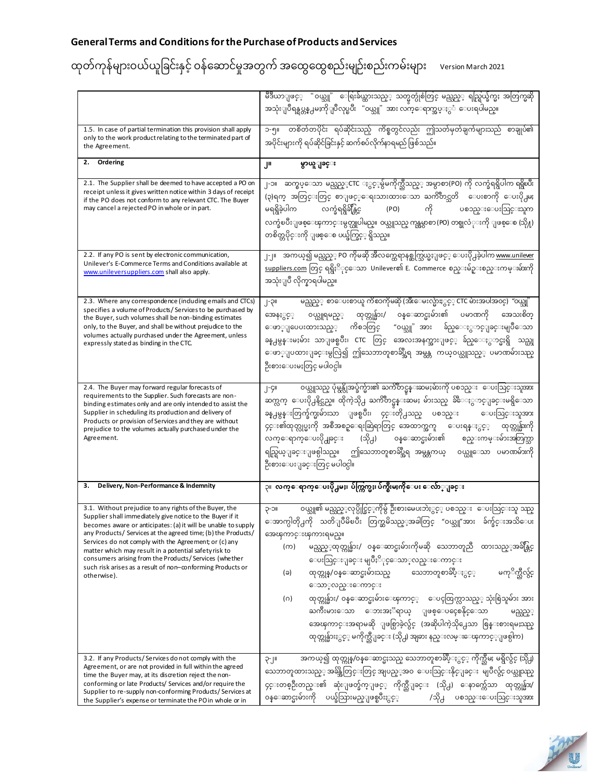|                                                                                                                                                                                                                                                                                                                                                                                                                                                                                                             | မီဒီယာျဖင့္ "ဝယ္သူ" ေရြးခ်ယ္ထားသည့္ သတ္မွတ္ပုံစံတြင္ မည္သည့္ ရည္ရြယ္ခ်က္မႈ အတြက္မဆို<br>အသုံးျပဳရန္ရပ္တန္႕မႈကိုျပဳလုပ္ၿပီး "၀ယ္သူ" အား လက္ေရာက္အပ္ႏွံ ေပးရပါမည္။                                                                                                                                                                                                                                                                                                                                                                                                                                                                                                                           |
|-------------------------------------------------------------------------------------------------------------------------------------------------------------------------------------------------------------------------------------------------------------------------------------------------------------------------------------------------------------------------------------------------------------------------------------------------------------------------------------------------------------|--------------------------------------------------------------------------------------------------------------------------------------------------------------------------------------------------------------------------------------------------------------------------------------------------------------------------------------------------------------------------------------------------------------------------------------------------------------------------------------------------------------------------------------------------------------------------------------------------------------------------------------------------------------------------------------------|
| 1.5. In case of partial termination this provision shall apply<br>only to the work product relating to the terminated part of<br>the Agreement.                                                                                                                                                                                                                                                                                                                                                             | - တစိတ်တပိုင်း ရပ်ဆိုင်းသည့် ကိစ္စတွင်လည်း ဤသတ်မှတ်ချက်များသည် စာချုပ်၏<br>၁-၅။<br>အပိုင်းများကို ရပ်ဆိုင်ခြင်းနှင့် ဆက်စပ်လိုက်နာရမည် ဖြစ်သည်။                                                                                                                                                                                                                                                                                                                                                                                                                                                                                                                                            |
| Ordering<br>2.                                                                                                                                                                                                                                                                                                                                                                                                                                                                                              | J۳<br>မွာယူျခင္း                                                                                                                                                                                                                                                                                                                                                                                                                                                                                                                                                                                                                                                                           |
| 2.1. The Supplier shall be deemed to have accepted a PO on<br>receipt unless it gives written notice within 3 days of receipt<br>if the PO does not conform to any relevant CTC. The Buyer<br>may cancel a rejected PO in whole or in part.                                                                                                                                                                                                                                                                 | ၂-၁။   ဆက္စပ္ေသာ မည္သည္္CTC ႏွင့္မွ်မကိုက္သီသည့္ အမွာစာ(PO) ကို လက္ခံရရွိပါက ရရွိၿပီး<br>(၃)ရက္ အတြင္းတြင္ စာျဖင့္ေရးသားထားေသာ ႀကိဳတင္သတိ ေပးစာကို ေပးပို႕မႈ<br>မရရွိခဲ့ပါက လက္ခံရရွိခ်ိန္တြင္ (PO) ကို ပစၥည္းေပးသြင္းသူက<br>လက္ခံၿပီးျဖစ္ေၾကာင္းမွတ္ယူပါမည္။ ဝယ္သူသည္ ကန္အမွာစာ (PO) တစ္ခုလံုးကို ျဖစ္ေစ (သို႔)<br>တစိတ္တပိုင္းကို ျဖစ္ေစ ပယ္ဖ်က္ခြင္္ ရွိသည္။                                                                                                                                                                                                                                                                                                                            |
| 2.2. If any PO is sent by electronic communication,<br>Unilever's E-Commerce Terms and Conditions available at<br>www.unileversuppliers.com shall also apply.                                                                                                                                                                                                                                                                                                                                               | ၂-၂။    အကယ္၍ မည္သည္္ PO ကိုမဆို အီလက္ထေရာနစ္ဆက္သြယ္မႈျဖင့္ ေပးပို႕ခဲ့ပါက <u>www.unilever</u><br><u>suppliers.com</u> တြင္ ရရွိႏိုင္ေသာ  Unilever၏ E.  Commerce စည္းမ်ဥ္းစည္းကမ္းမ်ားကို<br>အသုံးျပဳ လိုက္နာရပါမည္။                                                                                                                                                                                                                                                                                                                                                                                                                                                                        |
| 2.3. Where any correspondence (induding emails and CTCs)<br>specifies a volume of Products/Services to be purchased by<br>the Buyer, such volumes shall be non-binding estimates<br>only, to the Buyer, and shall be without prejudice to the<br>volumes actually purchased under the Agreement, unless<br>expressly stated as binding in the CTC.                                                                                                                                                          | မည္သည္္ စာေပးစာယူ ကိစၥကိုမဆို (အီေမးလ္မ်ားႏွင့္ CTC မ်ားအပါအ၀င္)  "၀ယ္သူ"<br>၂-၃။<br>ဝယ္ယူရမည့္ ထုတ္ကုန္မ်ား/ ဝန္ေဆာင္မႈမ်ား၏ ပမာဏကို အေသးစိတ္<br>အေနႏွင့့<br>ေဖာ္ျပေပးထားသည့္ ကိစၥတြင္ "ဝယ္သူ" အား ခ်ည္ေႏွာင္ျခင္းမျပဳေသာ<br>ခန္႕မွန္းမႈမ်ား သာျဖစ္ၿပီး၊ CTC တြင္ အေလးအနက္အားျဖင့္ ခ်ည္ေႏွာင္မႈရွိ သည္ဟု<br>ေဖာ္ျပထားျခင္းမွလြဲ၍ ဤသေဘာတူစာခ်ဳပ္အီရ အမွန္တ ကယ္ဝယ္ယူသည့္ ပမာဏမ်ားသည္<br>ဦးစားေပးမႈတြင္ မပါဝင္ပါ။                                                                                                                                                                                                                                                                            |
| 2.4. The Buyer may forward regular forecasts of<br>requirements to the Supplier. Such forecasts are non-<br>binding estimates only and are only intended to assist the<br>Supplier in scheduling its production and delivery of<br>Products or provision of Services and they are without<br>prejudice to the volumes actually purchased under the<br>Agreement.                                                                                                                                            | ဝယ္သူသည္ ပုံမွန္လိုအပ္ခ်က္မ်ား၏ ႀကိဳတင္မ္မွန္းဆမႈမ်ားကို ပစၥည္း ေပးသြင္းသူအား<br>၂-၄။<br>ဆက္လက္ ေပးပို႕နိင္သည္။ ထိုကဲ့သို႕ ႀကိဳတင္မန္းဆမႈ မ်ားသည္ ခ်ိဳေႏွာင္ျခင္းမရွိေသာ<br>ခန္႕မွန္းတြက္ခ်က္မႈမ်ားသာ ျဖစ္ၿပီး၊ ၄င္းတို႕သည္ ပစၥည္း<br>ေပးသြင္းသူအား<br>၄င္း၏ထုတ္လုပ္မႈကို အစီအစဥ္ေရးဆြဲရာတြင္ အေထာက္အကူ ေပးရန္ႏွင့္ ထုတ္ကုန္မ်ားကို<br>လက္ေရာက္ေပးပို႕ျခင္း (သို႕) ၀န္ေဆာင္မႈမ်ား၏ စည္းကမ္းမ်ားအတြက္သာ<br>ရည္ရြယ္ျခင္းျဖစ္ပါသည္။ ဤသေဘာတူစာခ်ဳပ္အီရ အမွန္တကယ္ ဝယ္ယူေသာ ပမာဏမ်ားကို<br>ဦးစားေပးျခင္းတြင္ မပါ၀င္ပါ။                                                                                                                                                                           |
| Delivery, Non-Performance & Indemnity<br>3.                                                                                                                                                                                                                                                                                                                                                                                                                                                                 | ၃။  လက္ေရာက္ေပးပို႕မႈ၊ ပ်က္ကြက္မႈ၊ ပ်က္စီးမႈကိုေပး ေလ်ာ္ျခင္း                                                                                                                                                                                                                                                                                                                                                                                                                                                                                                                                                                                                                              |
| 3.1. Without prejudice to any rights of the Buyer, the<br>Supplier shall immediately give notice to the Buyer if it<br>becomes aware or anticipates: (a) it will be unable to supply<br>any Products/ Services at the agreed time; (b) the Products/<br>Services do not comply with the Agreement or (c) any<br>matter which may result in a potential safety risk to<br>consumers arising from the Products/Services (whether<br>such risk arises as a result of non-conforming Products or<br>otherwise). | ဝယ္သူ၏ မည္သည့္ဝပုပ္ပိုင္ခြင့္စကိုမွ် ဦးစားမေပးဘဲႏွင့္ ပစၥည္း ေပးသြင္းသူ သည္<br>ျာ-၁။<br>ေအာက္ပါတို႕ကို သတိျပဳမိၿပီး တြက္ဆမိသည့္အခါတြင္ "ဝယ္သူ"အား ခ်က္ခ်င္းအသိေပး<br>အေၾကာင္းၾကားရမည္။<br>မည္သည့္ထုတ္ကုန္မ်ား/ ၀န္ေဆာင္မႈမ်ားကိုမဆို သေဘာတူညီ ထားသည့္အခ်ိန္တြင္<br>(က)<br>ေပးသြင္းျခင္း မျပဳႏိုင္ေသာ္လည္းေကာင္း<br>မကုိက္ညီလွ်င္<br>ထုတ္ကုန္/ဝန္ေဆာင္မႈမ်ားသည္ သေဘာတူစာခ်ဳပ္ႏွင့္<br>(ခ)<br>ေသာ္လည္းေကာင္း<br>ထုတ္ကုန္မ်ား/ ၀န္ေဆာင္မႈမ်ားေၾကာင့္ ေပၚထြက္လာသည့္ သုံးစြဲသူမ်ား အား<br>(ဂ)<br>ႀကီးမားေသာ ေဘးအႏၱရာယ္ ျဖစ္ေပၚေစနိုင္ေသာ<br>မည္သည့့<br>အေၾကာင္းအရာမဆို ျဖစ္ပြာခဲ့လွ်င္ (အဆိုပါကဲ့သို႕ေသာ စြန္းစားရမႈသည္<br>ထုတ္ကုန္မ်ားႏွင့္ မကိုက္သီျခင္း (သို႕) အျခား နည္းလမ္းေၾကာင္္ျဖစ္ပါက) |
| 3.2. If any Products/Services do not comply with the<br>Agreement, or are not provided in full within the agreed<br>time the Buyer may, at its discretion reject the non-<br>conforming or late Products/ Services and/or require the<br>Supplier to re-supply non-conforming Products/Services at<br>the Supplier's expense or terminate the PO in whole or in                                                                                                                                             | အကယ္၍ ထုတ္ကုန္/၀န္ေဆာင္မႈသည္ သေဘာတူစာခ်ဳပ္ႏွင့္ ကိုက္သီမႈ မရွိလွ်င္ (သို႕)<br>၃-၂။<br>သေဘာတူထားသည္္ အခ်ိန္အတြင္းတြင္ အျပည္္အအဝ ေပးသြင္းနိုင္ျခင္း မျပဳလွ်င္ ဝယ္သူသည္<br>၄င္းတစ္ဦးတည္း၏ ဆုံးျဖတ္ခ်က္ျဖင့္ ကိုက္သီျခင္း (သို႕) ေနာက္က်ေသာ ထုတ္ကုန္မ်ား/<br>ဝန္ေဆာင္မႈမ်ားကို ပယ္ခ်သြားမည္ျဖစ္ၿပီးႏွင့္   /သို႕ ပစၥည္းေပးသြင္းသူအား                                                                                                                                                                                                                                                                                                                                                           |

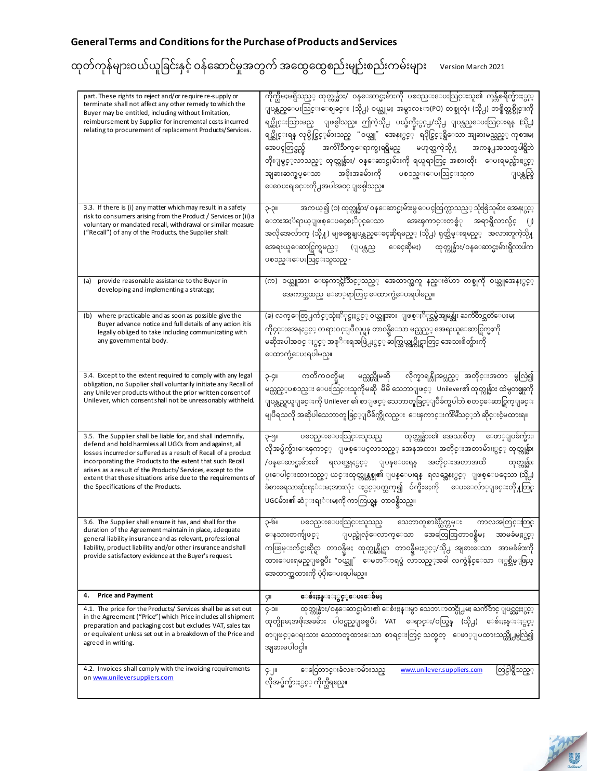| part. These rights to reject and/or require re-supply or<br>terminate shall not affect any other remedy to which the<br>Buyer may be entitled, including without limitation,<br>reimbursement by Supplier for incremental costs incurred<br>relating to procurement of replacement Products/Services.                                                                                                                       | ကိုက္သီမႈမရွိသည့္ ထုတ္ကုန္မ်ား/ ဝန္ေဆာင္မႈမ်ားကို ပစၥည္းေပးသြင္းသူ၏ ကုန္က်စရိတ္မ်ားႏွင့္<br>ျပန္လည္ေပးသြင္းေစျခင္း (သို႕) ဝယ္ယူမႈ အမွာလႊာ(PO) တစ္ခုလုံး (သို႕) တစ္စိတ္တစ္ပိုင္းကို<br>ရပ္ဆိုင္းသြားမည္ ျဖစ္ပါသည္။ ဤကဲ့သို႕ ပယ္ဖ်က္နီႏွင္႕/သို႕ ျပန္လည္ေပးသြင္းရန္ (သို႕)<br>ရပ္ဆိုင္းရန္ လုပ္ပိုင္ခြင့္6မ်ားသည္ "ဝယ္သူ" အေနႏွင့္ ရပိုင္ခြင့္ရရွိေသာ အျခားမည္သည္္ ကုစားမႈ<br>အေပၚတြင္မည္မ် အက်ိးသက္ေရာက္မႈရရွိမည္ မဟုတ္သကဲ့သို႔<br>အကန္႕အသတ္မပါရွိဘဲ<br>တိုးျမွင့္လာသည့္ ထုတ္ကုန္မ်ား/ ၀န္ေဆာင္မႈမ်ားကို ရယူရာတြင္ အစားထိုး   ေပးရမည္မ်ားႏွင့္<br>အျခားဆက္စပ္ေသာ အဖိုးအခမ်ားကို ပစၥည္းေပးသြင္းသူက<br>ျပန္လည္ရြဲ<br>ေဝေပးရျခင္းတို႕အပါအဝင္ ျဖစ္ပါသည္။ |
|-----------------------------------------------------------------------------------------------------------------------------------------------------------------------------------------------------------------------------------------------------------------------------------------------------------------------------------------------------------------------------------------------------------------------------|-----------------------------------------------------------------------------------------------------------------------------------------------------------------------------------------------------------------------------------------------------------------------------------------------------------------------------------------------------------------------------------------------------------------------------------------------------------------------------------------------------------------------------------------------------------------------------------------------------------------------------------------------------|
| 3.3. If there is (i) any matter which may result in a safety<br>risk to consumers arising from the Product / Services or (ii) a<br>voluntary or mandated recall, withdrawal or similar measure<br>("Recall") of any of the Products, the Supplier shall:                                                                                                                                                                    | အကယ္၍ (၁) ထုတ္ကုန္မ်ား/ ၀န္ေဆာင္မႈမ်ားမွ ေပၚထြက္လာသည့္ သုံးစြဲသူမ်ား အေနႏွင့္<br>19-9<br>ေဘးအႏၱရာယ္ျဖစ္ေပၚေစႏို္င္ေသာ<br>အေၾကာင္းတစ္စံု အရာရွိလာလွ်င္<br>$(\vert)$<br>အလိုအေလ်ာက္ (သို႔) မျဖစ္မေနျပန္လည္ေခၚဆိုရမည့္ (သို႕) ရုတ္သိမ္းရမည္္   အလားတူကဲ့သို႔<br>ေခၚဆိုမႈ) ထုတ္ကုန္မ်ား/ဝန္ေဆာင္မႈမ်ားရွိလာပါက<br>အေရးယူေဆာင္ရြက္ရမည့္ (ျပန္လည္<br>ပစၥည္းေပးသြင္းသူသည္ -                                                                                                                                                                                                                                                                                |
| (a) provide reasonable assistance to the Buyer in<br>developing and implementing a strategy;                                                                                                                                                                                                                                                                                                                                | (က) ဝယ္သူအား ေၾကာင္က်ဴးသင့္ဝည္္ အေထာက္အကူ နည္းဗ်ဴဟာ တစ္ခုကို ဝယ္သူအေနႏွင့္<br>အေကာင္အထည္ ေဖာ္ရာတြင္ ေထာက္ပံ့ေပးရပါမည္။                                                                                                                                                                                                                                                                                                                                                                                                                                                                                                                              |
| (b) where practicable and as soon as possible give the<br>Buyer advance notice and full details of any action it is<br>legally obliged to take including communicating with<br>any governmental body.                                                                                                                                                                                                                       | (ခ) လက္ေတြ႕က်င့္သုံးႏိုင္မႈႏွင့္ ဝယ္သူအား  ျဖစ္ႏိုင္သမွ်အျမန္ဆုံး ႀကိဳတင္သတိေပးမႈ<br>ကို၄င္းအေနႏွင့္ တရား၀င္ျပဳလုပ္ရန္ တာ၀န္ရွိေသာ မည္သည့္ အေရးယူေဆာင္ရြက္မႈကို<br>မဆိုအပါအဝင္ ႏွင္္ အစုိိးရအဖြဲ႕ႏွင့္ ဆက္သြယ္လုပ္ကိုင္ရာတြင္ အေသးစိတ္မ်ားကို<br>ေထာက္ပံ့ေပးရပါမည္။                                                                                                                                                                                                                                                                                                                                                                                 |
| 3.4. Except to the extent required to comply with any legal<br>obligation, no Supplier shall voluntarily initiate any Recall of<br>any Unilever products without the prior written consent of<br>Unilever, which consent shall not be unreasonably with held.                                                                                                                                                               | ကတိက၀တ္ရွိမႈ မည္သည္ကိုမဆို လိုက္နာရန္လိုအပ္သည့္ အတိုင္းအတာ မွလြဲ၍<br>၃-၄။<br>မည္သည့္ပစၥည္း ေပးသြင္းသူကိုမဆို  မိမိ သေဘာျဖင္္   Unilever၏ ထုတ္ကုန္မ်ား ထဲမွတစ္ခုဆုို<br>ျပန္လည္ရွယူျခင္းကို Unilever ၏ စာျဖင့္ သေဘာတူခြင့္ျပဳခ်က္မပါဘဲ စတင္ေဆာင္ရြက္ျခင္း<br>မျပဳရသလို အဆိုပါသေဘာတူခြင္္ျပဳခ်က္ကိုလည္း  ေၾကာင္းက်ဴိးမိဳသင့္ဘဲ ဆိုင္းငံ့မထားရ။                                                                                                                                                                                                                                                                                                        |
| 3.5. The Supplier shall be liable for, and shall indemnify,<br>defend and hold harmless all UGCs from and against, all<br>losses incurred or suffered as a result of Recall of a product<br>incorporating the Products to the extent that such Recall<br>arises as a result of the Products/Services, except to the<br>extent that these situations arise due to the requirements of<br>the Specifications of the Products. | ပစၥည္းေပးသြင္းသူသည္ ထုတ္ကုန္မ်ား၏ အေသးစိတ္ ေဖာ္ျပခ်က္မ်ား၊<br>၃-၅။<br>လိုအပ္ခ်က္မ်ားေၾကာင့္ ျဖစ္ေပၚလာသည္္ အေနအထား အတိုင္းအတာမ်ားႏွင့္ ထုတ္ကုန္မ်ား<br>/၀န္ေဆာင္မႈမ်ား၏ ရလဒ္အေနႏွင့္ ျပန္ေပးရန္ အတိုင္းအတာအထိ<br>ထုတ္ကုန္မ်ား<br>ပူးေပါင္းထားသည့္ ယင္းထုတ္ကုန္တစ္ခု၏ ျပန္ေပးရန္ ရလဒ္အေနႏွင့္ ျဖစ္ေပၚေသာ (သို႕)<br>ခံစားရေသာဆုံးရႈံးမႈအားလုံး ႏွင့္ပတ္သက္၍ ပ်က္စီးမႈကို ေပးေလ်ာ္ျခင္းတို႔တြင္<br>UGCမ်ား၏ ဆံုးရႈံးမႈကို ကာကြယ္ရန္  တာဝန္ရွိသည္။                                                                                                                                                                                                       |
| 3.6. The Supplier shall ensure it has, and shall for the<br>duration of the Agreement maintain in place, adequate<br>general liability insurance and as relevant, professional<br>liability, product liability and/or other insurance and shall<br>provide satisfactory evidence at the Buyer's request.                                                                                                                    | သေဘာတူစာခ်ပ္လိက္ကမ္း<br>ပစၥည္းေပးသြင္းသူသည္<br>ကြာလအတြင္းတြင္<br>11e-G<br>ေနသားတက်ျဖင့္ ျပည္စုံလုံေလာက္ေသာ အေထြေထြတာဝန္ရွိမႈ<br>အာမခံမႈႏွင့္<br>ကၽြမ္းက်င္မႈဆိုင္ရာ တာ၀န္ရွိမႈ ထုတ္ကုန္ဆိုင္ရာ တာ၀န္ရွိမႈႏွင္္/သို႕ အျခားေသာ အာမခံမ်ားကို<br>ထားေပးရမည္ျဖစ္ၿပီး "ဝယ္သူ" ေမတၱာရပ္ခံ လာသည့္အခါ လက္ခံနိုင္ေသာ ႏွစ္သိမ့္ဖြယ္<br>အေထာက္အထားကို ပံ့ပိုးေပးရပါမည္။                                                                                                                                                                                                                                                                                         |
| <b>Price and Payment</b><br>4.                                                                                                                                                                                                                                                                                                                                                                                              | ေစ်းႏႈန္းႏွင့္ေပးေခ်မႈ<br>ÇII                                                                                                                                                                                                                                                                                                                                                                                                                                                                                                                                                                                                                       |
| 4.1. The price for the Products/ Services shall be as set out<br>in the Agreement ("Price") which Price includes all shipment<br>preparation and packaging cost but excludes VAT, sales tax<br>or equivalent unless set out in a breakdown of the Price and<br>agreed in writing.                                                                                                                                           | ထုတ္ကုန္မ်ား/ဝန္ေဆာင္မႈမ်ား၏ ေစ်းႏႈန္းမွာ သေဘၤာတင္ပို႕မႈ ႀကိဳတင္ ျပင္ဆင္မႈႏွင့္<br><b>IIC-Q</b><br>ထုတ္ဂိုးမႈအဖိုးအခမ်ား ပါ၀င္မည္ျဖစ္ၿပီး VAT ေရာင္း/၀ယ္ခြန္ (သို႕) ေစ်းႏႈန္းႏွင္္<br>စာျဖင့္ေရးသား သေဘာတူထားေသာ စာရင္းတြင္ သတ္မွတ္   ေဖာ္ျပထားသည္တို႕မွလြဲ၍<br>အျခားမပါဝင္ပါ။                                                                                                                                                                                                                                                                                                                                                                      |
| 4.2. Invoices shall comply with the invoiding requirements<br>on www.unileversuppliers.com                                                                                                                                                                                                                                                                                                                                  | ေငြေတာင္းခံလႊာမ်ားသည္<br>www.unilever.suppliers.com<br>တြင္ပါရွိသည့္<br>$9 - 1$<br>လိုအပ္ခ်က္မ်ားႏွင့္ ကိုက္သီရမည္။                                                                                                                                                                                                                                                                                                                                                                                                                                                                                                                                 |

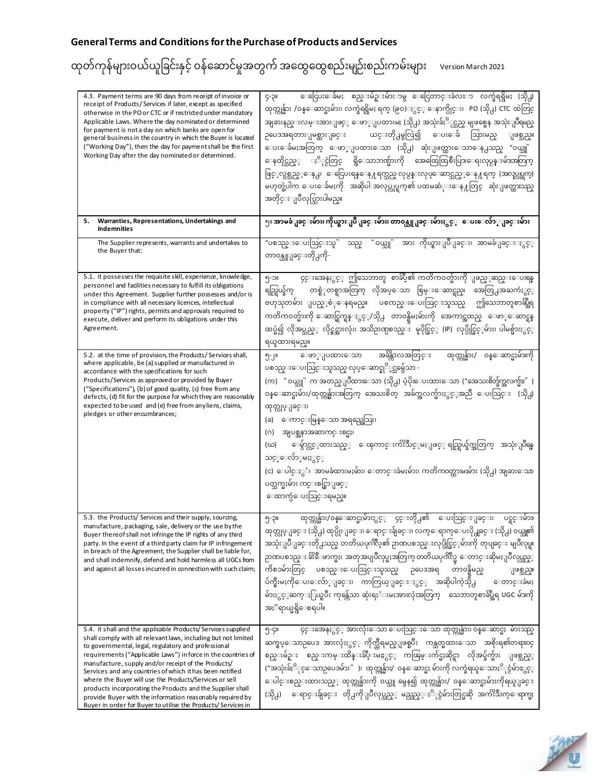| 4.3. Payment terms are 90 days from receipt of invoice or<br>receipt of Products/Services if later, except as specified<br>otherwise in the PO or CTC or if restricted under mandatory<br>Applicable Laws. Where the day nominated or determined<br>for payment is not a day on which banks are open for<br>general business in the country in which the Buyer is located<br>("Working Day"), then the day for payment shall be the first<br>Working Day after the day nominated or determined.                                                                                                                               | ေငြေပးေခ်မႈ စည္းမ်ဥ္းမ်ားာမွ ေငြေတာင္းခံလႊာ လက္ခံရရွိမႈ (သို႕)<br>၄-၃။<br>ထုတ္ကုန္မ်ား /၀န္ေဆာင္မႈမ်ား၊ လက္ခံရရွိမႈ ရက္ (၉၀)ႏွင့္ ေနာက္ပိုင္း၊ _PO (သို႕) CTC_ထဲတြင္<br>အျခားနည္းလမ္းအားျဖင္္ ေဖာ္ျပထားမႈ (သို႕) အသုံးခ်ႏို္လင္သည္ မျဖစ္မေန အသုံးျပဳရမည္<br>ယင္းတို႕မွလြဲ၍ ေပးေခ် သြားမည္<br>ဉပေဒအရတားျမစ္ထားျခင္း<br>ျဖစ္သည္။<br>ေပးေခ်မႈအတြက္ ေဖာ္ျပထားေသာ (သို႕) ဆုံးျဖတ္ထားေသာေန႕သည္ "ဝယ္သူ"<br>ေနထိုင္သည့္ ႏို္င္ငံတြင္ ရွိေသာဘဏ္မ်ားကို အေထြေထြစီးပြားေရးလုပ္ငန္းမ်ားအတြက္<br>ဖြင့္ဝပ္ဂစ္သည့္ေန႕၊ ေငြေပးရန္ေန႔ရက္သည္ လုပ္ငန္းလုပ္ေဆာင္သည့္ေန႔ရက္ (အလုပ္လုပ္ရက္)<br>မဟုတ္ခဲ့ပါက ေပးေခ်မႈကို   အဆိုပါ အလုပ္လုပ္ရက္၏ ပထမဆံုးေန႔တြင္   ဆုံးျဖတ္ထားသည္<br>အတိုင္း ျပဳလုပ္သြားပါမည္။ |
|-------------------------------------------------------------------------------------------------------------------------------------------------------------------------------------------------------------------------------------------------------------------------------------------------------------------------------------------------------------------------------------------------------------------------------------------------------------------------------------------------------------------------------------------------------------------------------------------------------------------------------|--------------------------------------------------------------------------------------------------------------------------------------------------------------------------------------------------------------------------------------------------------------------------------------------------------------------------------------------------------------------------------------------------------------------------------------------------------------------------------------------------------------------------------------------------------------------------------------------------------------------------------------------------------------------------------------|
| Warranties, Representations, Undertakings and<br>5.<br><b>Indemnities</b>                                                                                                                                                                                                                                                                                                                                                                                                                                                                                                                                                     | ၅။ အာမခံျခင္းမ်ား၊ ကိုယ္စားျပဳျခင္းမ်ား၊ တာ၀န္ယူျခင္းမ်ားႏွင့္   ေပးေလ်ာ္ျခင္းမ်ား                                                                                                                                                                                                                                                                                                                                                                                                                                                                                                                                                                                                   |
| The Supplier represents, warrants and undertakes to<br>the Buyer that:                                                                                                                                                                                                                                                                                                                                                                                                                                                                                                                                                        | အား ကိုယ္စားျပဳျခင္း၊ အာမခံျခင္းႏွင့္<br>"၀ယ္သူ"<br>"ပစၥည္းေပးသြင္းသူ"<br>သည္<br>တာ၀န္ယူျခင္းတို႕ကို-                                                                                                                                                                                                                                                                                                                                                                                                                                                                                                                                                                                |
| 5.1. it possesses the requisite skill, experience, knowledge,<br>personnel and facilities necessary to fulfill its obligations<br>under this Agreement. Supplier further possesses and/or is<br>in compliance with all necessary licences, intellectual<br>property ("IP") rights, permits and approvals required to<br>execute, deliver and perform its obligations under this<br>Agreement.                                                                                                                                                                                                                                 | ၄င္းအေနႏွင့္ ဤသေဘာတူ စာခ်ဳပ္၏ ကတိကဝတ္မ်ားကို ျဖည့္ဆည္းေပးရန<br>၅-၁။<br>ရည္ရြယ္ခ်က္ တစ္စံုတစ္ရာအတြက္ လိုအပ္ေသာ စြမ္းေဆာင္ရည္၊ အေတြ႕အႀကံႏွင့္<br>ဗဟုသုတမ်ား ျပည့္စံုေနရမည္။ ပစၸည္းေပးသြင္းသူသည္ ဤသေဘာတူစာဆို့ရွ<br>ကတိက၀တ္မ်ားကို ေဆာင္ရြက္ရန္ႏွင့္/သို႕ တာ၀န္ရွိမႈမ်ားကို အေကာင္အထည္ ေဖာ္ေဆာင္ရန<br>ထပ္မံ၍ လိုအပ္သည့္ လိုင္စင္အားလုံး၊ အသိဉာဏ္ပစၥည္း  မူပိုင္ခြင့္ (IP)  လုပ္ပိုင္ခြင့္နမ်ား၊ ပါမစ္မ်ားႏွင့္<br>ရယူထားရမည္။                                                                                                                                                                                                                                                           |
| 5.2. at the time of provision, the Products/Services shall,<br>where applicable, be (a) supplied or manufactured in<br>accordance with the specifications for such<br>Products/Services as approved or provided by Buyer<br>("Specifications"), (b) of good quality, (c) free from any<br>defects, (d) fit for the purpose for which they are reasonably<br>expected to be used and (e) free from any liens, claims,<br>pledges or other encumbrances;                                                                                                                                                                        | အခ်ိန္ကာလအတြင္း<br>ထုတ္ကုန္မ်ား/ ဝန္ေဆာင္မႈမ်ားကို<br>ေဖာ္ျပထားေသာ<br>၅-၂။<br>ပစၥည္းေပးသြင္းသူသည္ လုပ္ေဆာင္နုိ္င္သမွ်ေသာ -<br>(က) "ဝယ္သူ" က အတည္ျပဳထားေသာ (သို႕) ပံ့ပိုးေပးထားေသာ ("အေသးစိတ္ခ်က္အလက္မ်ား" )<br>ဝန္ေဆာင္မႈမ်ား/ထုတ္ကုန္မ်ားအတြက္ အေသးစိတ္ အခ်က္အလက္မ်ားႏွင့္အာညီ ေပးသြင္း (သို႕)<br>ထုတ္လုပ္ျခင္း၊<br>(ခ) ေကာင္းမြန္ေသာ အရည္အေသြး၊<br>(ဂ)<br>အျပစ္အနာအဆာကင္းစင္မႈ၊<br>ေမွ်ာင္လင့္ဇတးသည္္ ေၾကာင္းက်ဴးသိင့္မႈျဖင့္ ရည္ရြယ္ခ်က္အတြက္ အသုံးျပဳရန္<br>(ဃ)<br>သင့္ေလ်ာ္မမႈႏွင့့<br>(င) ေပါင္ႏွ <b>ံ၊ အာမခံထားမႈမ်ား၊ ေတာင္းခံမႈမ်ား၊ ကတိက၀</b> တ္ထားမႈမ်ား (သို႕) အျခားေသာ<br>ပတ္သက္မႈမ်ား ကင္းစင္စြာျဖင့္<br>ေထာက္ပံေပးသြင္းရမည္။                                          |
| 5.3. the Products/ Services and their supply, sourcing,<br>manufacture, packaging, sale, delivery or the use by the<br>Buyer thereof shall not infringe the IP rights of any third<br>party. In the event of a third party claim for IP infringement<br>in breach of the Agreement, the Supplier shall be liable for,<br>and shall indemnify, defend and hold harmless all UGCs from<br>and against all losses incurred in connection with such claim;                                                                                                                                                                        | ထုတ္ကုန္မ်ား/၀န္ေဆာင္မႈမ်ားႏွင့္ ၄င္းတို႕၏ ေပးသြင္းျခင္း၊ ပင္ရင္းမ်ား၊<br>၅-၃။<br>ထုတ္လုပ္ျခင္း (သို႕) ထုပ္ပိုးျခင္း၊ ေရာင္းခ်ျခင္း၊ လက္ေရာက္ေပးပို႕ျခင္း (သို႕) ဝယ္သူ၏<br>အသုံးျပဳျခင္းတို႕သည္ တတိယပုဂၢိဳလ္၏ ဉာဏပစၥည္းလုပ္ပိုင္ခြင့္နမ်ားကို တုပျခင္း မျပဳလုပ္ရ။<br>ဉာဏပစၥည္း ခ်ိႏိေဖာက္မႈ၊ အတုအပျပဳလုပ္မႈအတြက္ တတိယပုဂၢိဳလ္မွ ေတာင္းဆိုမႈျပဳလုပ္သည့္<br>ကိစၥမ်ားတြင္ ပစၥည္းေပးသြင္းသူသည္ ဉပေဒအရ တာဝန္ရွိမည္<br>ျဖစ္သည္။<br>ပ်က္စီးမႈကိုေပးေလ်ာ္ျခင္း၊ ကာကြယ္ျခင္းႏွင့္ အဆိုပါကဲ့သို႕   ေတာင္းခံမႈ<br>မ်ားႏွင့္ဆက္ႏြယ္ၿပီး ကုန္က်ေသာ ဆုံးရႈံးမႈအားလုံးအတြက္ ေသေဘာတူစာခ်ဳပ္အီရ UGC မ်ားကို<br>အႏၱရာယ္မရွိေစရပါ။                                                                      |
| 5.4. it shall and the applicable Products/Services supplied<br>shall comply with all relevant laws, including but not limited<br>to governmental, legal, regulatory and professional<br>requirements ("Applicable Laws") in force in the countries of<br>manufacture, supply and/or receipt of the Products/<br>Services and any countries of which it has been notified<br>where the Buyer will use the Products/Services or sell<br>products incorporating the Products and the Supplier shall<br>provide Buyer with the information reasonably required by<br>Buyer in order for Buyer to utilise the Products/Services in | ၄င္းအေနႏွင့္ အားလုံးေသာ ေပးသြင္းေသာ ထုတ္ကုန္မ်ား၊ ၀န္ေဆာင္မႈ  မ်ားသည္<br>၅-၄။<br>ဆက္စပ္ေသာဥပေဒ အားလုံးႏွင့္ ကိုက္သီရမည္ျဖစ္ၿပီး ကန္သတ္မထားေသာ အစိုးရ၏တရား၀င္<br>စည္းမ်ဥ္း စည္းကမ္းထိန္းခ်ဳပ္းမႊႏွင့္ ကၽြမ္းက်င္မႈဆိုင္ရာ လိုအပ္ခ်က္မ်ား ျဖစ္သည့္<br>("အသုံးခ်ႏိြင္ေသာဥပေဒမ်ား" )၊  ထုတ္ကုန္မ်ား/  ဝန္ေဆာင္မႈ မ်ားကို လက္ခံရယူေသာႏို္င္ငံမ်ားႏွင့္<br>ေပါင္းစည္းထားသည့္ ထုတ္ကုန္မ်ားကို ဝယ္သူ မွေန၍ ထုတ္ကုန္မ်ား/ ဝန္ေဆာင္မႈမ်ားကိုရယူျခင္း<br>(သို႕) ေရာင္းခ်ျခင္း တို႕ကိုျပဳလုပ္သည့္ မည္သည္္ႏို္င္ငံမ်ားတြင္မဆို အက်ဴိးသက္ေရာက္မႈ                                                                                                                                                   |

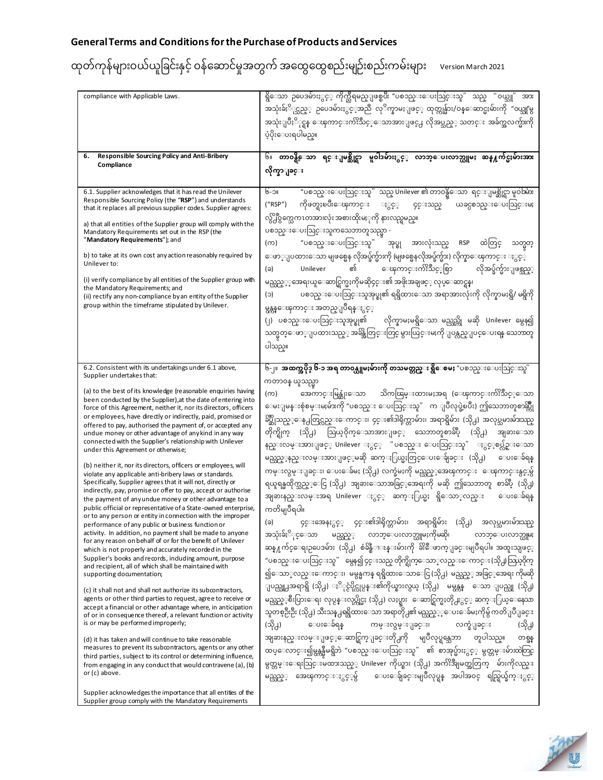| compliance with Applicable Laws.                                                                                                                                                                                                                                                                                                                                                                                                                                                                                                                                                                                                                                                                                                                                                                                                                                                                                                                                                                                                                                                                                                                                                                                                                                                                                                                                                                                                                                                                                                                                                                                                                                                                                                                                                                                                                                          | ရွိေသာ ဥပေဒမ်ားႏွင့္ ကိုက္သီရမည္ျဖစ္ၿပီး "ပစၥည္းေပးသြင္းသူ" သည္<br>"၀ယ္သူ"<br>အား<br>အသုံးခ်ႏိြင္သည္္ ဥပေဒမ်ားႏွင့္အညီ လုိက္နာမႈျဖင့္ ထုတ္ကုန္မ်ား/ဝန္ေဆာင္မႈမ်ားကို "ဝယ္သူ'မွ<br>အသုံးျပဳႏို္င္ရန္ ေၾကာင္းက် <sup>၀္</sup> သိဳင့္ေသာအားျဖင္႕ လိုအပ္သည့္ သတင္း အခ်က္အလက္မ်ားကို<br>ပံ့ပိုးေပးရပါမည္။                                                                                                                                                                                                                                                                                                                                                                                                                                                                                                                                                                                                                                                                                                                                                                                                                                                                                                                                                                                                                                                                                                                                                                                                                                                                                                                                                                                                                                                                                                                                    |
|---------------------------------------------------------------------------------------------------------------------------------------------------------------------------------------------------------------------------------------------------------------------------------------------------------------------------------------------------------------------------------------------------------------------------------------------------------------------------------------------------------------------------------------------------------------------------------------------------------------------------------------------------------------------------------------------------------------------------------------------------------------------------------------------------------------------------------------------------------------------------------------------------------------------------------------------------------------------------------------------------------------------------------------------------------------------------------------------------------------------------------------------------------------------------------------------------------------------------------------------------------------------------------------------------------------------------------------------------------------------------------------------------------------------------------------------------------------------------------------------------------------------------------------------------------------------------------------------------------------------------------------------------------------------------------------------------------------------------------------------------------------------------------------------------------------------------------------------------------------------------|-----------------------------------------------------------------------------------------------------------------------------------------------------------------------------------------------------------------------------------------------------------------------------------------------------------------------------------------------------------------------------------------------------------------------------------------------------------------------------------------------------------------------------------------------------------------------------------------------------------------------------------------------------------------------------------------------------------------------------------------------------------------------------------------------------------------------------------------------------------------------------------------------------------------------------------------------------------------------------------------------------------------------------------------------------------------------------------------------------------------------------------------------------------------------------------------------------------------------------------------------------------------------------------------------------------------------------------------------------------------------------------------------------------------------------------------------------------------------------------------------------------------------------------------------------------------------------------------------------------------------------------------------------------------------------------------------------------------------------------------------------------------------------------------------------------------------------------------|
| Responsible Sourcing Policy and Anti-Bribery<br>6.<br>Compliance                                                                                                                                                                                                                                                                                                                                                                                                                                                                                                                                                                                                                                                                                                                                                                                                                                                                                                                                                                                                                                                                                                                                                                                                                                                                                                                                                                                                                                                                                                                                                                                                                                                                                                                                                                                                          | ရင္းျမစ္ဆိုင္ရာ မူ၀ါဒမ်ားႏွင့္ လာဘ္ေပးလာဘ္ယူမႈ ဆန္႔က်င္မႈမ်ားအား<br>હિં॥<br>တာ၀န္ရွိေသာ<br>လိုက္နာျခင္း                                                                                                                                                                                                                                                                                                                                                                                                                                                                                                                                                                                                                                                                                                                                                                                                                                                                                                                                                                                                                                                                                                                                                                                                                                                                                                                                                                                                                                                                                                                                                                                                                                                                                                                                 |
| 6.1. Supplier acknowledges that it has read the Unilever<br>Responsible Sourcing Policy (the "RSP") and understands<br>that it replaces all previous supplier codes. Supplier agrees:<br>a) that all entities of the Supplier group will comply with the<br>Mandatory Requirements set out in the RSP (the<br>"Mandatory Requirements"); and<br>b) to take at its own cost any action reasonably required by<br>Unilever to:<br>(i) verify compliance by all entities of the Supplier group with<br>the Mandatory Requirements; and<br>(ii) rectify any non-compliance by an entity of the Supplier<br>group within the timeframe stipulated by Unilever.                                                                                                                                                                                                                                                                                                                                                                                                                                                                                                                                                                                                                                                                                                                                                                                                                                                                                                                                                                                                                                                                                                                                                                                                                 | "ပစၥည္းေပးသြင္းသူ" သည္ Unilever ၏ တာဝန္ရွိေသာ  ရင္းျမစ္ဆိုင္ရာ မူဝါအ်ား<br><b>UC-9</b><br>ကိုဖတ္ရႈၿပီးေၾကာင္း ႏွင့္<br>("RSP")<br>ယခင္ပစၥည္းေပးသြင္းမႈ<br>၄င္းသည္<br>လွ်ိ႕ီဝွက္သေကၤတအားလုံး အစားထိုးမႈုကို နားလည္ရမည္။<br>ပစၥည္းေပးသြင္းသူကသေဘာတူသည္မွာ -<br>ထဲတြင္<br>"ပစၥည္းေပးသြင္းသူ" အုပ္စု အားလုံးသည္<br><b>RSP</b><br>(က)<br>သတ္မတ္<br>ေဖာ္ျပထားေသာ မျဖစ္မေန လိုအပ္ခ်က္မ်ားကို (မျဖစ္မေနလိုအပ္ခ်က္မ်ား) လိုက္နာေၾကာင္း ႏွင့္<br>၏<br>ေၾကာင္းက်ဴိးသင့္စြတ<br>Unilever<br>လိုအပ္ခ်က္မ်ားျဖစ္သည့္<br>(ခ)<br>မည္သည့္္ေအရးယူေဆာင္ရြက္မႈကိုမဆို၄င္း၏ အဖိုးအချဖင့္ လုပ္ေဆာင္ရန္၊<br>ပစၥည္းေပးသြင္းသူအုပ္စု၏ ရရွိထားေသာ အရာအားလုံးကို လိုက္နာမႈရွိ/ မရွိကို<br>(င)<br>မွန္ကန္ေၾကာင္း အတည္ျပဳရန္ႏွင့္<br>(၂) ပစၥည္းေပးသြင္းသူအုပ္စု၏ လိုက္နာမႈမရွိေသာ မည္သည္ကို မဆို Unilever မွေန၍<br>သတ္မတ္ေဖာ္ျပထားသည့္ အခ်ိန္အတြင္းတြင္ မွားယြင္းမႈကို ျပန္လည္ျပင္ေပးရန္ သေဘာတူ<br>ပါသည္။                                                                                                                                                                                                                                                                                                                                                                                                                                                                                                                                                                                                                                                                                                                                                                                                                                                                                                                                                             |
| Supplier undertakes that:<br>(a) to the best of its knowledge (reasonable enquiries having<br>been conducted by the Supplier), at the date of entering into<br>force of this Agreement, neither it, nor its directors, officers<br>or employees, have directly or indirectly, paid, promised or<br>offered to pay, authorised the payment of, or accepted any<br>undue money or other advantage of any kind in any way<br>connected with the Supplier's relationship with Unilever<br>under this Agreement or otherwise;<br>(b) neither it, nor its directors, officers or employees, will<br>violate any applicable anti-bribery laws or standards.<br>Specifically, Supplier agrees that it will not, directly or<br>indirectly, pay, promise or offer to pay, accept or authorise<br>the payment of any undue money or other advantage to a<br>public official or representative of a State-owned enterprise,<br>or to any person or entity in connection with the improper<br>performance of any public or business function or<br>activity. In addition, no payment shall be made to anyone<br>for any reason on behalf of or for the benefit of Unilever<br>which is not properly and accurately recorded in the<br>Supplier's books and records, induding amount, purpose<br>and recipient, all of which shall be maintained with<br>supporting documentation;<br>(c) it shall not and shall not authorize its subcontractors,<br>agents or other third parties to request, agree to receive or<br>accept a financial or other advantage where, in anticipation<br>of or in consequence there of, a relevant function or activity<br>is or may be performed improperly;<br>(d) it has taken and will continue to take reasonable<br>measures to prevent its subcontractors, agents or any other<br>third parties, subject to its control or determining influence, | ၆-၂။  အထက္အပိုဒ္ ၆-၁ အရ တာ၀န္ယူမႈမ်ားကို တသမတ္တည္း ရွိေစမႈ "ပစၥည္းေပးသြင္းသူ"<br>ကတာ၀န္ ယူသည္မွာ<br>အေကာင္းမြန္ဆုံးေသာ သိကၽြမ္းထားမႈအရ (ေၾကာင္းက်ဴိးသင့္ေသာ<br>(က)<br>ေမးျမန္းစုံစမ္းမႈမ်ားကို "ပစၥည္း ေပးသြင္းသူ" က ျပဳလုပ္ခဲ့ၿပီး) ဤသေဘာတူစာဆွိဳ႔<br>ခ်ဳပ္ဆိုသည့္ေန႕တြင္လည္းေကာင္း၊ ၄င္း၏ဒါရိုက္တာမ်ား၊ အရာရွိမ်ား (သို႕) အလုပ္သမားမ်ားသည္<br>တိုက္ရိုက္ (သို႕) ဩယ္ဝိုက္ေသာအားျဖင့္ သေဘာတူစာခ်ဳပ္ (သို႕) အျခားေသာ<br>နည္းလမ္းအားျဖင့္ Unilever ႏွင့္ "ပစၥည္း ေပးသြင္းသူ" ႏွင့္စပ္လ်ဥ္းေသာ<br>မည္သည့္နည္းလမ္းအားျဖင့္မဆို ဆက္ႏြယ္မႈတြင္ေပးေခ်ျခင္း (သို႕)<br>ေပးေခဲရန္<br>ကမ္းလွမ္းျခင္း၊ ေပးေခ်မႈ (သို႕) လက္ခံမႈကို မည္သည့္အေၾကာင္း  ေၾကာင္းနွင့္အမွ်<br>ရယူရန္မထိုက္သည့္ေငြ (သို႕) အျခားေသာအခြင့္ေအရးကို မဆို ဤသေဘာတူ စာခ်ဳပ္ (သို႕)<br>အျခားနည္းလမ္းအရ Unilever ႏွင့္ ဆက္ႏြယ္မႈ ရွိေသာ္လည္း<br>ေပးေခ်ရန္<br>ကတိမျပဳရပါ။<br>၄င္းအေနႏွင့္ ၄င္း၏ဒါရိုက္တာမ်ား၊ အရာရွိမ်ား (သို႕) အလုပ္သမားမ်ားသည္<br>(ခ)<br>အသုံးခ်ႏို္င္ေသာ မည္သည့္ လာဘ္ေပးလာဘ္ယူမႈကိုမဆို၊<br>လာဘ္ေပးလာဘ္ယူမႈ<br>ဆန္႔က်င္ေရးဥပေဒမ်ား (သို႕) စံခ်ိန္စီၫၖန္းမ်ားကို ခ်ိႏိေဖာက္ျခင္းမျပဳရပါ။ အထူးသျဖင့္<br>"ပစၥည္းေပးသြင္းသူ" မွေန၍ ၄င္းသည္ တိုက္ရိုက္ေသာ္လည္းေကာင္း (သို႕) သြယ္ဝိုက္<br>၍ေသာ္လည္းေကာင္း၊  မမွန္မကန္ ရရွိထားေသာေငြ (သို႕)  မည္သည္္ အခြင့္ေအရး ကိုမဆို<br>ျပည္သူ႕အရာရွိ (သို႕) ႏို္င္ငံပိုင္လုပ္ငန္း၏ကိုယ္စားလွယ္ (သို႕) - မမွန္ကန္ - ေသာ ျပည္သူ (သို႕)<br>မည္သည့္စီးပြားေရး လုပ္ငန္းလုပ္ကိုင္မႈ (သို႕) လႈပ္ရွား  ေဆာင္ရြက္မႈတို႕ႏွင့္ ဆက္ႏြယ္ေနေသာ<br>သူတစ္ဦးဦး (သို႕) သီးသန္႕ရရွိထားေသာ အရာတို႕၏ မည္သည့္္ေပးေခ်မႈကိုမွ် ကတိျပဳျခင္း<br>(သို႕)<br>ေပးေခ်ရန္ ကမ္းလွမ္းျခင္း၊ လက္ခံျခင္း<br>(သို႕)<br>အျခားနည္းလမ္းျဖင့္ေဆာင္ရြက္ျခင္းတို႕ကို မျပဳလုပ္ရန္သေဘာ တူပါသည္။<br>တစ္ဖန<br>ထပ္ေလာင္း၍မွန္ကန္မွဳမရွိဘဲ "ပစၥည္းေပးသြင္းသူ" ၏ စာအုပ္မ်ားႏွင့္ မွတ္တမ္းမ်ားထဲတြင္<br>မွတ္တမ္းေရးသြင္းမထားသည္္ Unilever ကိုယ္စား (သို႕) အက်ိဳးအျမတ္အတြက္ - မ်ားကိုလည္း |
| or (c) above.<br>Supplier acknowledges the importance that all entities of the<br>Supplier group comply with the Mandatory Requirements                                                                                                                                                                                                                                                                                                                                                                                                                                                                                                                                                                                                                                                                                                                                                                                                                                                                                                                                                                                                                                                                                                                                                                                                                                                                                                                                                                                                                                                                                                                                                                                                                                                                                                                                   | မည္သည့္ အေၾကာင္းႏွင့္မွ်   ေပးေခ်ျခင္းမျပဳလုပ္ရန္ အပါအ၀င္ ရည္ရြယ္ခ်က္ႏွင့္                                                                                                                                                                                                                                                                                                                                                                                                                                                                                                                                                                                                                                                                                                                                                                                                                                                                                                                                                                                                                                                                                                                                                                                                                                                                                                                                                                                                                                                                                                                                                                                                                                                                                                                                                              |

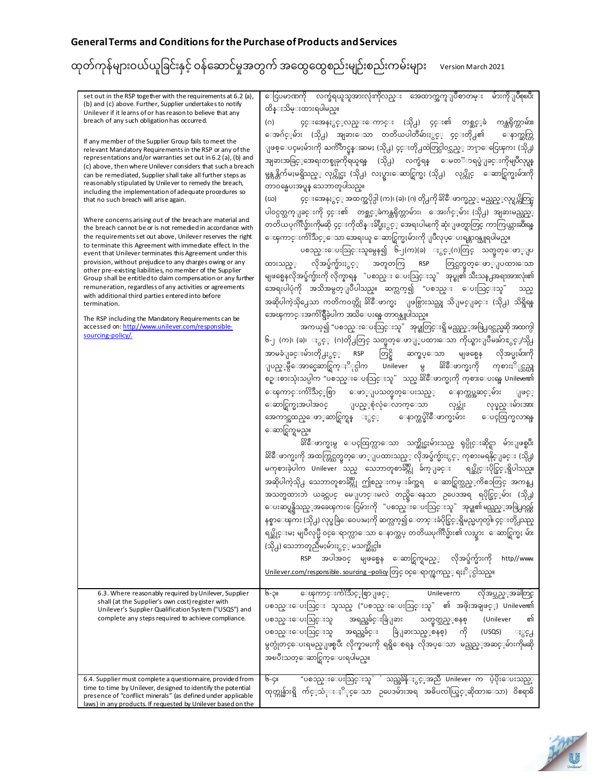| set out in the RSP together with the requirements at 6.2 (a),<br>(b) and (c) above. Further, Supplier undertakes to notify<br>Unilever if it learns of or has reason to believe that any<br>breach of any such obligation has occurred.<br>If any member of the Supplier Group fails to meet the<br>relevant Mandatory Requirements in the RSP or any of the<br>representations and/or warranties set out in 6.2 (a), (b) and<br>(c) above, then where Unilever considers that such a breach<br>can be remediated, Supplier shall take all further steps as<br>reasonably stipulated by Unilever to remedy the breach,<br>including the implementation of adequate procedures so<br>that no such breach will arise again.<br>Where concerns arising out of the breach are material and<br>the breach cannot be or is not remedied in accordance with<br>the requirements set out above, Unilever reserves the right<br>to terminate this Agreement with immediate effect. In the<br>event that Unilever terminates this Agreement under this<br>provision, without prejudice to any charges owing or any<br>other pre-existing liabilities, no member of the Supplier<br>Group shall be entitled to daim compensation or any further<br>remuneration, regardless of any activities or agreements<br>with additional third parties entered into before<br>termination.<br>The RSP including the Mandatory Requirements can be<br>accessed on: http://www.unilever.com/responsible-<br>sourcing-policy/.<br>6.3. Where reasonably required by Unilever, Supplier | ေငြပမာဏကို လက္ခံရယူသူအားလုံးကိုလည္း အေထာက္အကူျပဳစာတမ္း<br>မ်ားကိုျပဳစုၿပီး<br>ထိန္းသိမ္းထားရပါမည္။<br>၄င္းအေနႏွင့္ဝသ္းေကာင္း (သို႕) ၄င္း၏ တစ္ဆင့့ခံ ကန္ထရိုက္တာမ်ား၊<br>(0)<br>ေအဂ်င့္နမ်ား (သို႕) အျခားေသာ တတိယပါတီမ်ားႏွင့္ ၄င္းတို႕၏<br>ေနာက္ဆက္တြ<br>ျဖစ္ေပၚမႈမ်ားကို ႀကိဳတင္မန္းဆမႈ (သို႕) ၄င္းတို႕ထဲတြင္ပါဝင္သည္္ ဘ႑ာေငြေၾကး (သို႕)<br>အျခားအခြင့္အေအရးတစ္ခုခုကိုရယူရန္ (သို႕) လက္ခံရန္ ေမတၱာရပ္ခံျခင္းကိုမျပဳလုပ္ရန္<br>မွန္က န္ကိက်မႈမရွိသည့္ လုပ္ကိုင္မႈ (သို႕) လႈပ္ရွားေဆာင္ရြက္မႈ (သို႕)   လုပ္ကိုင္   ေဆာင္ရြက္မႈမ်ားကို<br>တာဝန္မေပးအပ္ရန္ သေဘာတူပါသည္။<br>၄င္းအေနႏွင့္ အထက္အပိုဒ္ပါ (က)၊ (ခ)၊ (ဂ) တို႕ကို ခ်ိႏိေဖာက္မည္္ မည္သည့္လုပ္ရပ္ကိတြင္မ<br>(ဃ)<br>ပါဝင္ပတ္သက္ျခင္းကို ၄င္း၏ တစ္ဆင့္ခံကန္ထရိုက္တာမ်ား၊ ေအးဂ်င့္မ်ား (သို႕) အျခားမည္သည္္<br>တတိယပုဂၢိဳလ္မ်ားကိုမဆို ၄င္းကိုထိန္းခ်ဳပ္မႈႏွင့္ အေရးပါမႈကို ဆုံးျဖတ္ရာတြင္ ကာကြယ္ကားဆီးရန္<br>ေၾကာင္းက်ိးသင့္ေသာ အေရးယူ ေဆာင္ရြက္မႈမ်ားကို ျပဳလုပ္ေပးရန္ဘာ၀န္ယူရပါမည္။<br>ပစၥည္းေပးသြင္းသူမွေန၍ ၆-၂(က)(ခ) ႏွင့္(ဂ)တြင္ သတ္မွတ္ေဖာ္ျပ<br>အတူတကြ RSP တြင္သတ္မတ္ေဖာ္ျပထားေသာ<br>လိုအပ္ခ်က္မ်ားႏွင့္<br>ထားသည့္<br>မျဖစ္မေနလိုအပ္ခ်က္မ်ားကို လိုက္နာရန္ "ပစၥည္း ေပးသြင္းသူ" အုပ္စု၏ သီးသန္႕အရာအားလုံး၏<br>အေရးပါပုံကို အသိအမွတ္ျပဳပါသည္။ ဆက္လက္၍ "ပစၥည္း ေပးသြင္းသူ"<br>သည္<br>အဆိုပါကဲ့သို႕ေသာ ကတိကဝတ္ကို ခ်ိႏိေဖာက္မႈ ျဖစ္ပြားသည္ဟု သိျမင္ျခင္း (သို႕) သိရွိရန္<br>အေၾကာင္းအက်ိးရွိဳခဲ့ပါက အသိေပးရန္ တာဝန္ယူပါသည္။<br>အကယ္၍ "ပစၥည္းေပးသြင္းသူ" အုပ္စုတြင္းရွိ မည္သည့္အဖြဲ႕ဝင္သည္မဆို အထက္ပါ<br>၆-၂ (က)၊ (ခ)၊ ႏွင္္ (ဂ)တို႕တြင္ သတ္မတ္ေဖာျ္ပထားေသာ ကိုယ္စားျပဳမႈမ်ာႊွင္ၠ⁄သို႕<br>RSP တြင္ရွိ<br>အာမခံျခင္းမ်ားတို႕ႏွင့္<br>ဆက္စပ္ေသာ<br>မျဖစ္မေန လိုအပ္မႈမ်ားကို<br>ခ်ိႏိေဖာက္မႈကို ကုစားႏို္င္သည္ဟု<br>ျပည့္မွီေအာင္မေဆာင္ရြက္ႏို္င္ပါက Unilever မွ<br>စဥ္းစားသုံးသပ္ပါက "ပစၥည္းေပးသြင္းသူ" သည္ ခ်ိ <sup>င္မ</sup> ဳိဖာက္မႈကို ကုစားေပးရန္ Unilever၏<br>ေၾကာင္းက်ိဳးသင့္စစြာ ေဖာ္ျပသတ္မွတ္ေပးသည့္ ေနာက္ထပ္အဆင့္ငမ်ား<br>ျဖင့္<br>ေဆာင္ရြက္မႈအပါအဝင္ ျပည့္စုံလုံေလာက္ေသာ<br>လုပ္ထုံး လုပ္နည္းမ်ားအား<br>အေကာင္အထည္ေဖာ္ဆာင္ရြက္ရန္ ႏွင့္ ေနာက္ထပ္ခ် <sup>ပ္စ</sup> ိဳေဖာက္မႈမ်ား ေပၚထြက္မလာရန<br>ေဆာင္ရြက္ရမည္။<br>ခ်ိႏိေဖာက္မႈမွ ေပၚထြက္လာေသာ သက္ဆိုင္မႈမ်ားသည္ ရုပ္ပိုင္းဆိုင္ရာ မ်ားျဖစ္ၿပီး<br>ခ်ိႏိေဖာက္မႈကို အထက္တြင္သတ္မတ္ေဖာ္ျပထားသည္္ လိုအပ္ခ်က္မ်ားႏွင့္ ကုစားမရနိုင္ျခင္း (သို႕)<br>မကုစားခဲ့ပါက Unilever သည္ သေဘာတူစာခ်ဳပ္ကို ခ်က္ျခင္း  ရပ္ဆိုင္းပိုင္ခြင့္ရရွိပါသည္။<br>အဆိုပါကဲ့သို႕ သေဘာတူစာခ်ဳပ္ကို ဤစည္းကမ္းခ်က္အရ  ေဆာင္ရြက္သည့္ကိစၥတြင္ အကန္႕<br>အသတ္မထားဘဲ ယခင္ကပင္ မေျပာင္းမလဲ တည္ရွိေနေသာ ဥပေဒအရ ရပိုင္ခြင့္နမ်ား (သို႕)<br>ေပးဆပ္ရန္ရွိသည့္အခေၾကးေငြမ်ားကို "ပစၥည္းေပးသြင္းသူ" အုပ္စု၏ မည္သည့္အဖြဲ႕ဝင္ဟမ်<br>နစ္နာေၾကး (သို႕) လုပ္ခ ခြဲေဝေပးမႈကို ဆက္လက္၍ ေတာင္းခံပိုင္ခြင့္ရရွိမည္မဟုတ္ပါ။ ၄င္းတို႕သည္<br>ရပ္ဆိုင္းမႈ မျပဳလုပ္မီ ၀င္ေရာက္လာေသာ ေနာက္ထပ္ တတိယပုဂၢိဳလ္မ်ား၏ လႈပ္ရွား  ေဆာင္ရြက္မႈ မ်ား<br>(သို႕) သေဘာတူညီမႈမ်ားႏွင့္ မသက္ဆိုင္ပါ။<br>အပါအဝင္ မျဖစ္မေန ေဆာင္ရြက္ရမည့္ လိုအပ္ခ်က္မ်ားကို http//www.<br>RSP<br><u>Unilever.com/responsible. sourcing –policy</u> တြင္ ဝင္ေရာက္ၾကည့္ ရႈႏိ <sub>ု</sub> င္ပါသည္။<br>ေၾကာင္းက်ဴးသင့္စြစ္ျဖင့္ Unileverက လိုအပ္သည့္အခါတြင္<br>၉-၃။ |
|----------------------------------------------------------------------------------------------------------------------------------------------------------------------------------------------------------------------------------------------------------------------------------------------------------------------------------------------------------------------------------------------------------------------------------------------------------------------------------------------------------------------------------------------------------------------------------------------------------------------------------------------------------------------------------------------------------------------------------------------------------------------------------------------------------------------------------------------------------------------------------------------------------------------------------------------------------------------------------------------------------------------------------------------------------------------------------------------------------------------------------------------------------------------------------------------------------------------------------------------------------------------------------------------------------------------------------------------------------------------------------------------------------------------------------------------------------------------------------------------------------------------------------------------------------------|--------------------------------------------------------------------------------------------------------------------------------------------------------------------------------------------------------------------------------------------------------------------------------------------------------------------------------------------------------------------------------------------------------------------------------------------------------------------------------------------------------------------------------------------------------------------------------------------------------------------------------------------------------------------------------------------------------------------------------------------------------------------------------------------------------------------------------------------------------------------------------------------------------------------------------------------------------------------------------------------------------------------------------------------------------------------------------------------------------------------------------------------------------------------------------------------------------------------------------------------------------------------------------------------------------------------------------------------------------------------------------------------------------------------------------------------------------------------------------------------------------------------------------------------------------------------------------------------------------------------------------------------------------------------------------------------------------------------------------------------------------------------------------------------------------------------------------------------------------------------------------------------------------------------------------------------------------------------------------------------------------------------------------------------------------------------------------------------------------------------------------------------------------------------------------------------------------------------------------------------------------------------------------------------------------------------------------------------------------------------------------------------------------------------------------------------------------------------------------------------------------------------------------------------------------------------------------------------------------------------------------------------------------------------------------------------------------------------------------------------------------------------------------------------------------------------------------------------------------------------------------------------------------------------------------------------------------------------------------------------------------------------------------------------------------------------------------|
| shall (at the Supplier's own cost) register with<br>Unilever's Supplier Qualification System ("USQS") and<br>complete any steps required to achieve compliance.                                                                                                                                                                                                                                                                                                                                                                                                                                                                                                                                                                                                                                                                                                                                                                                                                                                                                                                                                                                                                                                                                                                                                                                                                                                                                                                                                                                                | ပစၥည္းေပးသြင္း သူသည္ ("ပစၥည္းေပးသြင္းသူ" ၏ အဖိုးအချဖင့္) Unilever၏<br>ပစၥည္းေပးသြင္းသူ<br>အရည္အခ်င္းခြဲျခား<br>en<br>သတ္မွတ္သည့္စနစ္ (Unilever<br>ပစၥည္းေပးသြင္းသူ အရည္အခ်င္း ခြဲျခားသည့္စနစ္)<br>ကို<br>(USQS)<br>ႏွင္႕<br>မွတ္ပုံတင္ေပးရမည္ျဖစ္ၿပီး လိုက္နာမႈကို ရရွိေစရန္ လိုအပ္ေသာ မည္သည့္အဆင့္မ်ားကိုမဆို<br>အၿပီးသတ္ေဆာင္ရြက္ေပးရပါမည္။                                                                                                                                                                                                                                                                                                                                                                                                                                                                                                                                                                                                                                                                                                                                                                                                                                                                                                                                                                                                                                                                                                                                                                                                                                                                                                                                                                                                                                                                                                                                                                                                                                                                                                                                                                                                                                                                                                                                                                                                                                                                                                                                                                                                                                                                                                                                                                                                                                                                                                                                                                                                                                                                                                                                  |
| 6.4. Supplier must complete a questionnaire, provided from<br>time to time by Unilever, designed to identify the potential<br>presence of "conflict minerals" (as defined under applicable<br>laws) in any products. If requested by Unilever based on the                                                                                                                                                                                                                                                                                                                                                                                                                                                                                                                                                                                                                                                                                                                                                                                                                                                                                                                                                                                                                                                                                                                                                                                                                                                                                                     | "ပစၥည္းေပးသြင္းသူ' ' သည္အခ်ိန္ႏွင့္အာညီ Unilever က ပံ့ပိုးေပးသည့္<br>g-c။<br>ထုတ္ကုန္မ်ားရွိ က်င့္ <b>သံု</b> းႏို္င္ေသာ ဥပေဒမ်ားအရ အဓိပၸါယ္ဖြင့္ <b>ဆိုထားေသာ) ၀ိ</b> ရောဓိ                                                                                                                                                                                                                                                                                                                                                                                                                                                                                                                                                                                                                                                                                                                                                                                                                                                                                                                                                                                                                                                                                                                                                                                                                                                                                                                                                                                                                                                                                                                                                                                                                                                                                                                                                                                                                                                                                                                                                                                                                                                                                                                                                                                                                                                                                                                                                                                                                                                                                                                                                                                                                                                                                                                                                                                                                                                                                                   |

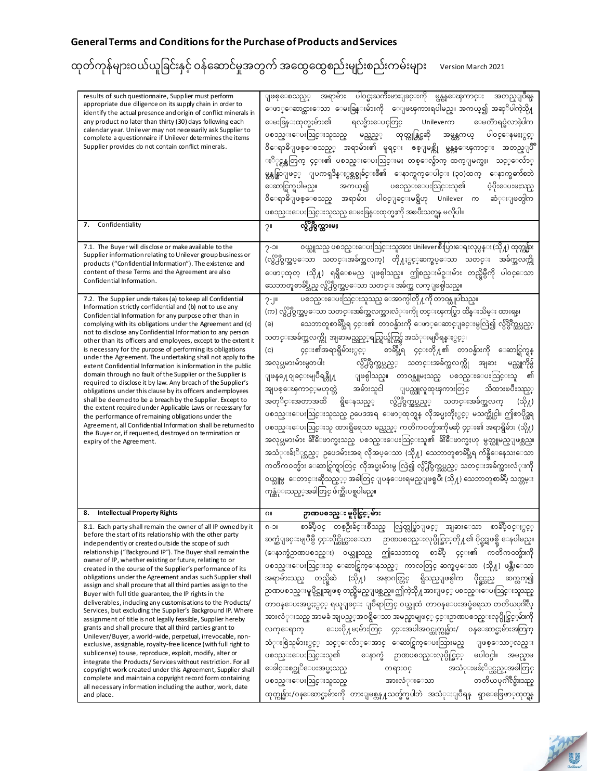| results of such questionnaire, Supplier must perform<br>appropriate due diligence on its supply chain in order to<br>identify the actual presence and origin of conflict minerals in<br>any product no later than thirty (30) days following each<br>calendar year. Unilever may not necessarily ask Supplier to<br>complete a questionnaire if Unilever determines the items<br>Supplier provides do not contain conflict minerals.                                                                                                                                                                                                                                                                                                                                                                                                                                                                                                                                                                                                                                                                                                                                                                                                                                          | အရာမ်ား ပါ၀င္မႈႀကီးမားျခင္းကို မွန္ကန္ေၾကာင္း အတည္ျပဳရန<br>ျဖစ္ေစသည့္<br>ေဖာ္ေဆာင္ထားေသာ ေမးခြန္းမ်ားကို ေျဖၾကားရပါမည္။ အကယ္၍ အဆုိပါကဲ့သို႔<br>ေမးခြန္းထုတ္မႈမ်ား၏<br>ရလဒ္မ်ားေပၚတြင္<br>Unileverm<br>ေမတၱာရပ္ခံလာခဲ့ပါက<br>ထုတ္ကုန္တြင္မဆို<br>ပစၥည္းေပးသြင္းသူသည္<br>ပါ၀င္ေနမႈႏွင့္<br>မည္သည့့<br>အမ္ကန္တကယ္<br>ဝိေရာဓိျဖစ္ေစသည့္ အရာမ်ား၏ မူရင္း ဇစ္ျမစ္ကို မွန္ကန္ေၾကာင္း<br>အတည္ျပံ<br>ႏို္င္ရန္အတြက္ ၄င္း၏ ပစၥည္းေပးသြင္းမႈ တစ္ေလွ်ာက္ ထက္ျမက္မႈ၊<br>သင့္ေလ်ာ္<br>မွန္ကန္စြာျဖင့္ ျပကၡဒိန္ႏွစ္တစ္ခုခ်င္းစီ၏ ေနာက္ရက္ေပါင္း (၃၀)ထက္<br>ေနာက္မွတာဲစဘဲ<br>ေဆာင္ရြက္ရပါမည္။<br>ပစၥည္းေပးသြင္းသူ၏<br>ပံ့ပိုးေပးမႈသည္<br>အကယ္၍<br>ဝိေရာဓိျဖစ္ေစသည္ အရာမ်ား ပါဝင္ျခင္းမရွိဟု Unilever က<br>ဆံုးျဖတ္ပါက<br>ပစၥည္းေပးသြင္းသူသည္ ေမးခြန္းထုတ္မႈကို အၿပီးသတ္ရန္ မလိုပါ။                                                                                                                                                                                                                                                                                                                                                                                                                                                |
|-------------------------------------------------------------------------------------------------------------------------------------------------------------------------------------------------------------------------------------------------------------------------------------------------------------------------------------------------------------------------------------------------------------------------------------------------------------------------------------------------------------------------------------------------------------------------------------------------------------------------------------------------------------------------------------------------------------------------------------------------------------------------------------------------------------------------------------------------------------------------------------------------------------------------------------------------------------------------------------------------------------------------------------------------------------------------------------------------------------------------------------------------------------------------------------------------------------------------------------------------------------------------------|-------------------------------------------------------------------------------------------------------------------------------------------------------------------------------------------------------------------------------------------------------------------------------------------------------------------------------------------------------------------------------------------------------------------------------------------------------------------------------------------------------------------------------------------------------------------------------------------------------------------------------------------------------------------------------------------------------------------------------------------------------------------------------------------------------------------------------------------------------------------------------------------------------------------------------------------------------------------------------------------------------------------------------------------------------------------------------------------------------------------------------------------------------------------------------------------------------------------|
| Confidentiality<br>7.                                                                                                                                                                                                                                                                                                                                                                                                                                                                                                                                                                                                                                                                                                                                                                                                                                                                                                                                                                                                                                                                                                                                                                                                                                                         | လွ်ိဳ႔၀ွက္ထားမႈ<br>2 <sup>11</sup>                                                                                                                                                                                                                                                                                                                                                                                                                                                                                                                                                                                                                                                                                                                                                                                                                                                                                                                                                                                                                                                                                                                                                                                |
| 7.1. The Buyer will disclose or make available to the<br>Supplier information relating to Unilever group business or<br>products ("Confidential Information"). The existence and<br>content of these Terms and the Agreement are also<br>Confidential Information.<br>7.2. The Supplier undertakes (a) to keep all Confidential<br>Information strictly confidential and (b) not to use any                                                                                                                                                                                                                                                                                                                                                                                                                                                                                                                                                                                                                                                                                                                                                                                                                                                                                   | ဝယ္သူသည္ ပစၥည္းေပးသြင္းသူအား Unilever စီးပြားေရးလုပ္ငန္း (သို႔) ထုတ္ကုန္မ်ား<br>$2-21$<br>(လွိ႕ိဳဝွက္အပ္ေသာ သတင္းအခ်က္အလက္) တို႔ႏွင့္ဆက္စပ္ေသာ သတင္း<br>အခ်က္အလက္ကို<br>ေဖာ္ထတ္ (သို႔) ရရွိေစမည္ ျဖစ္ပါသည္။ ဤစည္းမ်ဥ္းမ်ား တည္ရွိမွဳကို ပါ၀င္ေသာ<br>သေဘာတူစာခ်ဳပ္သည္ လွ်ိ႕ဳဝွက္အပ္ေသာ သတင္း အခ်က္အ လက္ျဖစ္ပါသည္။<br>ပစၥည္းေပးသြင္းသူသည္ ေအာက္ပါတို႔ကို တာဝန္ယူပါသည္။<br>2J <sub>II</sub>                                                                                                                                                                                                                                                                                                                                                                                                                                                                                                                                                                                                                                                                                                                                                                                                                          |
| Confidential Information for any purpose other than in<br>complying with its obligations under the Agreement and (c)<br>not to disclose any Confidential Information to any person<br>other than its officers and employees, except to the extent it<br>is necessary for the purpose of performing its obligations<br>under the Agreement. The undertaking shall not apply to the<br>extent Confidential Information is information in the public<br>domain through no fault of the Supplier or the Supplier is<br>required to disclose it by law. Any breach of the Supplier's<br>obligations under this clause by its officers and employees<br>shall be deemed to be a breach by the Supplier. Except to<br>the extent required under Applicable Laws or necessary for<br>the performance of remaining obligations under the<br>Agreement, all Confidential Information shall be returned to<br>the Buyer or, if requested, destroyed on termination or<br>expiry of the Agreement.                                                                                                                                                                                                                                                                                        | (က) လွ်ိျီဝွက္အပ္ေသာ သတင္းအခ်က္အလက္အားလံုးကိုု တင္းၾကပ္စြာ ထိန္းသိမ္း ထားရန္၊<br>သေဘာတူစာခ်ဳပ္အီရ ၄င္း၏ တာ၀န္မ်ားကို ေဖာ္ေဆာင္ျခင္းမွလြဲ၍ လွိပ္ဂ်ဳတ္အပ္သည့္<br>(ခ)<br>သတင္းအခ်က္အလက္ကို အျခားမည္သည့္ရည္ရြယ္ခ်က္တြင္မ် အသံုးမျပဳရန္ႏွင့္၊<br>စာခ်ဳပ္အီရ ၄င္းတို႔၏ တာ၀န္မ်ားကို ေဆာင္ရြက္ရန္<br>၄င္း၏အရာရွိမ်ားႏွင့္<br>(c)<br>လွ်ိဳ႕ဝွက္အပ္သည့္<br>သတင္းအခ်က္အလက္ကို<br>အလုပ္သမားမ်ားမွတပါး<br>မည္သူကိုမွ်<br>အျခား<br>ျဖစ္ပါသည္။ တာဝန္ယူမႈသည္ ပစၥည္းေပးသြင္းသူ<br>ျဖန္႔ေဝျခင္းမျပဳရန္တို႔<br>၏<br>အမ်ားသူငါ<br>သိထားၿပီးသာသ္<br>ျပည္သူလူထုၾကားတြင္<br>အျပစ္ေၾကာင့္မမဟုတ္ဘဲ<br>လွိ႕ဝွက္အပ္သည့္ သတင္းအခ်က္အလက္<br>အတုိင္းအတာအထိ ရွိေနသည့္<br>(သို႔)<br>ပစၥည္းေပးသြင္းသူသည္ ဥပေဒအရ ေဖာ္ထတ္ရန္ လိုအပ္မႈတိုႏွင့္ မသက္ဆိုင္ပါ။ ဤစာပိုဒ္အရ<br>ပစၥည္းေပးသြင္းသူ ထားရွိရေသာ မည္သည့္ ကတိကဝတ္မ်ားကိုမဆို ၄င္း၏ အရာရွိမ်ား (သို႔)<br>အလုပ္သမားမ်ား ခ်ိဳးေိဖာက္မႈသည္ ပစၥည္းေပးသြင္းသူ၏ ခ်ိးေဳဖာက္မႈဟု မွတ္ယူမည္ျဖစ္သည္။<br>အသံုးခ်ႏိုင္သည့္ ဥပေဒမ်ားအရ လိုအပ္ေသာ (သို႔) သေဘာတူစာခ်ဳပ္အရ က်န္ရွိေနေသးေသာ<br>ကတိက၀တ္မ်ား ေဆာင္ရြက္ရာတြင္ လိုအပ္မႈမ်ားမွ လြဲ၍ လွ်ိဳ႕ဝွက္အပ္သည့္ သတင္းအခ်က္အားလံုးကို<br>ဝယ္သူမွ  ေတာင္းဆိုသည့့္ အခါတြင္ ျပန္ေပးရမည္ျဖစ္ၿပီး (သို႔) သေဘာတူစာခ်ဳပ္ သက္တမ္း<br>ကုန္ဆံုးသည့္အခါတြင္ ဖ်က္ဆီးပစ္ရပါမည္။ |
| <b>Intellectual Property Rights</b><br>8.                                                                                                                                                                                                                                                                                                                                                                                                                                                                                                                                                                                                                                                                                                                                                                                                                                                                                                                                                                                                                                                                                                                                                                                                                                     | ဉာဏပစၥည္း မူပိုင္ခြင့္နမ်ား<br>၈။                                                                                                                                                                                                                                                                                                                                                                                                                                                                                                                                                                                                                                                                                                                                                                                                                                                                                                                                                                                                                                                                                                                                                                                 |
| 8.1. Each party shall remain the owner of all IP owned by it<br>before the start of its relationship with the other party<br>independently or created outside the scope of such<br>relationship ("Background IP"). The Buyer shall remain the<br>owner of IP, whether existing or future, relating to or<br>created in the course of the Supplier's performance of its<br>obligations under the Agreement and as such Supplier shall<br>assign and shall procure that all third parties assign to the<br>Buyer with full title guarantee, the IP rights in the<br>deliverables, induding any customisations to the Products/<br>Services, but excluding the Supplier's Background IP. Where<br>assignment of title is not legally feasible, Supplier hereby<br>grants and shall procure that all third parties grant to<br>Unilever/Buyer, a world-wide, perpetual, irrevocable, non-<br>exclusive, assignable, royalty-free licence (with full right to<br>sublicense) to use, reproduce, exploit, modify, alter or<br>integrate the Products/Services without restriction. For all<br>copyright work created under this Agreement, Supplier shall<br>complete and maintain a copyright record form containing<br>all necessary information including the author, work, date | စာခ်ဳပ္ဝင္ တစ္ဦးခ်င္းစီသည္ လြတ္လပ္စြာျဖင့္ အျခားေသာ စာခ်ဳပ္ဝင္ႏွင့္<br>၈-၁။<br>ဉာဏပစၥည္းလုပ္ပိုင္ခြင့္တို႔၏ ပိုင္ရွင္အျဖစ္ရွိ ေနပါမည္။<br>ဆက္ဆံျခင္းမျပဳမွီ ၄င္းပိုင္ဆိုင္ထားေသာ<br>ဤသေဘာတူ စာခ်ဳပ္ ၄င္း၏ ကတိကဝတ္မ်ားကို<br>(ေနာက္ခံဉာဏပစၥည္း) ဝယ္သူသည္<br>ပစၥည္းေပးသြင္းသူ ေဆာင္ရြက္ေနသည့္ ကာလတြင္ ဆက္စပ္ေသာ (သို႔) ဖန္တီးေသာ<br>အနာဂတ္တြင္ ရွိသည္ျဖစ္ပါက<br>အရာမ်ားသည္ တည္ရွိဆဲ<br>(သို႔)<br>ပိုင္လွင္မည္<br>ဆက္လက္၍<br>ဉာဏပစၥည္းမူပိုင္သူအျဖစ္ တည္ရွိမည္ျဖစ္သည္။ ဤကဲ့သို႔အားျဖင့္ ပစၥည္းေပးသြင္းသူသည္<br>တာဝန္ေပးအပ္မႈႏွင့္ ရယူျခင္း ျပဳရာတြင္ ဝယ္သူထံ တာဝန္ေပးအပ္ခံရေသာ တတိယပုဂၢိဳလ္<br>အားလံုးသည္ အာမခံ အျပည့္အာဝရွိေသာ အမည္နာမျဖင့္ ၄င္းဉာဏပစၥည္းလုပ္ပိုင္ခြင့္ငမ်ားကို<br>ေပးပို႔မႈမ်ားတြင္ ၄င္းအပါအဝင္ထုတ္ကုန္မ်ား/<br>ဝန္ေဆာင္မႈမ်ားအတြက္<br>လက္ေရာက္<br>သံုးစြဲသူမ်ားႏွင့္ သင့္ေလ်ာ္ေအာင္ ေဆာင္ရြက္ေပးသြားမည္<br>ျဖစ္ေသာ္လည္း<br>မပါဝင္ပါ။ အမည္နာမ<br>ေနာက္ခံ ဉာဏပစၥည္းလုပ္ပိုင္ခြင့္<br>ပစၥည္းေပးသြင္းသူ၏<br>ေခါင္းစဥ္ကုိေပးအပ္မႈသည္<br>အသံုးမခ်ႏိုင္သည့္အခါတြင္<br>တရား၀င္<br>တတိယပုဂၢိဳလ္မ်ားသည္<br>ပစၥည္းေပးသြင္းသူသည္<br>အားလံုးေသာ                                                                                                                                                                |
|                                                                                                                                                                                                                                                                                                                                                                                                                                                                                                                                                                                                                                                                                                                                                                                                                                                                                                                                                                                                                                                                                                                                                                                                                                                                               | ထုတ္ကုန္မ်ား/၀န္ေဆာင္မႈမ်ားကို တားျမစ္ကန္႔သတ္ခ်က္မပါဘဲ အသံုးျပဳရန္ ရွာေဖြေဖာ္ထုတ္ရန                                                                                                                                                                                                                                                                                                                                                                                                                                                                                                                                                                                                                                                                                                                                                                                                                                                                                                                                                                                                                                                                                                                               |

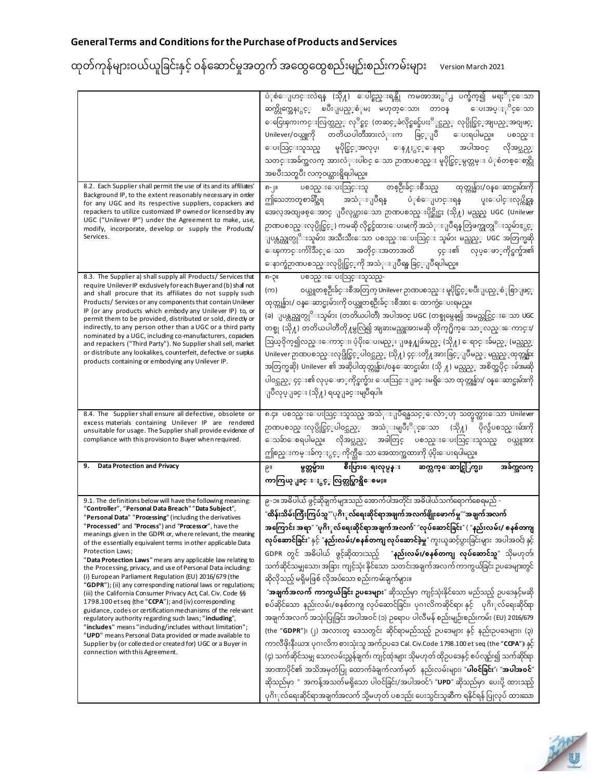| 8.2. Each Supplier shall permit the use of its and its affiliates'<br>Background IP, to the extent reasonably necessary in order<br>for any UGC and its respective suppliers, copackers and<br>repackers to utilize customized IP owned or licensed by any<br>UGC ("Unilever IP") under the Agreement to make, use,<br>modify, incorporate, develop or supply the Products/<br>Services.                                                                                                                                                                                                                                                                                                                                                                                                                                                                                                                                                                                                                                                                                                                                  | ပံုစံေျပာင္းလဲရန္ (သို႔) ေပါင္စည္းရန္ကို ကမၻာအႏွံ႕ ပက္ဖ်က္၍ မရႏိုင္ေသာ<br>ၿပီးျပည့္စံုမႈ မဟုတ္ေသာ၊ တာဝန္<br>ဆက္ကိုက္အေနႏွင့္<br>ေပးအပ္ႏုိင္ေသာ<br>ေငြေၾကးကင္းလြတ္သည့္ လုိင္စင္ (တဆင့္ခံလိုင္စင္ခ်ေပးႏို္လ္သည့္ လုပ္ပိုင္ခြင့္အျပည့္အာ၀ျဖင့္<br>Unilever/ဝယ္သူကို တတိယပါတီအားလံုးက ခြင့္ျပဳ ေပးရပါမည္။<br>ပစၥည္း<br>မူပိုင္ခြင့္အာလုပ္၊ ေန႔ႏွင့္ေနရာ အပါအဝင္<br>ေပးသြင္းသူသည္<br>လိုအပ္သည့္<br>သတင္းအခ်က္အလက္ အားလံုးပါ၀င္ ေသာ ဉာဏပစၥည္း မူပိုင္ခြင့္မမွတ္တမ္း ပံုစံတစ္ေစာင္ကို<br>အၿပီးသတ္ၿပီး လက္ဝယ္ထားရွိရပါမည္။<br>ပစၥည္းေပးသြင္းသူ တစ္ဦးခ်င္းစီသည္ ထုတ္ကုန္မ်ား/ဝန္ေဆာင္မႈမ်ားကို<br>၈-၂။<br>ပံုစံေျပာင္းရန္<br>ဤသေဘာတူစာခ်ပ္အီရ အသံုးျပဳရန<br>ပူးေပါင္းလုပ္ကိုင္တန<br>အေလ့အထျဖစ္ေအာင္ ျပဳလုပ္ထားေသာ ဉာဏပစၥည္းပိုင္ဆိုင္မႈ (သို႔) မည္သည္ UGC (Unilever<br>ဉာဏပစၥည္းလုပ္ပိုင္ခြင့္) ကမဆို လိုင္စင္ခ်ထားေပးမႈကို အသံုးျပဳရန္ တြဲဖက္ထုတ္ပုိးသူမ်ားႏွင့္<br>ျပန္လည္ထုတ္ပုိ <b>းသူမ်ား အသီးသီးေသာ ပစၥည္းေပးသြင္း သူမ်ား</b> မည္သည့္ UGC အတြက္မဆို<br>ေၾကာင္းက်းသိင့္ေသာ အတိုင္းအတာအထိ  ၄င္း၏ လုပ္ေဖာ္ကိုင္ဖက္မ်ား၏<br>ေနာက္ခံဉာဏပစၥည္းလုပ္ပိုင္ခြင့္ကုိ အသံုးျပဳရန္ ခြင့္ျပဳရပါမည္။                                                                                                                                                                                                                                                                                                                                                                                       |
|---------------------------------------------------------------------------------------------------------------------------------------------------------------------------------------------------------------------------------------------------------------------------------------------------------------------------------------------------------------------------------------------------------------------------------------------------------------------------------------------------------------------------------------------------------------------------------------------------------------------------------------------------------------------------------------------------------------------------------------------------------------------------------------------------------------------------------------------------------------------------------------------------------------------------------------------------------------------------------------------------------------------------------------------------------------------------------------------------------------------------|--------------------------------------------------------------------------------------------------------------------------------------------------------------------------------------------------------------------------------------------------------------------------------------------------------------------------------------------------------------------------------------------------------------------------------------------------------------------------------------------------------------------------------------------------------------------------------------------------------------------------------------------------------------------------------------------------------------------------------------------------------------------------------------------------------------------------------------------------------------------------------------------------------------------------------------------------------------------------------------------------------------------------------------------------------------------------------------------------------------------------------------------------------------------------------------------------------------------------------------------------------------------------------------------------------------------------------------------------------------------------------------------------------------------------------------------------------------------------|
| 8.3. The Supplier a) shall supply all Products/ Services that<br>require UnileverIP exdusively for each Buyer and (b) shall not<br>and shall procure that its affiliates do not supply such<br>Products/Services or any components that contain Unilever<br>IP (or any products which embody any Unilever IP) to, or<br>permit them to be provided, distributed or sold, directly or<br>indirectly, to any person other than a UGC or a third party<br>nominated by a UGC, including co-manufacturers, copaders<br>and repackers ("Third Party"). No Supplier shall sell, market<br>or distribute any lookalikes, counterfeit, defective or surplus<br>products containing or embodying any Unilever IP.                                                                                                                                                                                                                                                                                                                                                                                                                  | ပစၥည္းေပးသြင္းသူသည္-<br>၈-၃။<br>ဝယ္သူတစ္ဦးခ်င္းစီအတြက္ Unilever ဉာဏပစၥည္း မူပိုင္ခြင့္ၿပီးျပည့္စံုစြာျဖင့္<br>(က)<br>ထုတ္ကုန္မ်ား/ ဝန္ေဆာင္မႈမ်ားကို ဝယ္သူတစ္ဦးခ်င္းစီအား ေထာက္ပံ့ေပးရမည္။<br>(ခ) ျပန္လည္ထုတ္ပုိ <b>းသူမ်ား (တတိယပါတီ) အပါအ၀င္ UGC (တစ္ခု</b> မွေန၍ အမည္တင္သြင္းေသာ UGC<br>တစ္ခု (သို႔) တတိယပါတီတို႔မွလြဲ၍ အျခားမည္သူအားမဆို တိုက္႐ိုက္ေသာ္လည္းေကာင္း/<br>ဩယ္ဝိုက္၍လည္းေကာင္း၊ ပံ့ပိုးေပးမည့္၊ ျဖန္႔ျဖဴးမည့္ (သို႔) ေရာင္းခ်မည့္ (မည္သ <u>ည့္</u><br>Unilever ဉာဏပစၥည္းလုပ္ပိုင္ခြင့္ပပါဝင္သည့္ (သို႔) ၄င္းတို႔အားခြင့္ျပဳမည့္ မည္သည္္ဝတုတ္ကုန္မ်ား<br>အတြက္မဆို) Unilever ၏ အဆိုပါထုတ္ကုန္မ်ား/၀န္ေဆာင္မႈမ်ား (သို ႔) မည္သည့္ အစိတ္အပိုင္းမ်ားမဆို<br>ပါဝင္သည့္ ၄င္း၏ လုပ္ေဖာ္ကိုင္ဖက္မ်ား ေပးသြင္းျခင္းမရွိေသာ ထုတ္ကုန္မ်ား/ ဝန္ေဆာင္မႈမ်ားကို<br>ျပဳလုပ္ျခင္း (သို႔) ရယူျခင္းမျပဳရပါ။                                                                                                                                                                                                                                                                                                                                                                                                                                                                                                                                                                                                                                                                 |
| 8.4. The Supplier shall ensure all defective, obsolete or<br>excess materials containing Unilever IP are rendered<br>unsuitable for usage. The Supplier shall provide evidence of<br>compliance with this provision to Buyer when required.                                                                                                                                                                                                                                                                                                                                                                                                                                                                                                                                                                                                                                                                                                                                                                                                                                                                               | ၈.၄။ ပစၥည္းေပးသြင္းသူသည္ အသံုးျပဳရန္မသင့္ေလ်ာ္ဟာ သတ္မွတ္ထားေသာ Unilever<br>ဉာဏပစၥည္းလုပ္ပိုင္ခြင့္ပပါဝင္သည့္ အသံုးမျပဳႏို္င္ေသာ (သို႔) ပိုလွ်ံပစၥည္းမ်ားကို<br>ေသခ်ာေစရပါမည္။ လိုအပ္သည့္ အခါတြင္ ပစၥည္းေပးသြင္းသူသည္<br>၀ယ္သူအား<br>ဤစည္းကမ္းခ်က္ႏွင့္ ကိုက္သီေသာ အေထာက္အထားကို ပံ့ပိုးေပးရပါမည္။                                                                                                                                                                                                                                                                                                                                                                                                                                                                                                                                                                                                                                                                                                                                                                                                                                                                                                                                                                                                                                                                                                                                                                        |
| 9.<br><b>Data Protection and Privacy</b>                                                                                                                                                                                                                                                                                                                                                                                                                                                                                                                                                                                                                                                                                                                                                                                                                                                                                                                                                                                                                                                                                  | စီးပြားေရးလုပ္ငန္း<br>ဆက္လက္ေဆာင္ရြြက္မႈ၊<br>မွတ္တမ္မ်ား၊<br>၉။<br>အခ်က္အလက္<br>ကာကြယ္ျခင္းႏွင့္ လြတ္လပ္စြာရွိေစမႈ။                                                                                                                                                                                                                                                                                                                                                                                                                                                                                                                                                                                                                                                                                                                                                                                                                                                                                                                                                                                                                                                                                                                                                                                                                                                                                                                                                      |
| 9.1. The definitions below will have the following meaning:<br>"Controller", "Personal Data Breach" "Data Subject",<br>"Personal Data" "Processing" (including the derivatives<br>"Processed" and "Process") and "Processor", have the<br>meanings given in the GDPR or, where relevant, the meaning<br>of the essentially equivalent terms in other applicable Data<br>Protection Laws;<br>"Data Protection Laws" means any applicable law relating to<br>the Processing, privacy, and use of Personal Data including:<br>(i) European Parliament Regulation (EU) 2016/679 (the<br>"GDPR"); (ii) any corresponding national laws or regulations;<br>(iii) the California Consumer Privacy Act, Cal. Civ. Code §§<br>1798.100 etseq (the "CCPA"); and (iv) corresponding<br>guidance, codes or certification mechanisms of the relevant<br>regulatory authority regarding such laws; "induding",<br>"includes" means "induding/includes without limitation";<br>"UPD" means Personal Data provided or made available to<br>Supplier by (or collected or created for) UGC or a Buyer in<br>connection with this Agreement. | ၉-၁။ အဓိပါယ် ဖွင့်ဆိုချက်များသည် အောက်ပါအတိုင်း အဓိပါယ်သက်ရောက်စေရမည် -<br>"ထိန်းသိမ်းကြီးကြပ်သူ"″ုဂိၢုလ်ရေးဆိုင်ရာအချက်အလက်ချိုးဖောက်မှု‴အချက်အလက်<br>အကြောင်း အရာ" "ပုဂိၢုလ်ရေးဆိုင်ရာအချက်အလက်" "လုပ်ဆောင်ခြင်း" ( "နည်းလမ်း/ စနစ်တကျ<br>လု <b>ပ်ဆောင်ခြင်း</b> " နှင့် " <b>နည်းလမ်း/စနစ်တကျ လုပ်ဆောင်ခဲ့မှု</b> " ကူးယူဆင့်ပွားခြင်းများ  အပါအဝင်) နှင့်<br>GDPR တွင် အဓိပါယ် ဖွင့်ဆိုထားသည့် " <b>နည်းလမ်း/စနစ်တကျ လုပ်ဆောင်သူ</b> " သိုမဟုတ်၊<br>သက်ဆိုင်သမျှသော၊ အခြား ကျင့်သုံး နိုင်သော သတင်းအချက်အလက် ကာကွယ်ခြင်း ဉပဒေများတွင်<br>ဆိုလိုသည့် မရှိမဖြစ် လိုအပ်သော စည်းကမ်းချက်များ။<br>" <b>အချက်အလက် ကာကွယ်ခြင်း ဥပဒေများ</b> " ဆိုသည်မှာ ကျင့်သုံးနိုင်သော မည်သည့် ဥပဒေနှင့်မဆို<br>စပ်ဆိုင်သော နည်းလမ်း/စနစ်တကျ လုပ်ဆောင်ခြင်း၊ ပုဂၢလိကဆိုင်ရာ၊ နှင့် ပုဂိၢုလ်ရေးဆိုင်ရာ<br>အချက်အလက် အသုံးပြုခြင်း အပါအဝင် (၁) ဉရောပ ပါလီမန် စည်းမျဉ်းစည်းကမ်း (EU) 2016/679<br>(the " <b>GDPR</b> ")၊ (၂) အလားတူ ဒေသတွင်း ဆိုင်ရာမည်သည့် ဥပဒေများ နှင့် နည်းဥပဒေများ၊ (၃)<br>ကာလီဖိုးနီးယား ပုဂၢလိက စားသုံးသူ အက်ဉပဒေ Cal. Civ.Code 1798.100 et seq (the " <b>CCPA</b> ")၊ နှင့်<br>(၄) သက်ဆိုင်သမျှ သောလမ်းညွှန်ချက်၊ ကျင့်ထုံးများ သိုမဟုတ် ထိုဉပဒေနှင့် စပ်လျာ်း၍ သက်ဆိုင်ရာ<br>အာဏာပိုင်၏ အသိအမှတ်ပြု ထောက်ခံချက်လက်မှတ်  နည်းလမ်းများ၊ " <b>ပါဝင်ခြင်း</b> "၊ " <b>အပါအဝင်</b> "<br>ဆိုသည်မှာ " အကန့်အသတ်မရှိသော ပါဝင်ခြင်း/အပါအဝင်"၊ " <b>UPD</b> " ဆိုသည်မှာ ပေးပို့ ထားသည့်<br>ပုဂိၢုလ်ရေးဆိုင်ရာအချက်အလက် သို့မဟုတ် ပစၥည်း ပေးသွင်းသူဆီက ရနိုင်ရန် ပြုလုပ် ထားဆာ |

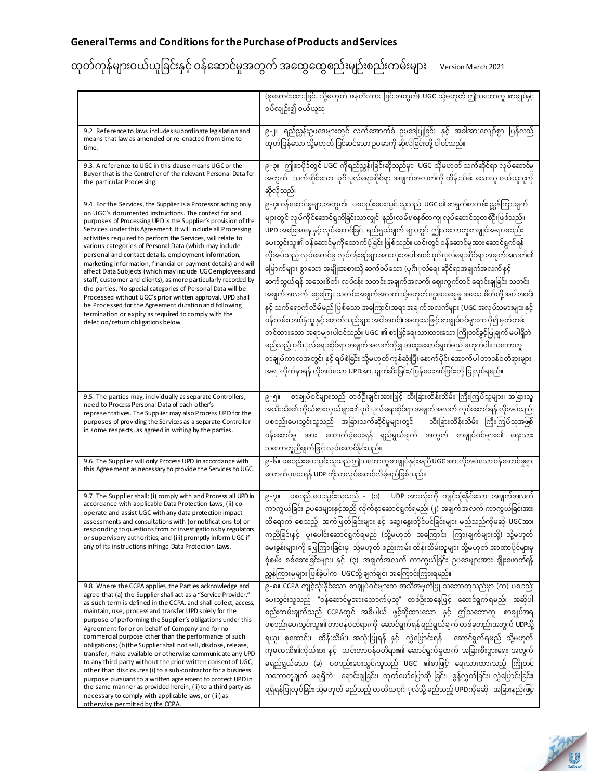|  |  | ထုတ်ကုန်များဝယ်ယူခြင်းနှင့် ဝန်ဆောင်မှုအတွက် အထွေထွေစည်းမျဉ်းစည်းကမ်းများ version March 2021 |  |
|--|--|----------------------------------------------------------------------------------------------|--|
|  |  |                                                                                              |  |

|                                                                                                                                                                                                                                                                                                                                                                                                                                                                                                                                                                                                                                                                                                                                                                                                                                                                                                                                | (စုဆောင်းထားခြင်း သို့မဟုတ် ဖန်တီးထား ခြင်းအတွက်) UGC သို့မဟုတ် ဤသဘောတူ စာချုပ်နှင့်<br>စပ်လျဉ်း၍ ဝယ်ယူသူ                                                                                                                                                                                                                                                                                                                                                                                                                                                                                                                                                                                                                                                                                                                                                                                                                                                                                                                                                                                                                                                                                                                       |
|--------------------------------------------------------------------------------------------------------------------------------------------------------------------------------------------------------------------------------------------------------------------------------------------------------------------------------------------------------------------------------------------------------------------------------------------------------------------------------------------------------------------------------------------------------------------------------------------------------------------------------------------------------------------------------------------------------------------------------------------------------------------------------------------------------------------------------------------------------------------------------------------------------------------------------|---------------------------------------------------------------------------------------------------------------------------------------------------------------------------------------------------------------------------------------------------------------------------------------------------------------------------------------------------------------------------------------------------------------------------------------------------------------------------------------------------------------------------------------------------------------------------------------------------------------------------------------------------------------------------------------------------------------------------------------------------------------------------------------------------------------------------------------------------------------------------------------------------------------------------------------------------------------------------------------------------------------------------------------------------------------------------------------------------------------------------------------------------------------------------------------------------------------------------------|
| 9.2. Reference to laws includes subordinate legislation and<br>means that law as amended or re-enacted from time to<br>time.                                                                                                                                                                                                                                                                                                                                                                                                                                                                                                                                                                                                                                                                                                                                                                                                   | ၉-၂။ ရည်ညွှန်းဥပဒေများတွင် လက်အောက်ခံ ဥပဒေပြုခြင်း နှင့် အခါအားလျော်စွာ ပြန်လည်<br>ထုတ်ပြန်သော သို့မဟုတ် ပြင်ဆင်သော ဉပဒေကို ဆိုလိုခြင်းတို့ ပါဝင်သည်။                                                                                                                                                                                                                                                                                                                                                                                                                                                                                                                                                                                                                                                                                                                                                                                                                                                                                                                                                                                                                                                                           |
| 9.3. A reference to UGC in this dause means UGC or the<br>Buyer that is the Controller of the relevant Personal Data for<br>the particular Processing.                                                                                                                                                                                                                                                                                                                                                                                                                                                                                                                                                                                                                                                                                                                                                                         | ၉-၃။ ဤစာပိုဒ်တွင် UGC ကိုရည်ညွှန်းခြင်းဆိုသည်မှာ  UGC သိုမဟုတ် သက်ဆိုင်ရာ လုပ်ဆောင်မှု<br>အတွက် သက်ဆိုင်သော ပုဂိၢုလ်ရေးဆိုင်ရာ အချက်အလက်ကို ထိန်းသိမ်း သောသူ ဝယ်ယူသူကို<br>ဆိုလိုသည်။                                                                                                                                                                                                                                                                                                                                                                                                                                                                                                                                                                                                                                                                                                                                                                                                                                                                                                                                                                                                                                           |
| 9.4. For the Services, the Supplier is a Processor acting only<br>on UGC's documented instructions. The context for and<br>purposes of Processing UPD is the Supplier's provision of the<br>Services under this Agreement. It will include all Processing<br>activities required to perform the Services, will relate to<br>various categories of Personal Data (which may include<br>personal and contact details, employment information,<br>marketing information, financial or payment details) and will<br>affect Data Subjects (which may include UGC employees and<br>staff, customer and clients), as more particularly recorded by<br>the parties. No special categories of Personal Data will be<br>Processed without UGC's prior written approval. UPD shall<br>be Processed for the Agreement duration and following<br>termination or expiry as required to comply with the<br>deletion/return obligations below. | ၉-၄။ ဝန်ဆောင်မှုများအတွက်၊   ပစၥည်းပေးသွင်းသူသည်  UGC ၏ စာရွက်စာတမ်း ညွှန်ကြားချက်<br>များတွင် လုပ်ကိုင်ဆောင်ရွက်ခြင်းသာလျှင် နည်းလမ်း/စနစ်တကျ လုပ်ဆောင်သူတစ်ဦးဖြစ်သည်။<br>UPD အခြေအနေ နှင့် လုပ်ဆောင်ခြင်း ရည်ရွယ်ချက် များတွင်  ဤသဘောတူစာချုပ်အရ ပစၥည်း<br>ပေးသွင်းသူ၏ ဝန်ဆောင်မှုကိုထောက်ပံ့ခြင်း ဖြစ်သည်။ ယင်းတွင် ဝန်ဆောင်မှုအား ဆောင်ရွက်ရန်<br>လိုအပ်သည့် လုပ်ဆောင်မှု လုပ်ငန်းစဉ်များအားလုံးအပါအဝင် ပုဂိၢုလ်ရေးဆိုင်ရာ အချက်အလက်၏<br>မြောက်များ စွာသော အမျိုးအစားသို့ ဆက်စပ်သော (ပုဂိၢုလ်ရေး ဆိုင်ရာအချက်အလက် နှင့်<br>ဆက်သွယ်ရန် အသေးစိတ်၊ လုပ်ငန်း သတင်းအချက်အလက်၊ ဈေးကွက်တင် ရောင်းချခြင်း သတင်း<br>အချက်အလက်၊ ငွေကြေး သတင်းအချက်အလက် သို့မဟုတ် ငွေပေးချေမှု အသေးစိတ်တို့အပါအဝင်)<br>နှင့် သက်ရောက်လိမ်မည် ဖြစ်သော အကြောင်းအရာအချက်အလက်များ (UGC အလုပ်သမားများ နှင့်<br>ဝန်ထမ်း၊ အပ်နှံသူ နှင့် ဖောက်သည်များ အပါအဝင်)၊ အထူးသဖြင့် စာချုပ်ဝင်များက ပို၍ မှတ်တမ်း<br>တင်ထားသော အရာများပါဝင်သည်။ UGC ၏ စာဖြင့်ရေးသားထားသော ကြိုတင်ခွင့်ပြုချက် မပါရှိဘဲ<br>မည်သည့် ပုဂိၢုလ်ရေးဆိုင်ရာ အချက်အလက်ကိုမျှ အထူးဆောင်ရွက်မည် မဟုတ်ပါ။ သဘောတူ<br>စာချုပ်ကာလအတွင်း နှင့် ရပ်စဲခြင်း သို့မဟုတ် ကုန်ဆုံးပြီး နောက်ပိုင်း အောက်ပါ တာဝန်ဝတ်ရားများ<br>အရ  လိုက်နာရန် လိုအပ်သော UPDအားဖျက်ဆီးခြင်း/ ပြန်ပေးအပ်ခြင်းတို့ ပြုလုပ်ရမည်။ |
| 9.5. The parties may, individually as separate Controllers,<br>need to Process Personal Data of each other's<br>representatives. The Supplier may also Process UPD for the<br>purposes of providing the Services as a separate Controller<br>in some respects, as agreed in writing by the parties.                                                                                                                                                                                                                                                                                                                                                                                                                                                                                                                                                                                                                            | စာချုပ်ဝင်များသည် တစ်ဦးချင်းအားဖြင့် သီးခြားထိန်းသိမ်း ကြီးကြပ်သူများ၊ အခြားသူ<br>၉-၅။<br>အသီးသီး၏ ကိုယ်စားလှယ်များ၏ ပုဂိၢုလ်ရေးဆိုင်ရာ အချက်အလက် လုပ်ဆောင်ရန် လိုအပ်သည်။<br>ပစၥည်းပေးသွင်းသူသည် အခြားသက်ဆိုင်မှုများတွင်  သီးခြားထိန်းသိမ်း ကြီးကြပ်သူအဖြစ်<br>ဝန်ဆောင်မှု အား ထောက်ပံ့ပေးရန် ရည်ရွယ်ချက် အတွက် စာချုပ်ဝင်များ၏ ရေးသား<br>သဘောတူညီချက်ဖြင့် လုပ်ဆောင်နိုင်သည်။                                                                                                                                                                                                                                                                                                                                                                                                                                                                                                                                                                                                                                                                                                                                                                                                                                                 |
| 9.6. The Supplier will only Process UPD in accordance with<br>this Agreement as necessary to provide the Services to UGC.                                                                                                                                                                                                                                                                                                                                                                                                                                                                                                                                                                                                                                                                                                                                                                                                      | ၉-၆။ ပစၥည်းပေးသွင်းသူသည်ဤသဘောတူစာချုပ်နှင့်အညီ UGC အားလိုအပ်သော ဝန်ဆောင်မှုမှား<br>ထောက်ပံ့ပေးရန် UDP ကိုသာလုပ်ဆောင်လိမ့်မည်ဖြစ်သည်။                                                                                                                                                                                                                                                                                                                                                                                                                                                                                                                                                                                                                                                                                                                                                                                                                                                                                                                                                                                                                                                                                            |
| 9.7. The Supplier shall: (i) comply with and Process all UPD in<br>accordance with applicable Data Protection Laws; (ii) co-<br>operate and assist UGC with any data protection impact<br>assessments and consultations with (or notifications to) or<br>responding to questions from or investigations by regulators<br>or supervisory authorities; and (iii) promptly inform UGC if<br>any of its instructions infringe Data Protection Laws.                                                                                                                                                                                                                                                                                                                                                                                                                                                                                | ၉-၇။ ပစၥည်းပေးသွင်းသူသည် - (၁) UDP အားလုံးကို ကျင့်သုံးနိုင်သော အချက်အလက်<br>ကာကွယ်ခြင်း ဉပဒေများနှင့်အညီ လိုက်နာဆောင်ရွက်ရမည်၊ (၂) အချက်အလက် ကာကွယ်ခြင်းအား<br>ထိရောက် စေသည့် အကဲဖြတ်ခြင်းများ နှင့် ဆွေးနွေးတိုင်ပင်ခြင်းများ မည်သည်ကိုမဆို UGCအား<br>ကူညီခြင်းနှင့် ပူးပေါင်းဆောင်ရွက်ရမည် (သို့မဟုတ် အကြောင်း ကြားချက်များသို့) သို့မဟုတ်<br>မေးခွန်းများကို ဖြေကြားခြင်းမှ  သို့မဟုတ် စည်းကမ်း ထိန်းသိမ်းသူများ သို့မဟုတ် အာဏာပိုင်များမှ<br>စုံစမ်း စစ်ဆေးခြင်းများ၊ နှင့် (၃) အချက်အလက် ကာကွယ်ခြင်း ဉပဒေများအား ချိုးဖောက်ရန်<br>ညွှန်ကြားမှုများ ဖြစ်ခဲ့ပါက  UGCသို့ ချက်ချင်း အကြောင်းကြားရမည်။                                                                                                                                                                                                                                                                                                                                                                                                                                                                                                                                                                                                                        |
| 9.8. Where the CCPA applies, the Parties acknowledge and<br>agree that (a) the Supplier shall act as a "Service Provider,"<br>as such term is defined in the CCPA, and shall collect, access,<br>maintain, use, process and transfer UPD solely for the<br>purpose of performing the Supplier's obligations under this<br>Agreement for or on behalf of Company and for no<br>commercial purpose other than the performance of such<br>obligations; (b) the Supplier shall not sell, disdose, release,<br>transfer, make available or otherwise communicate any UPD<br>to any third party without the prior written consent of UGC,<br>other than disclosures (i) to a sub-contractor for a business<br>purpose pursuant to a written agreement to protect UPD in<br>the same manner as provided herein, (ii) to a third party as<br>necessary to comply with applicable laws, or (iii) as<br>otherwise permitted by the CCPA. | ၉-၈။ CCPA ကျင့်သုံးနိုင်သော စာချုပ်ဝင်များက အသိအမှတ်ပြု သဘောတူသည်မှာ (က) ပစၥည်း<br>ပေးသွင်းသူသည် "ဝန်ဆောင်မှုအားထောက်ပံ့သူ" တစ်ဦးအနေဖြင့် ဆောင်ရွက်ရမည်၊ အဆိုပါ<br>စည်းကမ်းချက်သည် CCPAတွင် အဓိပါယ် ဖွင့်ဆိုထားသော နှင့် ဤသဘောတူ စာချုပ်အရ<br>ပစၥည်းပေးသွင်းသူ၏ တာဝန်ဝတ်ရားကို ဆောင်ရွက်ရန် ရည်ရွယ်ချက် တစ်ခုတည်းအတွက် UDPသို့<br>ရယူ၊ စုဆောင်း၊ ထိန်းသိမ်း၊ အသုံးပြုရန် နှင့် လွှဲပြောင်းရန်  ဆောင်ရွက်ရမည် သို့မဟုတ်<br>ကုမၸဏီ၏ကိုယ်စား နှင့်  ယင်းတာဝန်ဝတ်ရား၏ ဆောင်ရွက်မှုထက် အခြားစီးပွားရေး အတွက်<br>မရည်ရွယ်သော (ခ) ပစၥည်းပေးသွင်းသူသည် UGC ၏စာဖြင့် ရေးသားထားသည့် ကြိုတင်<br>သဘောတူချက် မရရှိဘဲ  ရောင်းချခြင်း၊ ထုတ်ဖော်ပြောဆို ခြင်း၊ စွန့်လွှတ်ခြင်း၊ လွှဲပြောင်းခြင်း၊<br>ရရှိရန်ပြုလုပ်ခြင်း သို့မဟုတ် မည်သည့် တတိယပုဂိၢုလ်သို့ မည်သည့် UPDကိုမဆို အခြားနည်းဖြင့်                                                                                                                                                                                                                                                                                                                                                                                                                                                   |

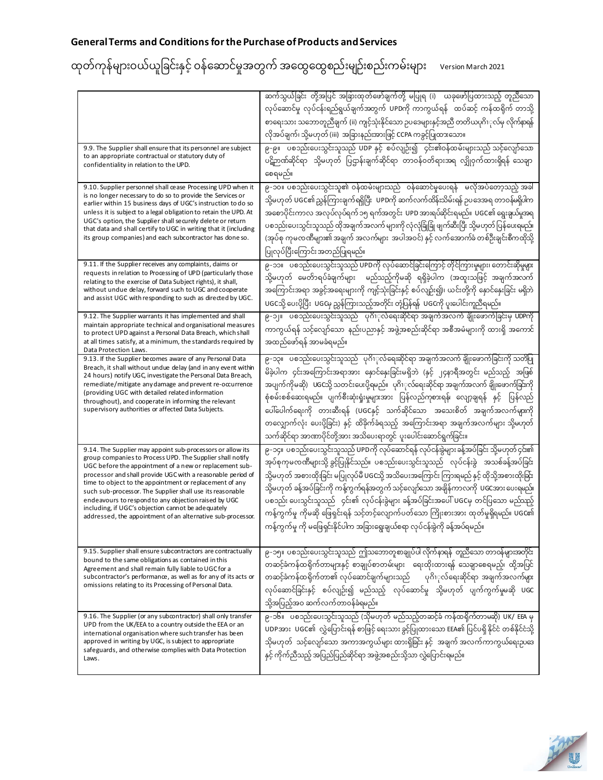| 9.9. The Supplier shall ensure that its personnel are subject<br>to an appropriate contractual or statutory duty of<br>confidentiality in relation to the UPD.<br>9.10. Supplier personnel shall cease Processing UPD when it<br>is no longer necessary to do so to provide the Services or<br>earlier within 15 business days of UGC's instruction to do so<br>unless it is subject to a legal obligation to retain the UPD. At<br>UGC's option, the Supplier shall securely delete or return<br>that data and shall certify to UGC in writing that it (including<br>its group companies) and each subcontractor has done so. | ဆက်သွယ်ခြင်း တို့အပြင် အခြားထုတ်ဖော်ချက်တို့ မပြုရ (i)  ယခုဖော်ပြထားသည့် တူညီသော<br>လုပ်ဆောင်မှု လုပ်ငန်းရည်ရွယ်ချက်အတွက် UPDကို ကာကွယ်ရန်   ထပ်ဆင့် ကန်ထရိုက် တာသို့<br>စာရေးသား သဘောတူညီချက် (ii) ကျင့်သုံးနိုင်သော ဉပဒေများနှင့်အညီ တတိယပုဂိၢုလ်မှ လိုက်နာရန်<br>လိုအပ်ချက်၊ သို့မဟုတ် (iii)  အခြားနည်းအားဖြင့် CCPA ကခွင့်ပြုထားသော။<br>၉-၉။ ပစၥည်းပေးသွင်းသူသည် UDP နှင့် စပ်လျဉ်း၍ ၄င်း၏ဝန်ထမ်းများသည် သင့်လျော်သော<br>ပဋိဉာဏ်ဆိုင်ရာ သို့မဟုတ် ပြဌာန်းချက်ဆိုင်ရာ တာဝန်ဝတ်ရားအရ လျှိုဝှက်ထားရှိရန် သေချာ<br>စေရမည်။<br>၉-၁၀။ ပစၥည်းပေးသွင်းသူ၏ ဝန်ထမ်းများသည် ဝန်ဆောင်မှုပေးရန် မလိုအပ်တော့သည့် အခါ<br>သို့မဟုတ် UGC၏ညွှန်ကြားချက်ရရှိပြီး  UPDကို ဆက်လက်ထိန်းသိမ်းရန် ဉပဒေအရ တာဝန်မရှိပါက<br>အစောပိုင်းကာလ အလုပ်လုပ်ရက် ၁၅ ရက်အတွင်း UPD အားရပ်ဆိုင်းရမည်။ UGC၏ ရွေးချယ်မှုအရ<br>ပစၥည်းပေးသွင်းသူသည် ထိုအချက်အလက် များကို လုံလုံခြုံခြုံ ဖျက်ဆီးပြီး သို့မဟုတ် ပြန်ပေးရမည်။<br>(အုပ်စု ကုမၸဏီများ၏ အချက် အလက်များ  အပါအဝင်) နှင့် လက်အောက်ခံ တစ်ဦးချင်းစီကထိုသို့<br>ပြုလုပ်ပြီးကြောင်းအတည်ပြုရမည်။ |
|--------------------------------------------------------------------------------------------------------------------------------------------------------------------------------------------------------------------------------------------------------------------------------------------------------------------------------------------------------------------------------------------------------------------------------------------------------------------------------------------------------------------------------------------------------------------------------------------------------------------------------|-------------------------------------------------------------------------------------------------------------------------------------------------------------------------------------------------------------------------------------------------------------------------------------------------------------------------------------------------------------------------------------------------------------------------------------------------------------------------------------------------------------------------------------------------------------------------------------------------------------------------------------------------------------------------------------------------------------------------------------------------------------------------------------------------------------------------------------------------------------------------------------------------------------------------------------------------------------------------------------------------------------|
| 9.11. If the Supplier receives any complaints, daims or<br>requests in relation to Processing of UPD (particularly those<br>relating to the exercise of Data Subject rights), it shall,<br>without undue delay, forward such to UGC and cooperate<br>and assist UGC with responding to such as directed by UGC.<br>9.12. The Supplier warrants it has implemented and shall<br>maintain appropriate technical and organisational measures<br>to protect UPD against a Personal Data Breach, which shall                                                                                                                        | ၉-၁၁။ ပစၥည်းပေးသွင်းသူသည် UPDကို လုပ်ဆောင်ခြင်းကြောင့် တိုင်ကြားမှုများ၊ တောင်းဆိုမှုမှား<br>သို့မဟုတ် မေတ်ာရပ်ခံချက်များ မည်သည့်ကိုမဆို ရရှိခဲ့ပါက (အထူးသဖြင့် အချက်အလက်<br>အကြောင်းအရာ အခွင့်အရေးများကို ကျင့်သုံးခြင်းနှင့် စပ်လျာ်း၍)၊ ယင်းတို့ကို နှောင်နှေးခြင်း မရှိဘဲ<br>UGCသို့ ပေးပို့ပြီး UGCမှ ညွှန်ကြားသည့်အတိုင်း တုံ့ပြန်ရန်  UGCကို ပူးပေါင်းကူညီရမည်။<br>၉-၁၂။ ပစၥည်းပေးသွင်းသူသည် ပုဂိၢုလ်ရေးဆိုင်ရာ အချက်အလက် ချိုးဖောက်ခြင်းမှ UDPကို<br>ကာကွယ်ရန် သင့်လျော်သော နည်းပညာနှင့် အဖွဲ့အစည်းဆိုင်ရာ အစီအမံများကို ထားရှိ အကောင်                                                                                                                                                                                                                                                                                                                                                                                                                                                              |
| at all times satisfy, at a minimum, the standards required by<br>Data Protection Laws.<br>9.13. If the Supplier becomes aware of any Personal Data<br>Breach, it shall without undue delay (and in any event within<br>24 hours) notify UGC, investigate the Personal Data Breach,<br>remediate/mitigate any damage and prevent re-occurrence<br>(providing UGC with detailed related information<br>throughout), and cooperate in informing the relevant<br>supervisory authorities or affected Data Subjects.                                                                                                                | အထည်ဖော်ရန် အာမခံရမည်။<br>၉-၁၃။   ပစၥည်းပေးသွင်းသူသည်   ပုဂိၢုလ်ရေးဆိုင်ရာ အချက်အလက် ချိုးဖောက်ခြင်းကို သတိပြု<br>မိခဲ့ပါက ၄င်းအကြောင်းအရာအား နောင်နှေးခြင်းမရှိဘဲ (နှင့် ၂၄နာရီအတွင်း မည်သည့် အဖြစ်<br>အပျက်ကိုမဆို)   UGCသို့ သတင်းပေးပို့ရမည်။   ပုဂိၢုလ်ရေးဆိုင်ရာ အချက်အလက် ချိုးဖောက်ခြင်းကို<br>စုံစမ်းစစ်ဆေးရမည်။ ပျက်စီးဆုံးရှုံးမှုများအား ပြန်လည်ကုစားရန်၊ လျော့ချရန် နှင့် ပြန်လည်<br>ပေါ်ပေါက်ရေးကို တားဆီးရန် (UGCနှင့် သက်ဆိုင်သော အသေးစိတ် အချက်အလက်များကို<br>တလျှောက်လုံး ပေးပို့ခြင်း) နှင့် ထိခိုက်ခံရသည့် အကြောင်းအရာ အချက်အလက်များ သို့မဟုတ်<br>သက်ဆိုင်ရာ အာဏာပိုင်တို့အား အသိပေးရာတွင် ပူးပေါင်းဆောင်ရွက်ခြင်း။                                                                                                                                                                                                                                                                                                                                                                     |
| 9.14. The Supplier may appoint sub-processors or allow its<br>group companies to Process UPD. The Supplier shall notify<br>UGC before the appointment of a new or replacement sub-<br>processor and shall provide UGC with a reasonable period of<br>time to object to the appointment or replacement of any<br>such sub-processor. The Supplier shall use its reasonable<br>endeavours to respond to any objection raised by UGC<br>including, if UGC's objection cannot be adequately<br>addressed, the appointment of an alternative sub-processor.                                                                         | ၉-၁၄။ ပစၥည်းပေးသွင်းသူသည် UPDကို လုပ်ဆောင်ရန် လုပ်ငန်းခွဲများခန့်အပ်ခြင်း သို့မဟုတ် ၄င်း၏<br>အုပ်စုကုမၸဏီများသို့ ခွင့်ပြုနိုင်သည်။ ပစၥည်းပေးသွင်းသူသည် လုပ်ငန်းခွဲ အသစ်ခန့်အပ်ခြင်း<br>သို့မဟုတ် အစားထိုးခြင်း မပြုလုပ်မီ UGCသို့ အသိပေးအကြောင်း ကြားရမည် နှင့် ထိုသို့အစားထိုးခြင်း<br>သို့မဟုတ် ခန့်အပ်ခြင်းကို ကန့်ကွက်ရန်အတွက် သင့်လျော်သော အချိန်ကာလကို UGCအား ပေးရမည်။<br>ပစၥည်း ပေးသွင်းသူသည်   ၄င်း၏ လုပ်ငန်းခွဲများ ခန့်အပ်ခြင်းအပေါ် UGCမှ တင်ပြသော မည်သည့်<br>ကန့်ကွက်မှု ကိုမဆို ဖြေရှင်းရန် သင့်တင့်လျောက်ပတ်သော ကြိုးစားအား ထုတ်မှုရှိရမည်။ UGC၏<br>ကန့်ကွက်မှု ကို မဖြေရှင်းနိုင်ပါက အခြားရွေးချယ်စရာ လုပ်ငန်းခွဲကို ခန့်အပ်ရမည်။                                                                                                                                                                                                                                                                                                                                                           |
| 9.15. Supplier shall ensure subcontractors are contractually<br>bound to the same obligations as contained in this<br>Agreement and shall remain fully liable to UGC for a<br>subcontractor's performance, as well as for any of its acts or<br>omissions relating to its Processing of Personal Data.                                                                                                                                                                                                                                                                                                                         | ၉-၁၅။ ပစၥည်းပေးသွင်းသူသည် ဤသဘောတူစာချုပ်ပါ လိုက်နာရန် တူညီသော တာဝန်များအတိုင်း<br>တဆင့်ခံကန်ထရိုက်တာများနှင့် စာချုပ်စာတမ်းများ   ရေးထိုးထားရန် သေချာစေရမည့်၊ ထို့အပြင်<br>တဆင့်ခံကန်ထရိုက်တာ၏ လုပ်ဆောင်ချက်များသည် ပုဂိၢုလ်ရေးဆိုင်ရာ အချက်အလက်များ<br>လုပ်ဆောင်ခြင်းနှင့် စပ်လျဉ်း၍ မည်သည့် လုပ်ဆောင်မှု သို့မဟုတ် ပျက်ကွက်မှုမဆို UGC<br>သို့အပြည့်အဝ ဆက်လက်တာဝန်ခံရမည်။                                                                                                                                                                                                                                                                                                                                                                                                                                                                                                                                                                                                                                 |
| 9.16. The Supplier (or any subcontractor) shall only transfer<br>UPD from the UK/EEA to a country outside the EEA or an<br>international organisation where such transfer has been<br>approved in writing by UGC, is subject to appropriate<br>safeguards, and otherwise complies with Data Protection<br>Laws.                                                                                                                                                                                                                                                                                                                | ၉-၁၆။ ပစၥည်းပေးသွင်းသူသည် (သိုမဟုတ် မည်သည့်တဆင့်ခံ ကန်ထရိုက်တာမဆို) UK/ EEA မှ<br>UDPအား UGC၏ လွှဲပြောင်းရန် စာဖြင့် ရေးသား ခွင့်ပြုထားသော EEA၏ ပြင်ပရှိ နိုင်ငံ တစ်နိုင်ငံသို့<br>သိုမဟုတ်  သင့်လျော်သော အကာအကွယ်များ ထားရှိခြင်း နှင့်  အချက် အလက်ကာကွယ်ရေးညဆေ<br>နှင့် ကိုက်ညီသည့် အပြည်ပြည်ဆိုင်ရာ အဖွဲ့အစည်းသို့သာ လွှဲပြောင်းရမည်။                                                                                                                                                                                                                                                                                                                                                                                                                                                                                                                                                                                                                                                                    |

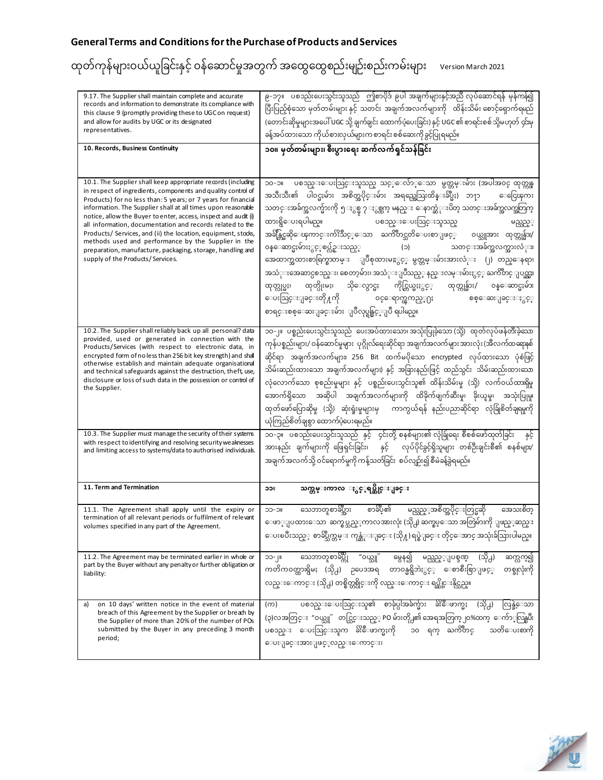| 9.17. The Supplier shall maintain complete and accurate<br>records and information to demonstrate its compliance with<br>this clause 9 (promptly providing these to UGC on request)<br>and allow for audits by UGC or its designated<br>representatives.                                                                                                                                                                                                                                                                                                                                                                | ၉-၁၇။   ပစၥည်းပေးသွင်းသူသည်   ဤစာပိုဒ် ၉ပါ အချက်များနှင့်အညီ လုပ်ဆောင်ရန် မှန်ကန်၍<br>ပြီးပြည့်စုံသော မှတ်တမ်းများ နှင့် သတင်း အချက်အလက်များကို ထိန်းသိမ်း စောင့်ရှောက်ရမည်<br>(တောင်းဆိုမှုများအပေါ် UGC သို့ ချက်ချင်း ထောက်ပံ့ပေးခြင်း) နှင့် UGC ၏ စာရင်းစစ် သို့မဟုတ် ၄င်းမှ<br>ခန့်အပ်ထားသော ကိုယ်စားလှယ်များက စာရင်းစစ်ဆေးကိုခွင့်ပြုရမည်။                                                                                                                                                                                                                                                                                                                                                                                                                                                                                                  |
|-------------------------------------------------------------------------------------------------------------------------------------------------------------------------------------------------------------------------------------------------------------------------------------------------------------------------------------------------------------------------------------------------------------------------------------------------------------------------------------------------------------------------------------------------------------------------------------------------------------------------|----------------------------------------------------------------------------------------------------------------------------------------------------------------------------------------------------------------------------------------------------------------------------------------------------------------------------------------------------------------------------------------------------------------------------------------------------------------------------------------------------------------------------------------------------------------------------------------------------------------------------------------------------------------------------------------------------------------------------------------------------------------------------------------------------------------------------------------------------|
| 10. Records, Business Continuity                                                                                                                                                                                                                                                                                                                                                                                                                                                                                                                                                                                        | ၁၀။ မှတ်တမ်းများ၊ စီးပွားရေး ဆက်လက်ရှင်သန်ခြင်း                                                                                                                                                                                                                                                                                                                                                                                                                                                                                                                                                                                                                                                                                                                                                                                                    |
| 10.1. The Supplier shall keep appropriate records (including<br>in respect of ingredients, components and quality control of<br>Products) for no less than: 5 years; or 7 years for financial<br>information. The Supplier shall at all times upon reasonable<br>notice, allow the Buyer to enter, access, inspect and audit (i)<br>all information, documentation and records related to the<br>Products/ Services, and (ii) the location, equipment, stocks,<br>methods used and performance by the Supplier in the<br>preparation, manufacture, packaging, storage, handling and<br>supply of the Products/Services. | ပစၥည္းေပးသြင္းသူသည္ သင့္ေလ်ာ္ေသာ မွတ္တမ္းမ်ား (အပါအဝင္ ထုတ္ကုန္<br><b>IIC-OC</b><br>အသီးသီး၏ ပါဝင္မႈမ်ား အစိတ္အပိုင္းမ်ား အရည္အေသြးထိန္းခ်ဳပ္မႈ) ဘ႑ာ<br>ေငြေၾကး<br>သတင္းအခ်က္အလက္မ်ားကို ၅ ႏွစ္မွ ၇ ႏွစ္ထက္ မနည္း ေနာက္ဆံုးပိတ္ သတင္းအခ်က္အလက္အတြက္<br>ထားရွိေပးရပါမည္။<br>ပစၥည္းေပးသြင္းသူသည္<br>မည္သည့့<br>အခ်ိန္တြင္မဆိုေၾကာင္းက်ဴိးသိဳင့္ေသာ ႀကိဳတင္သတိေပးစာျဖင့္<br>၀ယ္သူအား ထုတ္ကုန္မ်ား/<br>ဝန္ေဆာင္မႈမ်ားႏွင့္စပ္လ်ဥ္းသည့္<br>သတင္းအခ်က္အလက္အားလံုး။<br>$(\circ)$<br>အေထာက္အထားစာရြက္စာတမ္း ျပဳစုထားမႊႏွင့္ မွတ္တမ္းမ်ားအားလံုး (၂) တည္ေနရာ၊<br>အသံုးအေဆာင္ပစၥည္း၊ စေတာ့မ်ား၊ အသံုးျပဳသည့္ နည္းလမ္းမ်ားႏွင့္ ႀကိဳတင္ ျပင္သင္မႈ<br>ထုတ္လုပ္မႈ၊ ထုတ္ပိုးမႈ၊ သိုေလွာင္မႈ ကိုင္တြယ္မႈႏွင့္<br>ထုတ္ကုန္မ်ား/ ၀န္ေဆာင္မႈမ်ား<br>ေပးသြင္းျခင္းတို႔ကို     စင္ေရာက္ၾကည့္႐ႈ<br>စစ္ေဆးျခင္းႏွင့္<br>စာရင္းစစ္ေဆးျခင္းမ်ား ျပဳလုပ္ရန္ခြင့္ျပဳ ရပါမည္။ |
| 10.2. The Supplier shall reliably back up all personal? data<br>provided, used or generated in connection with the<br>Products/Services (with respect to electronic data, in<br>encrypted form of no less than 256 bit key strength) and shall<br>otherwise establish and maintain adequate organisational<br>and technical safeguards against the destruction, theft, use,<br>disclosure or loss of such data in the possession or control of<br>the Supplier.                                                                                                                                                         | ၁၀-၂။ ပစ္စည်းပေးသွင်းသူသည် ပေးအပ်ထားသော၊အသုံးပြုခဲ့သော (သို့) ထုတ်လုပ်ဖန်တီးခဲ့သော<br>ကုန်ပစ္စည်းများ/ ၀န်ဆောင်မှုများ  ပုဂ္ဂိုလ်ရေးဆိုင်ရာ အချက်အလက်များ အားလုံး (အီလက်ထရောနစ်<br>ဆိုင်ရာ အချက်အလက်များ၊ 256 Bit ထက်မပိုသော encrypted လုပ်ထားသော ပုံစံဖြင့်<br>သိမ်းဆည်းထားသော အချက်အလက်များ) နှင့် အခြားနည်းဖြင့် ထည်သွင်း  သိမ်းဆည်းထားသော<br>လုံလောက်သော စုစည်းမှုများ နှင့် ပစ္စည်းပေးသွင်းသူ၏ ထိန်းသိမ်းမှု (သို့) လက်ဝယ်ထားရှိမှု<br>အောက်ရှိသော အဆိုပါ အချက်အလက်များကို ထိခိုက်ဖျက်ဆီးမှု၊ ခိုးယူမှု၊ အသုံးပြုမှု၊<br>ထုတ်ဖော်ပြောဆိုမှု (သို့) ဆုံးရှုံးမှုများမှ ကာကွယ်ရန် နည်းပညာဆိုင်ရာ လုံခြုံစိတ်ချရမှုကို<br>ယုံကြည်စိတ်ချစွာ ထောက်ပံ့ပေးရမည်။                                                                                                                                                                                      |
| 10.3. The Supplier must manage the security of their systems<br>with respect to identifying and resolving security we aknesses<br>and limiting access to systems/data to authorised individuals.                                                                                                                                                                                                                                                                                                                                                                                                                        | ၁၀-၃။ ပစၥည်းပေးသွင်းသူသည် နှင့် ၄င်းတို့ စနစ်များ၏ လုံခြုံရေး စီစစ်ဖော်ထုတ်ခြင်း<br>နှင့်<br>အားနည်း ချက်များကို ဖြေရှင်းခြင်း၊   နှင့်    လုပ်ပိုင်ခွင့်ရှိသူများ တစ်ဦးချင်းစီ၏ စနစ်များ/<br>အချက်အလက်သို့ ဝင်ရောက်မှုကို ကန့်သတ်ခြင်း  စပ်လျဉ်း၍ စီမံခန့်ခွဲရမည်။                                                                                                                                                                                                                                                                                                                                                                                                                                                                                                                                                                                |
| 11. Term and Termination                                                                                                                                                                                                                                                                                                                                                                                                                                                                                                                                                                                                | သက္တမ္းကာလ ႏွင့္နရပ္ဆိုင္းျခင္း<br>⊃ລ⊪                                                                                                                                                                                                                                                                                                                                                                                                                                                                                                                                                                                                                                                                                                                                                                                                             |
| 11.1. The Agreement shall apply until the expiry or<br>termination of all relevant periods or fulfilment of relevant<br>volumes specified in any part of the Agreement.                                                                                                                                                                                                                                                                                                                                                                                                                                                 | စာခ်ဳပ္၏<br>မည္သည့္အစိတ္အပိုင္းတြင္မဆို<br>သေဘာတူစာခ်ဳပ္အား<br>အေသးစိတ္<br><b>IIC-CC</b><br>ေဖာ္ျပထားေသာ ဆက္စပ္သည့္ကာလအားလုံး (သို႕) ဆက္စပ္ေသာ အတြဲမ်ားကို ျဖည့္ဆည္း<br>ေပးၿပီးသည္္ စာခ်ဳပ္သက္တမ္း ကုန္ဆံုးျခင္း (သို႔) ရပ္စဲျခင္း တိုင္ေအာင္ အသုံးခ်ဲသြားပါမည္။                                                                                                                                                                                                                                                                                                                                                                                                                                                                                                                                                                                   |
| 11.2. The Agreement may be terminated earlier in whole or<br>part by the Buyer without any penalty or further obligation or<br>liability:                                                                                                                                                                                                                                                                                                                                                                                                                                                                               | သေဘာတူစာခ်ပ္ကို<br>"၀ယ္သူ"<br>မွေန၍<br>မည္သည့္ျပစ္ဒဏ္<br>(သို႕)<br>။  -ငင<br>ဆက္လက္၍<br>ကတိကဝတ္ထားရွိမႈ (သို႕) ဉပေဒအရ တာဝန္မရွိဘဲႏွင့္ ေစာစီးစြာျဖင့္<br>တစ္ခုလုံးကို<br>လည္းေကာင္း (သို႕) တစ္စိတ္တစ္ပိုင္းကို လည္းေကာင္း ရပ္ဆိုင္းနိုင္သည္။                                                                                                                                                                                                                                                                                                                                                                                                                                                                                                                                                                                                       |
| on 10 days' written notice in the event of material<br>a)<br>breach of this Agreement by the Supplier or breach by<br>the Supplier of more than 20% of the number of POs<br>submitted by the Buyer in any preceding 3 month<br>period;                                                                                                                                                                                                                                                                                                                                                                                  | ပစၥည္းေပးသြင္းသူ၏ စာခ်ုပ္ပါအခ်က္မ်ား<br>ားေဖာက္မႈ<br>(သို႕)<br>(က)<br>လြန္ခဲ့ေသာ<br>(၃)လအတြင္း "၀ယ္သူ" တင္သြင္းသည့္ PO မ်ားတို႕၏ အေရအတြက္၂၀%ထက္ ေက်ာ္လြန္ၿပီး<br>သတိေပးစာကို<br>ပစၥည္း ေပးသြင္းသူက <sup>သွို</sup> ေဳဖာက္မႈကို<br>၁၀ ရက္ ႀကိဳတင္<br>ေပးျခင္းအားျဖင့္ဝသည္းေကာင္း၊                                                                                                                                                                                                                                                                                                                                                                                                                                                                                                                                                                   |

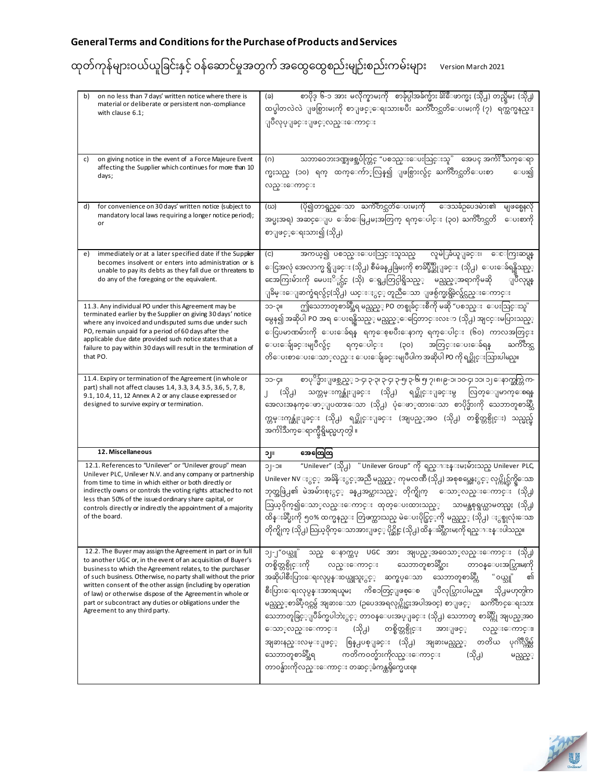| on no less than 7 days' written notice where there is<br>b)<br>material or deliberate or persistent non-compliance<br>with clause 6.1;                                                                                                                                                                                                                                                                                                                                            | စာပိုဒ္ ၆-၁ အား မလိုက္နာမႈကို  စာခ်ုပ္ပါအခ်က္မ်ား ခ်ိႏိဳေဖာက္မႈ (သို႕) တည္ရွိမႈ (သို႕)<br>(ခ)<br>ထပ္ခါတလဲလဲ ျဖစ္ပြားမႈကို စာျဖင့္ေရးသားၿပီး ႀကိဳတင္သတိေပးမႈကို (၇) ရက္ထက္မနည္း<br>ျပဳလုပ္ျခင္းျဖင့္လည္းေကာင္း                                                                                                                                                                                                                                                                                                                                                                                                                                                                                                                                             |
|-----------------------------------------------------------------------------------------------------------------------------------------------------------------------------------------------------------------------------------------------------------------------------------------------------------------------------------------------------------------------------------------------------------------------------------------------------------------------------------|-----------------------------------------------------------------------------------------------------------------------------------------------------------------------------------------------------------------------------------------------------------------------------------------------------------------------------------------------------------------------------------------------------------------------------------------------------------------------------------------------------------------------------------------------------------------------------------------------------------------------------------------------------------------------------------------------------------------------------------------------------------|
| on giving notice in the event of a Force Majeure Event<br>C)<br>affecting the Supplier which continues for more than 10<br>days;                                                                                                                                                                                                                                                                                                                                                  | သဘာဝေဘးဒဏ္အျဖစ္အပ်က္တြင္ "ပစၥည္းေပးသြင္းသူ" ေအပၚ အက်ိႏိၱသက္ေရာ<br>(0)<br>က္မႈသည္ (၁၀) ရက္ ထက္ေက်ာ္လြန္၍ ျဖစ္ပြားလွ်င္ ႀကိဳတင္သတိေပးစာ<br>ေပး၍<br>လည္းေကာင္း                                                                                                                                                                                                                                                                                                                                                                                                                                                                                                                                                                                               |
| for convenience on 30 days' written notice (subject to<br>d)<br>mandatory local laws requiring a longer notice period);<br>or                                                                                                                                                                                                                                                                                                                                                     | (ပို၍တာရွည္ေသာ ႀကိဳတင္သတိေပးမႈကို ေဒသခံဥပေဒမ်ား၏<br>မျဖစ္မေနလို<br>(ဃ)<br>အပ္မႈအရ) အဆင္ေျပ ေခ်ာေမြ႕မႈအတြက္ ရက္ေပါင္း (၃၀) ႀကိဳတင္သတိ<br>ေပးစာကို<br>စာျဖင့့ေရးသား၍ (သို႕)                                                                                                                                                                                                                                                                                                                                                                                                                                                                                                                                                                                 |
| immediately or at a later specified date if the Supplier<br>e)<br>becomes insolvent or enters into administration or is<br>unable to pay its debts as they fall due or threatens to<br>do any of the foregoing or the equivalent.                                                                                                                                                                                                                                                 | အကယ္၍ ပစၥည္းေပးသြင္းသူသည္ လူမဲြခံယူျခင္း၊ ေေကြးဆပ္ရန္<br>$\left( c \right)$<br>ေငြအလုံ အေလာက္မ ရွိျခင္း (သို႕) စီမံခန္႕ခြဲမႈကို စာခ်ဳပ္ခ်ဳပ္ဆိုျခင္း  (သို႕)  ေပးေခ်ရန္ရွိသည့္<br>ငေအကြးမ်ားကို မေပးႏိ <b>ုင္လ်င္ (သို) ေရွ႕တြင္ပါရွိသည္္   မည္သည္</b> ့အရာကိုမဆို<br>ျပဳလုပ္ရန္<br>ျခိမ္းေျခာက္ခံရလွ်င္(သို႕) ယင္းႏွင္္ တူညီေသာ ျဖစ္ပ်က္မႈရွိခဲ့လွ်င္လည္းေကာင္း                                                                                                                                                                                                                                                                                                                                                                                          |
| 11.3. Any individual PO under this Agreement may be<br>terminated earlier by the Supplier on giving 30 days' notice<br>where any invoiced and undisputed sums due under such<br>PO, remain unpaid for a period of 60 days after the<br>applicable due date provided such notice states that a<br>failure to pay within 30 days will result in the termination of<br>that PO.                                                                                                      | ဤသေဘာတူစာခ်ဳပ္အီရ မည္သည့္ PO တစ္ခုခ်င္းစီကို မဆို "ပစၥည္း ေပးသြင္းသူ"<br>IIÇ-CC<br>မွေန၍ အဆိုပါ PO အရ ေပးရန္ရွိသည့္ မည္သည့္ေငြေတာင္းလႊာ (သို႕) အျငင္းမပြားသည့္<br>ေငြပမာဏမ်ားကို ေပးေခ်ရန္ ရက္ေစ့ၿပီးေနာက္ ရက္ေပါင္း (၆၀) ကာလအတြင္း<br>ေပးေခ်ျခင္းမျပဳလွ်င္ ရက္ေပါင္း (၃၀) အတြင္းေပးေခ်ရန္<br>ႀကိဳတင္သ<br>တိေပးစာေပးေသာ္လည္း ေပးေခ်ျခင္းမျပဳပါက အဆိုပါ PO ကို ရပ္ဆိုင္းသြားပါမည္။                                                                                                                                                                                                                                                                                                                                                                         |
| 11.4. Expiry or termination of the Agreement (in whole or<br>part) shall not affect clauses 1.4, 3.3, 3.4, 3.5, 3.6, 5, 7, 8,<br>9.1, 10.4, 11, 12 Annex A 2 or any clause expressed or<br>designed to survive expiry or termination.                                                                                                                                                                                                                                             | စာပုိဒ္မ်ားျဖစ္သည့္ ၁-၄၊ ၃-၃၊ ၃-၄၊ ၃-၅၊ ၃-၆၊ ၅၊ ၇၊ ၈၊ ၉-၁၊ ၁၀-၄၊ ၁၁၊ ၁၂ ေနာက္ဆက္တြဲ က-<br><b>IIQ-CC</b><br>(သို႕) သက္တမ္းကုန္ဆုံးျခင္း (သို႕) ရပ္ဆိုင္းျခင္းမွ လြတ္ေျမာက္ေစရန<br>အေလးအနက္ေဖာ္ျပထားေသာ (သို႕) ပုံေဖာ္ထားေသာ စာပိုဒ္မ်ားကို သေဘာတူစာဆ္သိဳ<br>က္ကမ္းကုန္ဆုံးျခင္း (သို႕) ရပ္ဆိုင္းျခင္း (အျပည့္အ၀ (သို႕) တစ္စိတ္တစ္ပိုင္း) သည္မည္မ်<br>အက်ိးသက္ေရာက္မီရွိမည္မဟုတ္ပါ ။                                                                                                                                                                                                                                                                                                                                                                        |
| 12. Miscellaneous                                                                                                                                                                                                                                                                                                                                                                                                                                                                 | အေထြေထြ<br>∍∥c                                                                                                                                                                                                                                                                                                                                                                                                                                                                                                                                                                                                                                                                                                                                            |
| 12.1. References to "Unilever" or "Unilever group" mean<br>Unilever PLC, Unilever N.V. and any company or partnership<br>from time to time in which either or both directly or<br>indirectly owns or controls the voting rights attached to not<br>less than 50% of the issued ordinary share capital, or<br>controls directly or indirectly the appointment of a majority<br>of the board.                                                                                       | "Unilever" (သို႕) "Unilever Group" ကို ရည္ၫႊန္းမႈမ်ားသည္ Unilever PLC<br>$IC-$  C<br>Unilever NV ႏွင္္ အခ်ိန္ႏွင့္အညီ မည္သည္္ ကုမၸဏီ (သို႕) အစုစပ္အေနႏွင္္ လုပ္ကိုင္လ်က္ရွိေသာ<br>ဘုတ္အဖြဲ႕၏ မဲအမ်ားစုႏွင့္ ခန္႕အပ္ထားသည့္ တိုက္ရိုက္ ေသာ္လည္းေကာင္း (သို႕)<br>သြယ္၀ိုက္၍ေသာ္လည္းေကာင္း ထုတ္ေပးထားသည့္ သာမန္အစုရွယ္ယာမတည္မႈ (သို႕)<br>ထိန္းခ်ဳပ္မႈကို ၅၀% ထက္မနည္း တြဲဖက္ထားသည္ မဲေပးပိုင္ခြင့္ကို မည္သည့္ (သို႕) ႏွစ္ခုလုံးေသာ<br>တိုက္ရိုက္ (သို႕) သြယ္ဝိုက္ေသာအားျဖင့္ ပိုင္ဆိုင္ (သို႕) ထိန္းခ်ဳပ္ထားမႈကို ရည္ၫႊန္းပါသည္။                                                                                                                                                                                                                             |
| 12.2. The Buyer may assign the Agreement in part or in full<br>to another UGC or, in the event of an acquisition of Buyer's<br>business to which the Agreement relates, to the purchaser<br>of such business. Otherwise, no party shall without the prior<br>written consent of the other assign (including by operation<br>of law) or otherwise dispose of the Agreement in whole or<br>part or subcontract any duties or obligations under the<br>Agreement to any third party. | သည္ ေနာက္ထပ္ UGC အား အျပည္္အအ၀ေသာ္လည္းေကာင္း (သို႕)<br>၁၂-၂"၀ယ္သူ"<br>တစ္စိတ္တစ္ပိုင္းကို<br>လည္းေကာင္း သေဘာတူစာခ်ဳပ္အား တာဝန္ေပးအပ္သြားမႈကို<br>အဆိုပါစီးပြားေရးလုပ္ငန္း၀ယ္ယူသူႏွင့္ ဆက္စပ္ေသာ သေဘာတူစာခ်ဳပ္ကိ "ဝယ္သူ"<br>၏<br>စီးပြားေရးလုပ္ငန္းအားရယူမႈ<br>ကိစၥတြင္ျဖစ္ေစ ျပဳလုပ္သြားပါမည္။ သို႕မဟုတ္ပါက<br>မည္သည့္စာခ်ဳပ္ဝင္ကမွ် အျခားေသာ (ဥပေဒအရလုပ္ကိုင္မႈအပါအဝင္) စာျဖင့္    ႀကိဳတင္ေရးသား<br>သေဘာတူခြင့္ျပဳခ်က္မပါဘဲႏွင့္ တာဝန္ေပးအပ္ျခင္း (သို႕) သေဘာတူ စာခ်ဳပ္ကို အျပည္္အအဝ<br>ေသာ္လည္းေကာင္း (သို႕) တစ္စိတ္တစ္ပိုင္း<br>အားျဖင့္ လည္းေကာင္း<br>အျခားနည္းလမ္းျဖင့္ စြန္႕ပစ္ျခင္း (သို႕) အျခားမည္သည္္ တတိယ ပုဂၢိဳလ္ကိမ္ပြဲ<br>ကတိကဝတ္မ်ားကိုလည္းေကာင္း<br>သေဘာတူစာခ်ဳပ္အီရ<br>(သို႕)<br>မည္သည့့<br>တာဝန္မ်ားကိုလည္းေကာင္း တဆင့္ခံကန္ထရိုက္မေပးရ။ |

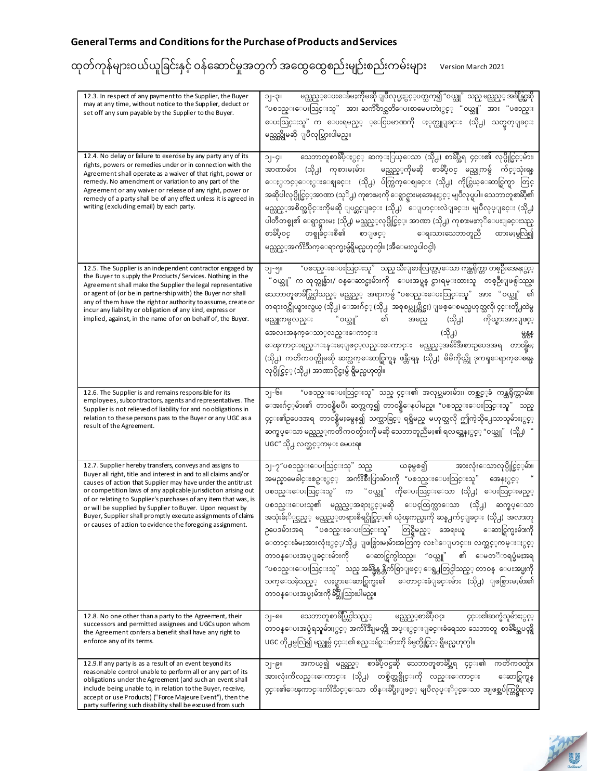| 12.3. In respect of any payment to the Supplier, the Buyer<br>may at any time, without notice to the Supplier, deduct or<br>set off any sum payable by the Supplier to the Buyer.                                                                                                                                                                                                                                                                                                                                        | မည္သည္္ေပးေခ်မႈကိုမဆို ျပဳလုပ္မႈႏွင့္ပတ္သက္၍ "ဝယ္သူ" သည္ မည္သည္္ အခ်ိန္တြဲဆို<br>၁၂-၃။<br>"ပစၥည္းေပးသြင္းသူ" အား ႀကိဳတင္သတိေပးစာမေပးဘဲႏွင့္ "ဝယ္သူ" အား "ပစၥည္း<br>ေပးသြင္းသူ" က ေပးရမည့္ ့ေငြပမာဏကို ႏုတ္ယူျခင္း (သို႕) သတ္မွတ္ျခင္း<br>မည္သည္ကိုမဆို ျပဳလုပ္သြားပါမည္။                                                                                                                                                                                                                                                                                                                                                                                                                                                                                                                                                    |
|--------------------------------------------------------------------------------------------------------------------------------------------------------------------------------------------------------------------------------------------------------------------------------------------------------------------------------------------------------------------------------------------------------------------------------------------------------------------------------------------------------------------------|-----------------------------------------------------------------------------------------------------------------------------------------------------------------------------------------------------------------------------------------------------------------------------------------------------------------------------------------------------------------------------------------------------------------------------------------------------------------------------------------------------------------------------------------------------------------------------------------------------------------------------------------------------------------------------------------------------------------------------------------------------------------------------------------------------------------------------|
| 12.4. No delay or failure to exercise by any party any of its<br>rights, powers or remedies under or in connection with the<br>Agreement shall operate as a waiver of that right, power or<br>remedy. No amendment or variation to any part of the<br>Agreement or any waiver or release of any right, power or<br>remedy of a party shall be of any effect unless it is agreed in<br>writing (excluding email) by each party.                                                                                           | သေဘာတူစာခ်ဳပ္ႏွင့္ ဆက္ႏြယ္ေသာ (သို႕) စာခ်ဳပ္အရ ၄င္း၏ လုပ္ပိုင္ခြင့္နမ်ား၊<br>၁၂-၄။<br>အာဏာမ်ား (သို႕) ကုစားမႈမ်ား  မည္သည့္ကိုမဆို စာခ်ဳပ္ဝင္ မည္သူကမွ် က်င့္သာုံးရန္<br>ေႏွာင့္ေႏွးေဈခင္း (သို႕) ပ်က္ကြက္ေဈခင္း (သို႕) ကိုင္တြယ္ေဆာင္ရြက္ရာ တြင္<br>အဆိုပါလုပ္ပိုင္ခြင့္အာဏာ (သုိ႕) ကုစားမႈကို ေရွာင္ရွားမႈအေနႏွင့္ မျပဳလုပ္ရပါ။ သေဘာတူစာဆို့၏<br>မည္သည့္အစိတ္အပိုင္းကိုမဆို ျပင္ဆင္ျခင္း (သို႕)  ေျပာင္းလဲျခင္း၊ မျပဳလုပ္ျခင္း (သို႕)<br>ပါတီတစ္ခု၏ ေရွာင္ရွားမႈ (သို႕) မည္သည့္လုပ္ပိုင္ခြင္း အာဏာ (သို႕) ကုစားမႈကုိေပးျခင္းသည္<br>စာခ်ဳပ္ဝင္ တစ္ခုခ်င္းစီ၏ စာျဖင့္   ေရးသားသေဘာတူညီ ထားမႈမွလြဲ၍<br>မည္သည့္အက်ိးသက္ေရာက္မႈမွ်ရွိမည္မဟုတ္ပါ။ (အီေမးလ္မပါ၀င္ပါ)                                                                                                                                                              |
| 12.5. The Supplier is an independent contractor engaged by<br>the Buyer to supply the Products/Services. Nothing in the<br>Agreement shall make the Supplier the legal representative<br>or agent of (or be in partnership with) the Buyer nor shall<br>any of them have the right or authority to assume, create or<br>incur any liability or obligation of any kind, express or<br>implied, against, in the name of or on behalf of, the Buyer.                                                                        | "ပစၥည္းေပးသြင္းသူ" သည္ သီးျခားလြတ္လပ္ေသာ ကန္ထရိုက္တာ တစ္ဦးအေနႏွင့္<br>၁၂-၅။<br>"ဝယ္သူ" က ထုတ္ကုန္မ်ား/ ဝန္ေဆာင္မႈမ်ားကို ေပးအပ္ရန္ ငွားရမ္းထားသူ တစ္ဦးျဖစ္ပါသည္။<br>သေဘာတူစာခ်ဳပ္တြင္ပါသည့္ မည္သည့္ အရာကမွ် "ပစၥည္းေပးသြင္းသူ" အား "ဝယ္သူ" ၏<br>တရား၀င္ကိုယ္စားလွယ္ (သို႕) ေအးဂ်င့္ (သို႕  အစုစပ္လုပ္ကိုင္မႈ) ျဖစ္ေစမည္မဟုတ္သလို၊ ၄င္းတို႕ထဲမွ<br>မည္သူကမွလည္း "၀ယ္သူ" ၏<br>အမည္ (သို႕) ကိုယ္စားအားျဖင့္<br>(သို႕)<br>အေလးအနက္ေသာ္လည္းေကာင္း<br>မ္မန္တန္<br>ေၾကာင္းရည္ၫႊန္းမႈျဖင့္လည္းေကာင္း မည္သည့္အမ်ိ <sup>9</sup> အီစားဥပေဒအရ တာ၀န္ရွိမႈ<br>(သို႕) ကတိက၀တ္ကိုမဆို ဆက္လက္ေဆာင္ရြက္ရန္ ဖန္တီးရန္ (သို႕) မိမိကိုယ္ကို ဒုကၡေရာက္ေစရန<br>လုပ္ပိုင္ခြင္္ (သို႕) အာဏာပိုင္မႈမွ် ရွိမည္မဟုတ္ပါ။                                                                                                                                 |
| 12.6. The Supplier is and remains responsible for its<br>employees, subcontractors, agents and representatives. The<br>Supplier is not relieved of liability for and no obligations in<br>relation to these persons pass to the Buyer or any UGC as a<br>result of the Agreement.                                                                                                                                                                                                                                        | ၁၂-၆။ က ဖစၥည္းေပးသြင္းသူ" သည္ ၄င္း၏ အလုပ္သမားမ်ား၊ တစ္ဆင့္ခံ ကန္ကရိုက္တာမ်ား၊<br>ေအးဂ်င့္နမ်ား၏ တာ၀န္ရွိၿပီး ဆက္လက္၍ တာ၀န္ရွိေနပါမည္။ "ပစၥည္းေပးသြင္းသူ" သည္<br>၄င္း၏ဥပေဒအရ တာ၀န္ရွိမႈမွေန၍ သက္သာခြင္္ ရရွိမည္ မဟုတ္သလို ဤကဲ့သို႕ေသာသူမ်ားႏွင့္<br>ဆက္စပ္ေသာ မည္သည့္ကတိကဝတ္မ်ားကို မဆို သေဘာတူညီမႈ၏ ရလဒ္အေနႏွင္္ "ဝယ္သူ" (သို႕) "<br>UGC" သို႕ လက္ဆင့့ကမ္း မေပးရ။                                                                                                                                                                                                                                                                                                                                                                                                                                                           |
| 12.7. Supplier hereby transfers, conveys and assigns to<br>Buyer all right, title and interest in and to all claims and/or<br>causes of action that Supplier may have under the antitrust<br>or competition laws of any applicable jurisdiction arising out<br>of or relating to Supplier's purchases of any item that was, is<br>or will be supplied by Supplier to Buyer. Upon request by<br>Buyer, Supplier shall promptly execute assignments of claims<br>or causes of action to evidence the foregoing assignment. | ၁၂-၇"ပစၥည္းေပးသြင္းသူ" သည္ ယခုမွစ၍ အားလုံးေသာလုပ္ပိုင္ခြင့္နမ်ား၊<br>အမည္နာမေခါင္းစဥ္ႏွင့္ အက်ဴိးစ်ိဳးပြားမ်ားကို "ပစၥည္းေပးသြင္းသူ" အေနႏွင္္<br>ပစၥည္းေပးသြင္းသူ" က "ဝယ္သူ" ကိုေပးသြင္းေသာ (သို႕) ေပးသြင္းမည့္<br>ပစၥည္းေပးသူ၏ မည္သည့္အာရာႏွင့္နမဆို ေပၚထြက္လာေသာ (သို႕) ဆက္စပ္ေသာ<br>အသုံးခ်ႏို္င္သည္္ မည္သည္္ဝာရားစီရင္ပိုင္ခြင့္၏ ယုံၾကည္မႈကို ဆန္႕က်င္ျခင္း (သို႕) အလားတူ<br>ဉပေဒမ်ားအရ "ပစၥည္းေပးသြင္းသူ" တြင္ရွိမည့္ အေရးယူ ေဆာင္ရြက္မႈမ်ားကို<br>ေတာင္းခံမႈအားလုံးႏွင့့/သို႕ ျဖစ္ပြားမႈမ်ားအတြက္ လႊဲေျပာင္း၊ လက္ဆင့္ဧကမ္းႏွင့္<br>တာဝန္ေပးအပ္ျခင္းမ်ားကို ေဆာင္ရြက္ပါသည္။ "ဝယ္သူ" ၏ ေမတၱာရပ္ခံမႈအရ<br>"ပစၥည္းေပးသြင္းသူ"  သည္ အခ်ိန္မွန္က န္တိက်စြာျဖင့္ ေရွ႕တြင္ပါသည္္ တာဝန္  ေပးအပ္မႈကို<br>သက္ေသခဲ့သည့္ လႈပ္ရွားေဆာင္ရြက္မႈ၏ ေတာင္းခံျခင္းမ်ား (သို႕) ျဖစ္ပြားမႈမ်ား၏<br>တာဝန္ေပးအပ္မႈမ်ားကို ခ်ဳပ္ဆိုသြားပါမည္။ |
| 12.8. No one other than a party to the Agreement, their<br>successors and permitted assignees and UGCs upon whom<br>the Agreement confers a benefit shall have any right to<br>enforce any of its terms.                                                                                                                                                                                                                                                                                                                 | သေဘာတူစာခ်ဳပ္တြင္ပါသည့္         မည္သည့္စာခ်ဳပ္ဝင္၊<br>၄င္း၏ဆက္ခံသူမ်ားႏွင့္<br>၁၂-၈။<br>တာဝန္ေပးအပ္ခံရသူမ်ားႏွင့္ အက်ိးအျိဳမတ္ကို အပ္ႏွင္းျခင္းခံရေသာ သေဘာတူ စာခ်ဲတ္အေပၚရွိ<br>UGC တို႕မွလြဲ၍ မည္သူမွ် ၄င္း၏ စည္းမ်ဥ္းမ်ားကို ခ်မွတ္ပိုင္ခြင့္ ရွိမည္မဟုတ္ပါ။                                                                                                                                                                                                                                                                                                                                                                                                                                                                                                                                                               |
| 12.9. If any party is as a result of an event beyond its<br>reasonable control unable to perform all or any part of its<br>obligations under the Agreement (and such an event shall<br>include being unable to, in relation to the Buyer, receive,<br>accept or use Products) ("Force Majeure Event"), then the<br>party suffering such disability shall be excused from such                                                                                                                                            | အကယ္၍ မည္သည့့ စာခ်ဳပ္ဝင္မဆို သေဘာတူစာခ်ဳပ္အီရ ၄င္း၏ ကတိကဝတ္မ်ား<br>၁၂-၉။<br>အားလုံးကိလည္းေကာင္း (သို႕) တစ္စိတ္တစ္ပိုင္းကို လည္းေကာင္း<br>ေဆာင္ရြက္ရန<br>၄င္း၏ေၾကာင္းက်ဴိးသင့္ေသာ ထိန္းခ်ဳပ္မီႏျဖင့္ မျပဳလုပ္ႏိုင္ေသာ အျဖစ္အပ်က္တြင္ရွိရလဒ္                                                                                                                                                                                                                                                                                                                                                                                                                                                                                                                                                                                  |

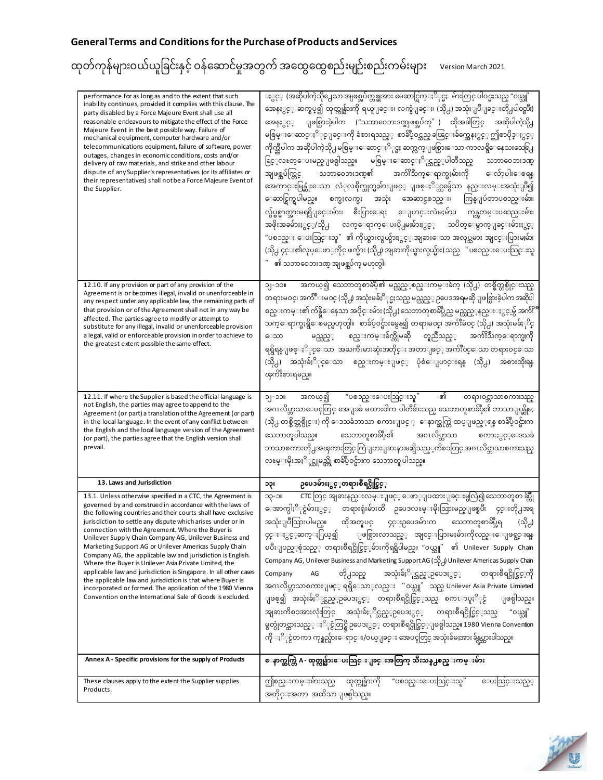| performance for as long as and to the extent that such<br>inability continues, provided it complies with this clause. The<br>party disabled by a Force Majeure Event shall use all<br>reasonable endeavours to mitigate the effect of the Force<br>Majeure Event in the best possible way. Failure of<br>mechanical equipment, computer hardware and/or<br>telecommunications equipment, failure of software, power<br>outages, changes in economic conditions, costs and/or<br>delivery of raw materials, and strike and other labour<br>dispute of any Supplier's representatives (or its affiliates or<br>their representatives) shall not be a Force Majeure Event of<br>the Supplier.<br>12.10. If any provision or part of any provision of the                                                                   | ႏွင္္ (အဆိုပါကဲ့သို႕ေသာ အျဖစ္အပ်က္တစ္ခုအား မေဆာင္ရြက္ႏိုင္မႈ  မ်ားတြင္ ပါဝင္မႈသည္ "ဝယ္သူ"<br>အေနႏွင့္ ဆက္စပ္၍ ထုတ္ကုန္မ်ားကို ရယူျခင္း၊ လက္ခံျခင္း၊ (သို႕) အသုံးျပဳျခင္းတို႕ပါ၀င္ၿပီး)<br>အေနႏွင့္ ျဖစ္ပြားခဲ့ပါက ("သဘာဝေဘးဒဏ္အျဖစ္အပ်က္" ) ထိုအခါတြင္<br>အဆိုပါကဲ့သို႕<br>မစြမ္းေဆာင္ႏိြင္ျခင္းကို ခံစားရသည္္ စာခ်ဳပ္ဝင္သည္ ခၽြင္းခ်က္အေနႏွင္္ ဤစာပိုဒ္ႏွင့္<br>ကိုက္သီပါက အဆိုပါကဲ့သို႕ မစြမ္းေဆာင္ႏိုင္မႈ ဆက္လက္ျဖစ္ပြားေသာ ကာလရွိေနေသးသေရြ႕<br>ခြင့္လႊတ္ေပးမည္ျဖစ္ပါသည္။ မစြမ္းေဆာင္ႏိုင္သည့္ပါတီသည္<br>သဘာဝေဘးဒဏ္<br>သဘာဝေဘးဒဏ္၏ အက်ိဳးသက္ေရာက္မႈမ်ားကို ေလ်ာ့ပါးေစရန<br>အျဖစ္အပ်က္တြင္<br>အေကာင္းမြန္ဆုံးေသာ လံုလစိုက္ထုတ္မႈမ်ားျဖင့္ ျဖစ္ႏိုင္သမွ်ေသာ နည္းလမ္းအသုံးျပဳ၍<br>ေဆာင္ရြက္ရပါမည္။ စက္မႈလက္မႈ အသုံး အေဆာင္ပစၥည္း၊ ကြန္ျပဴတာပစၥည္းမ်ား၊<br>လွ်ပ္စစ္ဓာတ္အားမရရွိျခင္းမ်ား၊ စီးပြားေရး ေျပာင္းလဲမႈမ်ား၊ ကုန္ၾကမ္းပစၥည္းမ်ား၊<br>အဖိုးအခမ်ားႏွင္႔သို႕ လက္ေရာက္ေပးပို႕မႈမ်ားႏွင့္ သပိတ္ေမွာက္ျခင္းမ်ားႏွင့္<br>"ပစၥည္း ေပးသြင္းသူ" ၏ ကိုယ္စားလွယ္မ်ားႏွင့္ အျခားေသာ အလုပ္သမား အျငင္းပြားမႈမ်ား<br>(သို႕ ၄င္း၏လုပ္ေဖာ္ကိုင္ ဖက္မ်ား (သို႕) အျခားကိုယ္စားလွယ္မ်ား) သည္ " ပစၥည္းေပးသြင္းသူ<br>" ၏ သဘာဝေဘးဒဏ္ အျဖစ္အပ်က္ မဟုတ္ပါ။<br>အကယ္၍ သေဘာတူစာခ်ဳပ္၏ မည္သည့္စစည္းကမ္းခ်က္ (သို႕) တစ္စိတ္တစ္ပိုင္းသည္<br>။ ၀င-၂ င |
|-------------------------------------------------------------------------------------------------------------------------------------------------------------------------------------------------------------------------------------------------------------------------------------------------------------------------------------------------------------------------------------------------------------------------------------------------------------------------------------------------------------------------------------------------------------------------------------------------------------------------------------------------------------------------------------------------------------------------------------------------------------------------------------------------------------------------|------------------------------------------------------------------------------------------------------------------------------------------------------------------------------------------------------------------------------------------------------------------------------------------------------------------------------------------------------------------------------------------------------------------------------------------------------------------------------------------------------------------------------------------------------------------------------------------------------------------------------------------------------------------------------------------------------------------------------------------------------------------------------------------------------------------------------------------------------------------------------------------------------------------------------------------------------------------------------------------------------------------------------------------------------------------------------------------------------------------------------------------------------------------------------------------------------------------------------|
| Agreement is or becomes illegal, invalid or unenforceable in<br>any respect under any applicable law, the remaining parts of<br>that provision or of the Agreement shall not in any way be<br>affected. The parties agree to modify or attempt to<br>substitute for any illegal, invalid or unenforceable provision<br>a legal, valid or enforceable provision in order to achieve to<br>the greatest extent possible the same effect.                                                                                                                                                                                                                                                                                                                                                                                  | တရားမဝင္၊ အက်ဳံဳးမဝင္ (သို႕) အသုံးမခ်ႏိုင္မႈသည္ မည္သည္္ ဥပေဒအရမဆိုျဖစ္ပြားခဲ့ပါက အဆိုပါ<br>စည္းကမ္း၏ က်န္ရွိေနေသာ အပိုင္းမ်ား (သို႕) သေဘာတူစာခ်ဳပ္သည္ မည္သည့္နည္းႏွင္းမွ် အက်ဴိ <sup>ဳ</sup><br>သက္ေရာက္မႈရွိေစမည္မဟုတ္ပါ။  စာခ်ဴပ္၀င္မ်ားမွေန၍ တရားမ၀င္၊ အက်ဴိးမ၀င္ (သို႕) အသုံးမခ်ႏုိင္<br>စည္းကမ္းခ်က္ကိုမဆို တူညီသည့္ အက်ဴိးသက္ေရာက္မႈကို<br>ေသာ<br>မည္သည့့<br>ရရွိရန္ျဖစ္ႏို္င္ေသာ အႀကီးမားဆုံးအတိုင္း အတာျဖင္္ အက်ိဳးဝင္ေသာ တရားဝင္ေသာ<br>(သို႕) အသုံးခ်ႏိြင္ေသာ စည္းကမ္းျဖင့္ ပုံစံေျပာင္းရန္ (သို႕) အစားထိုးရန<br>ၾကိဳးစားရမည္။                                                                                                                                                                                                                                                                                                                                                                                                                                                                                                                                                                                                                                                                                      |
| 12.11. If where the Supplier is based the official language is<br>not English, the parties may agree to append to the<br>Agreement (or part) a translation of the Agreement (or part)<br>in the local language. In the event of any conflict between<br>the English and the local language version of the Agreement<br>(or part), the parties agree that the English version shall<br>prevail.                                                                                                                                                                                                                                                                                                                                                                                                                          | ၏<br>"ပစၥည္းေပးသြင္းသူ"<br>အကယ္၍<br>။ငင- င<br>တရား၀င္ဘာသာစကားသည္<br>အဂၤလိပ္ဘာသာေပၚတြင္ အေျခခံ မထားပါက ပါတီမ်ားသည္ သေဘာတူစာခ်ဳပ္၏ ဘာသာျပန္ဆိုမႈ<br>(သို႕ တစ္စိတ္တစ္ပိုင္း) ကို ေဒသခံဘာသာ စကားျဖင္ ့ ေနာက္ဆက္တြဲ ထပ္ျဖည့္ရန္ စာခ်ဳပ္ဝင္မ်ားက<br>သေဘာတူပါသည္။ သေဘာတူစာခ်ဳပ္၏ အဂၤလိပ္ဘာသာ<br>စကားႏွင့့ေဒသခံ<br>ဘာသာစကားတို႕အၾကားတြင္ ကြဲျပားျခားနားမႈရွိသည္္ကကိစၥတြင္ အဂၤလိပ္ဘာသာစကားသည္<br>လႊမ္းမိုးအႏိ္ပ္ယူမည္ကို စာခ်ဳပ္ဝင္မ်ားက သေဘာတူ ပါသည္။                                                                                                                                                                                                                                                                                                                                                                                                                                                                                                                                                                                                                                                                                                                                                                                |
| 13. Laws and Jurisdiction                                                                                                                                                                                                                                                                                                                                                                                                                                                                                                                                                                                                                                                                                                                                                                                               | <b>ဉပေဒမ်ားႏွင့</b> ့တရားစီရင္ပိုင္ခြင့့<br>ျ၄င                                                                                                                                                                                                                                                                                                                                                                                                                                                                                                                                                                                                                                                                                                                                                                                                                                                                                                                                                                                                                                                                                                                                                                              |
| 13.1. Unless otherwise specified in a CTC, the Agreement is<br>governed by and construed in accordance with the laws of<br>the following countries and their courts shall have exclusive<br>jurisdiction to settle any dispute which arises under or in<br>connection with the Agreement. Where the Buyer is<br>Unilever Supply Chain Company AG, Unilever Business and<br>Marketing Support AG or Unilever Americas Supply Chain<br>Company AG, the applicable law and jurisdiction is English.<br>Where the Buyer is Unilever Asia Private Limited, the<br>applicable law and jurisdiction is Singapore. In all other cases<br>the applicable law and jurisdiction is that where Buyer is<br>incorporated or formed. The application of the 1980 Vienna<br>Convention on the International Sale of Goods is excluded. | CTC တြင္ အျခားနည္းလမ္းျဖင့္ ေဖာ္ျပထားျခင္းမွလြဲ၍ သေဘာတူစာ ဆို့<br>။င-၄င<br>ေအာက္ပါႏို္င္ငံမ်ားႏွင့္ တရားရုံးမ်ားထိ ဥပေဒလႊမ္းမိုးသြားမည္ျဖစ္ၿပီး ၄င္းတို႕အရ<br>အသုံးျပဳသြားပါမည္။ ထိုအတူပင္ ၄င္းဉပေဒမ်ားက သေဘာတူစာခ်ဳပ္အရ<br>(သို႕)<br>၄င္းႏွင့္ဆက္ႏြယ္၍ ျဖစ္ပြားလာသည့္ အျငင္းပြားမႈမ်ားကိုလည္းေျဖရွင္းရန<br>ၿပီးျပည့္စုံသည့္ တရားစီရင္ပိုင္ခြင့္ငမ်ားကိုရရွိပါမည္။ "ဝယ္သူ" ၏ Unilever Supply Chain<br>Company AG, Unilever Business and Marketing Support AG (သို႕) Unilever Americas Supply Chain<br>တို႕သည္ အသုံးခ်ႏိြင္သည့္ဥပေဒႏွင့္ တရားစီရင္ပိုင္ခြင္းကို<br>Company<br>AG<br>အဂၤလိပ္ဘာသာစကားျဖင့္ ရရွိေသာ္လည္း "၀ယ္သူ" သည္ Unilever Asia Private Limieted<br>ျဖစ္၍ အသုံးခ်ႏိြင္သည္္ဥပေဒႏွင့္ တရားစီရင္ပိုင္ခြင့္သည္ စကၤာပူႏိြင္ငံ<br>ျဖစ္ပါသည္။<br>အျခားကိစၥအားလုံးတြင္ အသုံးခ်ႏုိင္သည္္ဥပေဒႏွင့္ တရားစီရင္ပိုင္ခြင့္သည္<br>"၀ယ္သူ"<br>မွတ္ပုံတင္ထားသည့္ ႏို္င္ငံတြင္ရွိ ဥပေဒႏွင့္ တရားစီရင္ပိုင္ခြင့္ျဖစ္ပါသည္။ 1980 Vienna Convention<br>ကို ႏို္င္ငံတကာ ကုန္စည္မ်ားေရာင္း/၀ယ္ျခင္း အေပၚတြင္ အသုံးခ်မႈအား ခ်န္လပ္ထားပါသည္။                                                                                                                                                                                           |
| Annex A - Specific provisions for the supply of Products                                                                                                                                                                                                                                                                                                                                                                                                                                                                                                                                                                                                                                                                                                                                                                | ေနာက္ဆက္တြဲ A - ထုတ္ကုန္မ်ားေပးသြင္းျခင္းအတြက္ သီးသန္႕စည္းကမ္းမ်ား                                                                                                                                                                                                                                                                                                                                                                                                                                                                                                                                                                                                                                                                                                                                                                                                                                                                                                                                                                                                                                                                                                                                                           |
| These clauses apply to the extent the Supplier supplies<br>Products.                                                                                                                                                                                                                                                                                                                                                                                                                                                                                                                                                                                                                                                                                                                                                    | "ပစၥည္းေပးသြင္းသူ"<br>ကြုံစည္းကမ္းမ်ားသည္<br>ထုတ္ကုန္မ်ားကို<br>ေပးသြင္းသည့္<br>အတိုင္းအတာ အထိသာ ျဖစ္ပါသည္။                                                                                                                                                                                                                                                                                                                                                                                                                                                                                                                                                                                                                                                                                                                                                                                                                                                                                                                                                                                                                                                                                                                  |

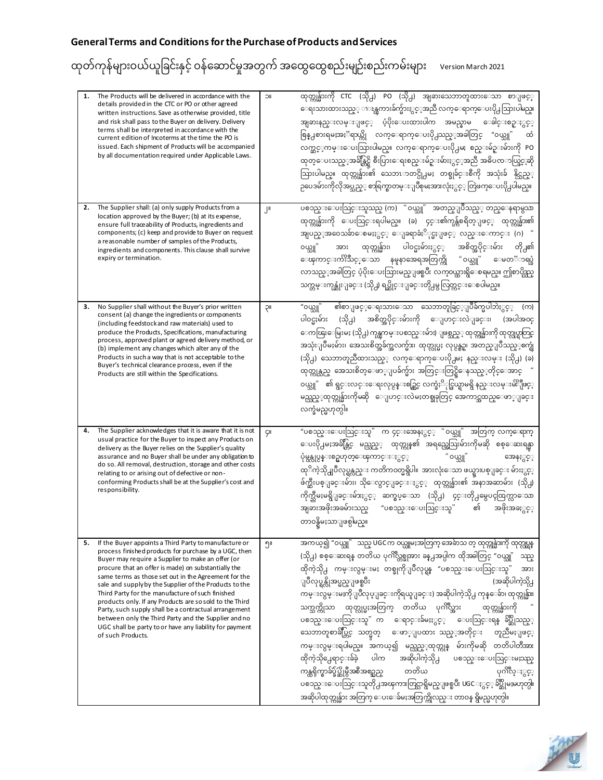| 1. | The Products will be delivered in accordance with the<br>details provided in the CTC or PO or other agreed<br>written instructions. Save as otherwise provided, title<br>and risk shall pass to the Buyer on delivery. Delivery<br>terms shall be interpreted in accordance with the<br>current edition of Incoterms at the time the PO is<br>issued. Each shipment of Products will be accompanied<br>by all documentation required under Applicable Laws.                                                                                                                                                                                                  | <b>IIC</b> | ထုတ္ကုန္မ်ားကို CTC (သို႕) PO (သို႕) အျခားသေဘာတူထားေသာ စာျဖင့္<br>ေရးသားထားသည္္ ၫၖန္ၾကားခ်က္မ်ားႏွင့္အာညီ လက္ေရာက္ေပးပို႕သြားပါမည္။<br>အျခားနည္းလမ္းျဖင့္ ပံ့ပိုးေပးထားပါက အမည္နာမ ေခါင္းစဥ္ႏွင့္<br>စြန္႕စားရမႈအႏၱရာယ္ကို လက္ေရာက္ေပးပို႕သည့္အခါတြင္ "ဝယ္သူ"<br>ΟŎ<br>လက္ဆင့္၈ာမ္းေပးသြားပါမည္။ လက္ေရာက္ေပးပို႕မႈ စည္းမ်ဥ္းမ်ားကို PO<br>ထုတ္ေပးသည့္အခ်ိန္တြင္ရွိ စီးပြားေရးစည္းမ်ဥ္းမ်ားႏွင့္အညီ အဓိပၸၥယ္ဖြင့္ခဆို<br>သြားပါမည္။ ထုတ္ကုန္မ်ား၏ သေဘၤာတင္ပို႕မႈ တစ္ခုခ်င္းစီကို အသုံးခ် နိုင္သည့္<br>ဉပေဒမ်ားကိုလိုအပ္သည့္ စာရြက္စာတမ္းျပဳစုမႈအားလုံးႏွင့္ တြဲဖက္ေပးပို႕ပါမည္။                                                                                                                                                                                                                                                                                                                                       |
|----|--------------------------------------------------------------------------------------------------------------------------------------------------------------------------------------------------------------------------------------------------------------------------------------------------------------------------------------------------------------------------------------------------------------------------------------------------------------------------------------------------------------------------------------------------------------------------------------------------------------------------------------------------------------|------------|----------------------------------------------------------------------------------------------------------------------------------------------------------------------------------------------------------------------------------------------------------------------------------------------------------------------------------------------------------------------------------------------------------------------------------------------------------------------------------------------------------------------------------------------------------------------------------------------------------------------------------------------------------------------------------------------------------------------------------------------------------------------------------------------------------------------------------------------------------------------------------------------------------------------|
| 2. | The Supplier shall: (a) only supply Products from a<br>location approved by the Buyer; (b) at its expense,<br>ensure full traceability of Products, ingredients and<br>components; (c) keep and provide to Buyer on request<br>a reasonable number of samples of the Products,<br>ingredients and components. This clause shall survive<br>expiry or termination.                                                                                                                                                                                                                                                                                            | μ          | ပစၥည္းေပးသြင္းသူသည္ (က) "ဝယ္သူ" အတည္ျပဳသည့္ တည္ေနရာမွသာ<br>ထုတ္ကုန္မ်ားကို ေပးသြင္းရပါမည္။ (ခ) ၄င္း၏ကုန္က်စရိတ္ျဖင့္ ထုတ္ကုန္မ်ား၏<br>အျပည္္အာ၀ေသခ်ာေစမႈႏွင္္ ေျခရာခံႏိုင္မႈျဖင္္ လည္းေကာင္း (ဂ) "<br>ထုတ္ကုန္မ်ား၊ ပါဝင္မႈမ်ားႏွင့္<br>အစိတ္အပိုင္းမ်ား<br>တို႕၏<br>၀ယ္သူ"<br>အား<br>ေၾကာင္းက်ဴိးသင့္ေသာ နမူနာအေရအတြက္ကို "ဝယ္သူ"<br>ေမတၱာရပ္ခံ<br>လာသည့္အခါတြင္ ပံ့ပိုးေပးသြားမည္ျဖစ္ၿပီး လက္၀ယ္ထားရွိေစရမည္။ ဤစာပိုဒ္သည္<br>သက္တမ္းကုန္ဆုံးျခင္း (သို႕) ရပ္ဆိုင္းျခင္းတို႕မွ လြတ္ကင္းေစပါမည္။                                                                                                                                                                                                                                                                                                                                                                                                                     |
| 3. | No Supplier shall without the Buyer's prior written<br>consent (a) change the ingredients or components<br>(including feedstock and raw materials) used to<br>produce the Products, Specifications, manufacturing<br>process, approved plant or agreed delivery method, or<br>(b) implement any changes which alter any of the<br>Products in such a way that is not acceptable to the<br>Buyer's technical clearance process, even if the<br>Products are still within the Specifications.                                                                                                                                                                  | ΙIÇ        | ၏စာျဖင့္ေရးသားေသာ သေဘာတူခြင့္ျပဳခ်က္မပါဘဲႏွင့္ (က)<br>"၀ယ္သူ"<br>(သို႕) အစိတ္အပိုင္းမ်ားကို ေျပာင္းလဲျခင္း၊ (အပါအ၀င္<br>ပါ၀င္မႈမ်ား<br>ေကၽြးေမြးမႈ (သို႕) ကုန္ၾကမ္းပစၥည္းမ်ား) ျဖစ္သည္္ ထုတ္ကုန္မ်ားကို ထုတ္လုပ္ရာတြင္<br>အသုံးျပဳမႈမ်ား၊ အေသးစိတ္အခ်က္အလက္မ်ား၊ ထုတ္လုပ္မႈ လုပ္ငန္စဥ္၊ အတည္ျပဳသည့္စက္ရုံ<br>(သို႕) သေဘာတူညီထားသည့္ လက္ေရာက္ေပးပို႕မႈ နည္းလမ္း (သို႕) (ခ)<br>ထုတ္ကုန္သည္ အေသးစိတ္ေဖာ္ျပခ်က္မ်ား အတြင္းတြင္ရွိေနသည့္တိုင္ေအာင္<br>၀ယ္သူ" ၏ ရွင္းလင္းေရးလုပ္ငန္းစဥ္တြင္ လက္ခံႏို္င္ဖြယ္ရာမရွိ နည္းလမ္းမ်ိႏိုုဖင့္<br>မည္သည့္ဝာုတ္ကုန္မ်ားကိုမဆို ေျပာင္းလဲမႈတစ္ခုခုတြင္ အေကာင္အထည္ေဖာ္ျခင္း<br>လက္ခံမည္မဟုတ္ပါ။                                                                                                                                                                                                                                                                                        |
| 4. | The Supplier acknowledges that it is aware that it is not<br>usual practice for the Buyer to inspect any Products on<br>delivery as the Buyer relies on the Supplier's quality<br>assurance and no Buyer shall be under any obligation to<br>do so. All removal, destruction, storage and other costs<br>relating to or arising out of defective or non-<br>conforming Products shall be at the Supplier's cost and<br>responsibility.                                                                                                                                                                                                                       | Çll        | "ပစၥည္းေပးသြင္းသူ" က ၄င္းအေနႏွင့္ "ဝယ္သူ"<br>အတြက္ လက္ေရာက္<br>ေပးပို႕မႈအခ်ိန္တြင္ မည္သည့္ ထုတ္ကုန္၏ အရည္အေသြးမ်ားကိုမဆို စစ္ေဆးရန္မာ<br>ပုံမွန္လုပ္ငန္းစဥ္မဟုတ္ေၾကာင္းႏွင့္<br>"၀ယ္သူ"<br>အေနႏွင့္<br>ထုိကဲ့သို႕ျပဳလုပ္ရန္လည္း ကတိက၀တ္မရွိပါ။  အားလုံးေသာ ဖယ္ရွားပစ္ျခင္း မ်ားႏွင့္<br>ဖ်က္ဆီးပစ္ျခင္းမ်ား၊ သိုေလွာင္ျခင္းႏွင့္ ထုတ္ကုန္မ်ား၏ အနာအဆာမ်ား (သို႕)<br>ကိုက္သီမႈမရွိျခင္းမ်ားႏွင့္ ဆက္စပ္ေသာ (သို႕) ၄င္းတို႕မွေပၚထြက္လာေသာ<br>အျခားအဖိုးအခမ်ားသည္ "ပစၥည္းေပးသြင္းသူ"<br>ଣା<br>အဖိုးအခႏွင့္<br>တာ၀န္ရွိမႈသာျဖစ္ပါမည္။                                                                                                                                                                                                                                                                                                                                                                                    |
| 5. | If the Buyer appoints a Third Party to manufacture or<br>process finished products for purchase by a UGC, then<br>Buyer may require a Supplier to make an offer (or<br>procure that an offer is made) on substantially the<br>same terms as those set out in the Agreement for the<br>sale and supply by the Supplier of the Products to the<br>Third Party for the manufacture of such finished<br>products only. If any Products are so sold to the Third<br>Party, such supply shall be a contractual arrangement<br>between only the Third Party and the Supplier and no<br>UGC shall be party to or have any liability for payment<br>of such Products. | ၅။         | အကယ္၍ "၀ယ္သူ" သည္ UGC က ၀ယ္ယူမႈအတြက္ အေခ်ာသတ္ ထုတ္ကုန္မ်ားကို ထုတ္လုပ္ရန<br>(သို႕) စစ္ေဆးရန္ တတိယ ပုဂၢိဳလ္တစ္ခုအား ခန္႕အပ္ပါက ထိုအခါတြင္ "ဝယ္သူ"<br>သည့<br>ထိုကဲ့သို႕ ကမ္းလွမ္းမႈ တစ္ခုကိုျပဳလုပ္ရန္ "ပစၥည္းေပးသြင္းသူ"<br>အား<br>ျပဳလုပ္ရန္လိုအပ္မည္ျဖစ္ၿပီး<br>(အဆိုပါကဲ့သို႕<br>ကမ္းလွမ္းမႈကိုျပဳလုပ္ျခင္းကိုရယူျခင္း) အဆိုပါကဲ့သို႕ ကုန္ေခ်ာ၊ ထုတ္ကုန္မ်ား၊<br>သက္သက္ကိုသာ ထုတ္လုပ္မႈအတြက္ တတိယ ပုဂၢိဳလ္အား<br>ထုတ္ကုန္မ်ားကို<br>ပစၥည္းေပးသြင္းသူ" က ေရာင္းခ်မႈႏွင့္ ေပးသြင္းရန္ ခ်ဳပ္ဆိုသည့္<br>သေဘာတူစာခ်ဳပ္တြင္ သတ္မွတ္ ေဖာ္ျပထား သည့္အတိုင္း တူညီမႈျဖင္<br>ကမ္းလွမ္းရပါမည္။ အကယ္၍ မည္သည့္ထုတ္ကုန္ မ်ားကိုမဆို တတိပါတီအား<br>ပါက အဆိုပါကဲ့သို႕ ပစၥည္းေပးသြင္းမႈသည္<br>ထိုကဲ့သို႕ေရာင္းခ်ခဲ့<br>ကန္ထရိုက္စာခ်ပ္ခ်ပ္ဆိုမွဳအစီအစဥ္သည္ တတိယ<br>ပုဂၢိဳလ္ႏွင့္<br>ပစၥည္းေပးသြင္းသူတို႕အၾကားတြင္လာရွိမည္ျဖစ္ၿပီး UGC ႏွင့္ ခ်ဳပ္ဆိုမႈမဟုတ္ပါ။<br>အဆိုပါထုတ္ကုန္မ်ား အတြက္ ေပးေခ်မႈအတြက္ကိုလည္း တာဝန္ ရွိမည္မဟုတ္ပါ။ |